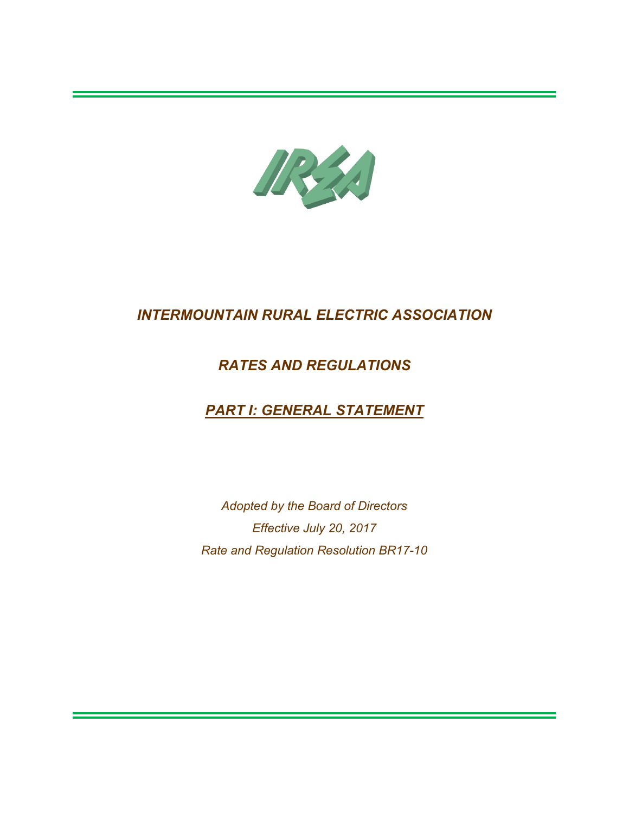

## *RATES AND REGULATIONS*

# *PART I: GENERAL STATEMENT*

*Adopted by the Board of Directors Effective July 20, 2017 Rate and Regulation Resolution BR17-10*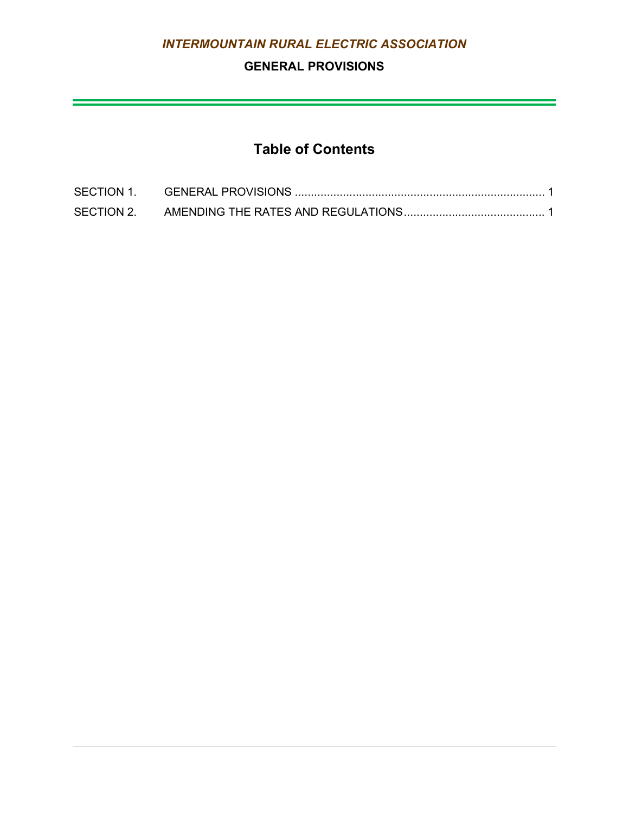## **GENERAL PROVISIONS**

 $\mathcal{L}(\mathcal{L}(\mathcal{L}(\mathcal{L}(\mathcal{L}(\mathcal{L}(\mathcal{L}(\mathcal{L}(\mathcal{L}(\mathcal{L}(\mathcal{L}(\mathcal{L}(\mathcal{L}(\mathcal{L}(\mathcal{L}(\mathcal{L}(\mathcal{L}(\mathcal{L}(\mathcal{L}(\mathcal{L}(\mathcal{L}(\mathcal{L}(\mathcal{L}(\mathcal{L}(\mathcal{L}(\mathcal{L}(\mathcal{L}(\mathcal{L}(\mathcal{L}(\mathcal{L}(\mathcal{L}(\mathcal{L}(\mathcal{L}(\mathcal{L}(\mathcal{L}(\mathcal{L}(\mathcal{$ 

# **Table of Contents**

| SECTION 1. |  |
|------------|--|
| SECTION 2. |  |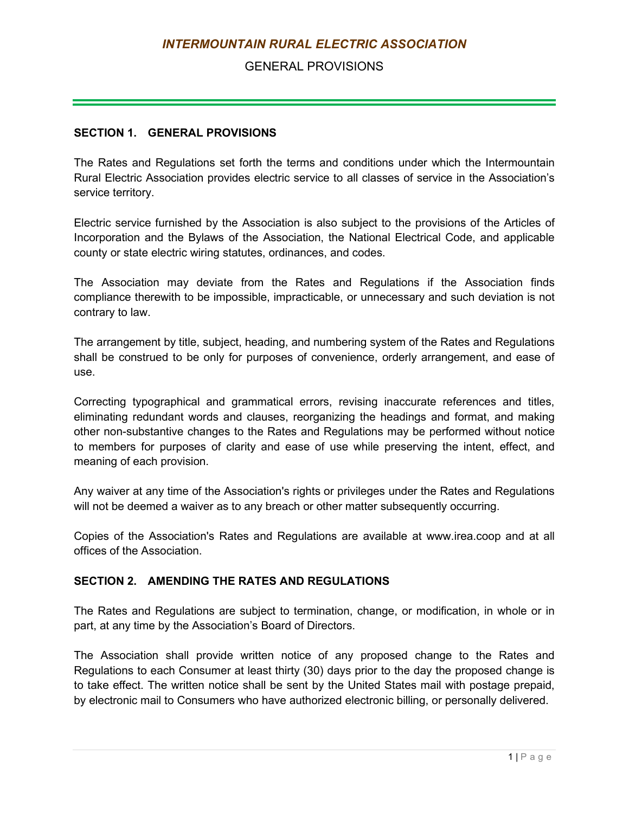## GENERAL PROVISIONS

#### <span id="page-2-0"></span>**SECTION 1. GENERAL PROVISIONS**

The Rates and Regulations set forth the terms and conditions under which the Intermountain Rural Electric Association provides electric service to all classes of service in the Association's service territory.

Electric service furnished by the Association is also subject to the provisions of the Articles of Incorporation and the Bylaws of the Association, the National Electrical Code, and applicable county or state electric wiring statutes, ordinances, and codes.

The Association may deviate from the Rates and Regulations if the Association finds compliance therewith to be impossible, impracticable, or unnecessary and such deviation is not contrary to law.

The arrangement by title, subject, heading, and numbering system of the Rates and Regulations shall be construed to be only for purposes of convenience, orderly arrangement, and ease of use.

Correcting typographical and grammatical errors, revising inaccurate references and titles, eliminating redundant words and clauses, reorganizing the headings and format, and making other non-substantive changes to the Rates and Regulations may be performed without notice to members for purposes of clarity and ease of use while preserving the intent, effect, and meaning of each provision.

Any waiver at any time of the Association's rights or privileges under the Rates and Regulations will not be deemed a waiver as to any breach or other matter subsequently occurring.

Copies of the Association's Rates and Regulations are available at www.irea.coop and at all offices of the Association.

#### <span id="page-2-1"></span>**SECTION 2. AMENDING THE RATES AND REGULATIONS**

The Rates and Regulations are subject to termination, change, or modification, in whole or in part, at any time by the Association's Board of Directors.

The Association shall provide written notice of any proposed change to the Rates and Regulations to each Consumer at least thirty (30) days prior to the day the proposed change is to take effect. The written notice shall be sent by the United States mail with postage prepaid, by electronic mail to Consumers who have authorized electronic billing, or personally delivered.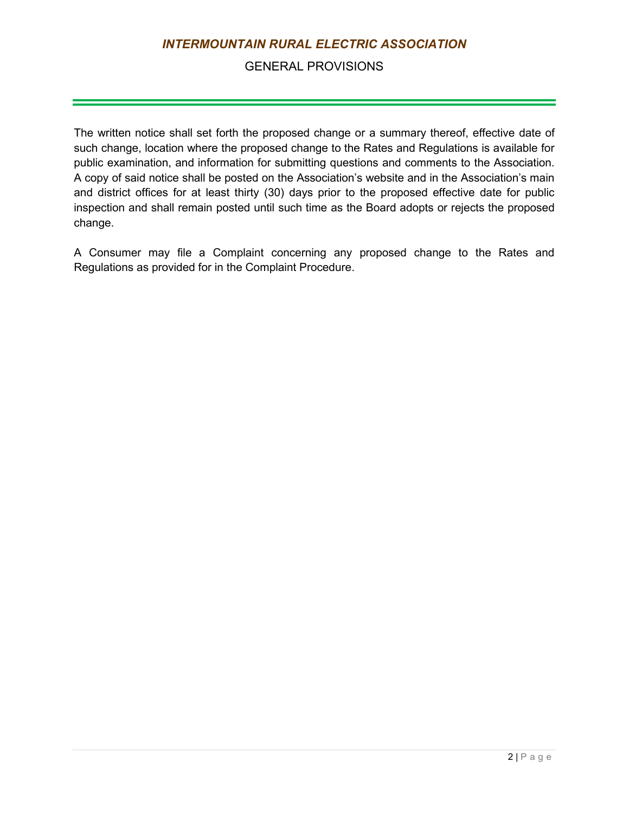### GENERAL PROVISIONS

The written notice shall set forth the proposed change or a summary thereof, effective date of such change, location where the proposed change to the Rates and Regulations is available for public examination, and information for submitting questions and comments to the Association. A copy of said notice shall be posted on the Association's website and in the Association's main and district offices for at least thirty (30) days prior to the proposed effective date for public inspection and shall remain posted until such time as the Board adopts or rejects the proposed change.

A Consumer may file a Complaint concerning any proposed change to the Rates and Regulations as provided for in the Complaint Procedure.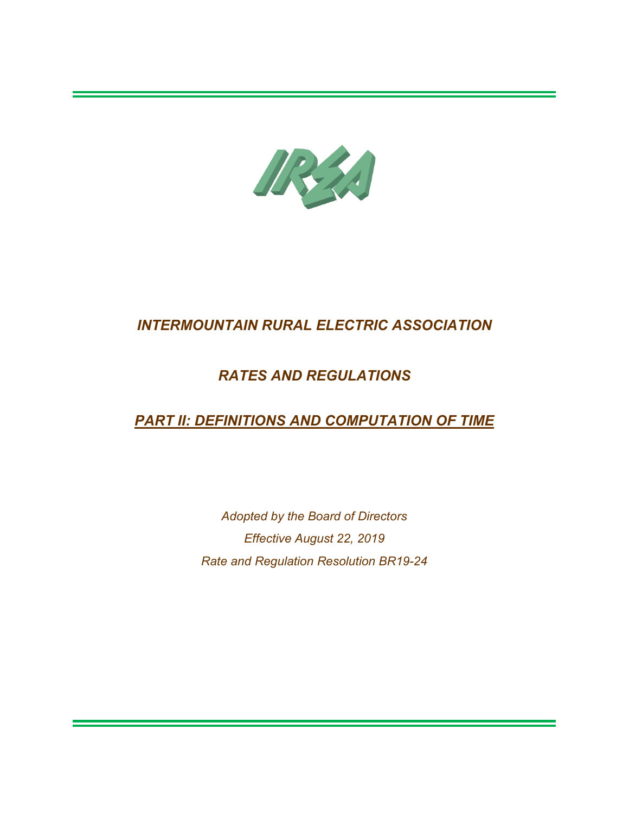

## *RATES AND REGULATIONS*

# *PART II: DEFINITIONS AND COMPUTATION OF TIME*

*Adopted by the Board of Directors Effective August 22, 2019 Rate and Regulation Resolution BR19-24*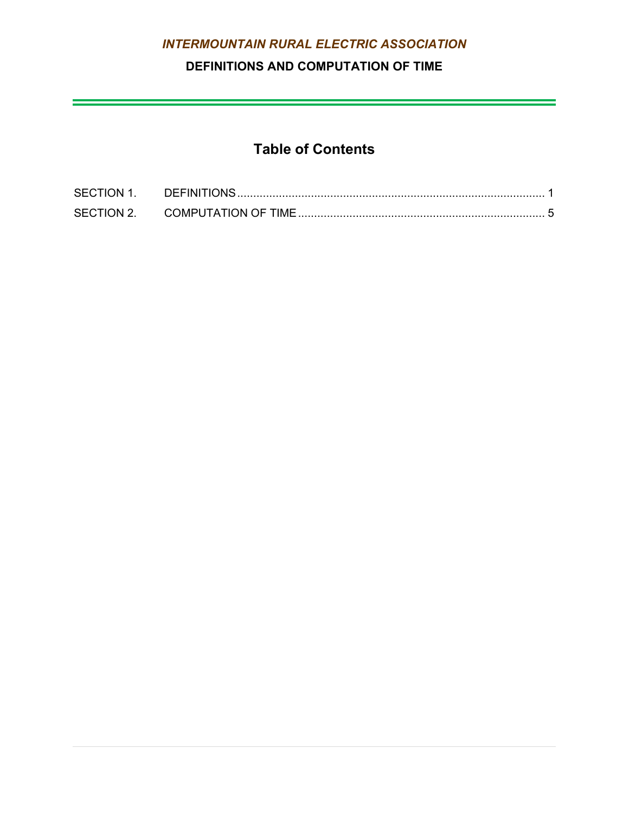## **DEFINITIONS AND COMPUTATION OF TIME**

<u> 1989 - Johann Stein, marwolaethau a bhann an t-Amhain an t-Amhain an t-Amhain an t-Amhain an t-Amhain an t-A</u>

# **Table of Contents**

| <b>SECTION 1.</b> | <b>DEFINITIONS</b>   |  |
|-------------------|----------------------|--|
| SECTION 2.        | COMPUTATION OF TIME. |  |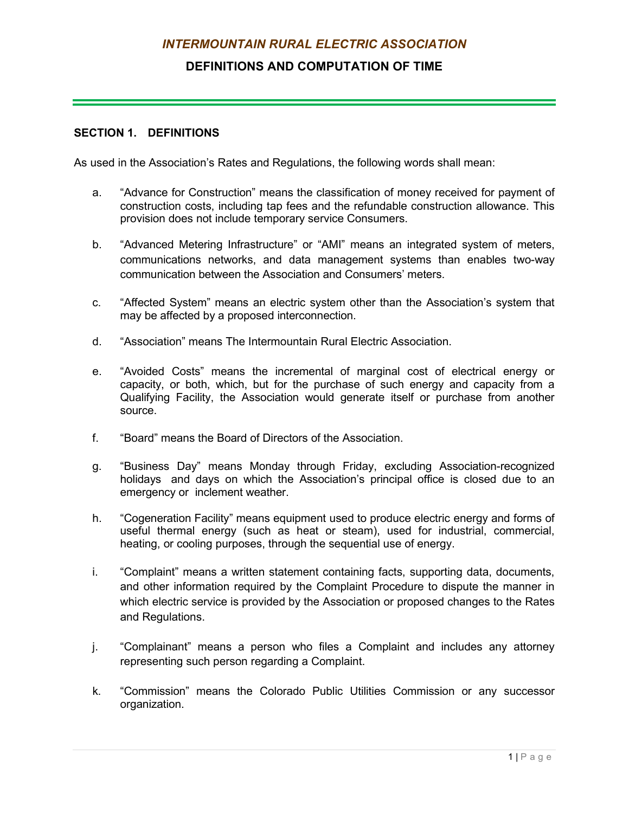### **DEFINITIONS AND COMPUTATION OF TIME**

#### <span id="page-6-0"></span>**SECTION 1. DEFINITIONS**

As used in the Association's Rates and Regulations, the following words shall mean:

- a. "Advance for Construction" means the classification of money received for payment of construction costs, including tap fees and the refundable construction allowance. This provision does not include temporary service Consumers.
- b. "Advanced Metering Infrastructure" or "AMI" means an integrated system of meters, communications networks, and data management systems than enables two-way communication between the Association and Consumers' meters.
- c. "Affected System" means an electric system other than the Association's system that may be affected by a proposed interconnection.
- d. "Association" means The Intermountain Rural Electric Association.
- e. "Avoided Costs" means the incremental of marginal cost of electrical energy or capacity, or both, which, but for the purchase of such energy and capacity from a Qualifying Facility, the Association would generate itself or purchase from another source.
- f. "Board" means the Board of Directors of the Association.
- g. "Business Day" means Monday through Friday, excluding Association-recognized holidays and days on which the Association's principal office is closed due to an emergency or inclement weather.
- h. "Cogeneration Facility" means equipment used to produce electric energy and forms of useful thermal energy (such as heat or steam), used for industrial, commercial, heating, or cooling purposes, through the sequential use of energy.
- i. "Complaint" means a written statement containing facts, supporting data, documents, and other information required by the Complaint Procedure to dispute the manner in which electric service is provided by the Association or proposed changes to the Rates and Regulations.
- j. "Complainant" means a person who files a Complaint and includes any attorney representing such person regarding a Complaint.
- k. "Commission" means the Colorado Public Utilities Commission or any successor organization.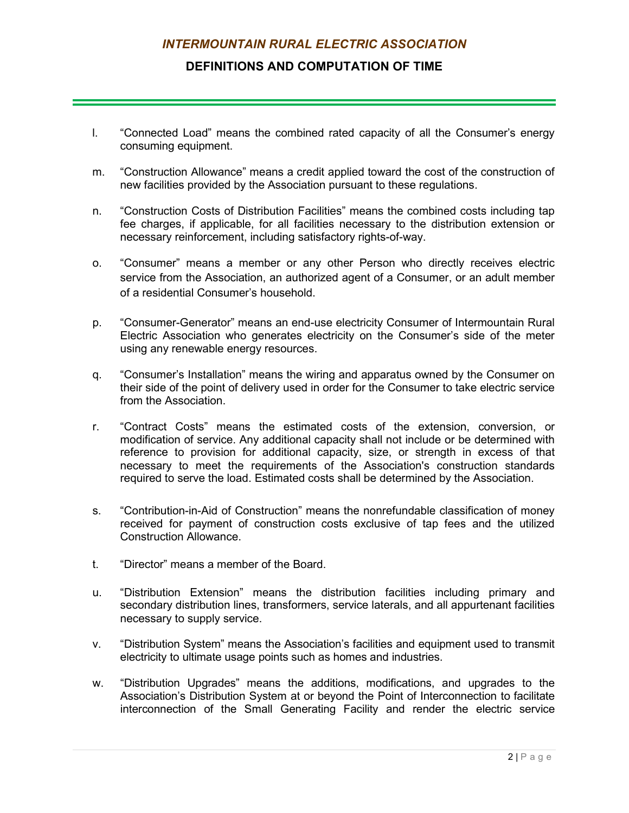#### **DEFINITIONS AND COMPUTATION OF TIME**

- l. "Connected Load" means the combined rated capacity of all the Consumer's energy consuming equipment.
- m. "Construction Allowance" means a credit applied toward the cost of the construction of new facilities provided by the Association pursuant to these regulations.
- n. "Construction Costs of Distribution Facilities" means the combined costs including tap fee charges, if applicable, for all facilities necessary to the distribution extension or necessary reinforcement, including satisfactory rights-of-way.
- o. "Consumer" means a member or any other Person who directly receives electric service from the Association, an authorized agent of a Consumer, or an adult member of a residential Consumer's household.
- p. "Consumer-Generator" means an end-use electricity Consumer of Intermountain Rural Electric Association who generates electricity on the Consumer's side of the meter using any renewable energy resources.
- q. "Consumer's Installation" means the wiring and apparatus owned by the Consumer on their side of the point of delivery used in order for the Consumer to take electric service from the Association.
- r. "Contract Costs" means the estimated costs of the extension, conversion, or modification of service. Any additional capacity shall not include or be determined with reference to provision for additional capacity, size, or strength in excess of that necessary to meet the requirements of the Association's construction standards required to serve the load. Estimated costs shall be determined by the Association.
- s. "Contribution-in-Aid of Construction" means the nonrefundable classification of money received for payment of construction costs exclusive of tap fees and the utilized Construction Allowance.
- t. "Director" means a member of the Board.
- u. "Distribution Extension" means the distribution facilities including primary and secondary distribution lines, transformers, service laterals, and all appurtenant facilities necessary to supply service.
- v. "Distribution System" means the Association's facilities and equipment used to transmit electricity to ultimate usage points such as homes and industries.
- w. "Distribution Upgrades" means the additions, modifications, and upgrades to the Association's Distribution System at or beyond the Point of Interconnection to facilitate interconnection of the Small Generating Facility and render the electric service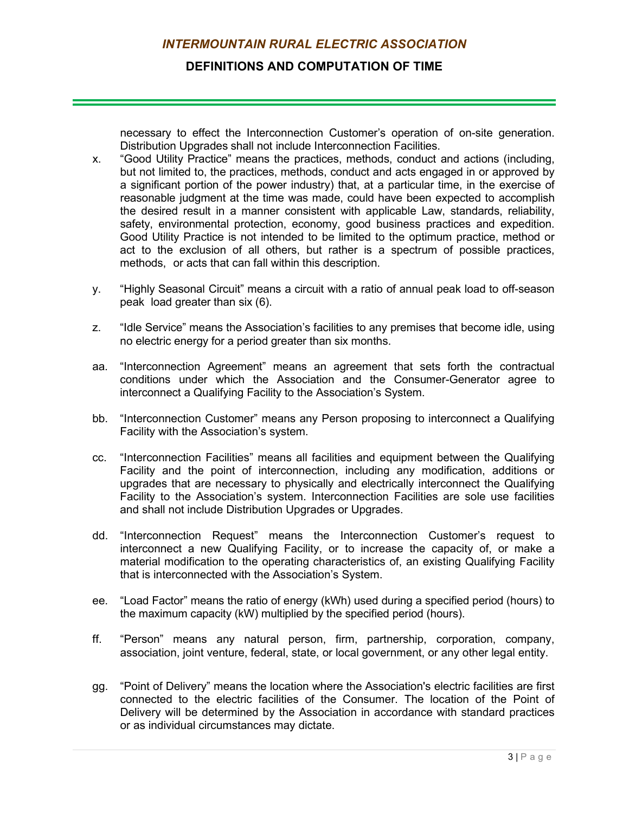#### **DEFINITIONS AND COMPUTATION OF TIME**

necessary to effect the Interconnection Customer's operation of on-site generation. Distribution Upgrades shall not include Interconnection Facilities.

- x. "Good Utility Practice" means the practices, methods, conduct and actions (including, but not limited to, the practices, methods, conduct and acts engaged in or approved by a significant portion of the power industry) that, at a particular time, in the exercise of reasonable judgment at the time was made, could have been expected to accomplish the desired result in a manner consistent with applicable Law, standards, reliability, safety, environmental protection, economy, good business practices and expedition. Good Utility Practice is not intended to be limited to the optimum practice, method or act to the exclusion of all others, but rather is a spectrum of possible practices, methods, or acts that can fall within this description.
- y. "Highly Seasonal Circuit" means a circuit with a ratio of annual peak load to off-season peak load greater than six (6).
- z. "Idle Service" means the Association's facilities to any premises that become idle, using no electric energy for a period greater than six months.
- aa. "Interconnection Agreement" means an agreement that sets forth the contractual conditions under which the Association and the Consumer-Generator agree to interconnect a Qualifying Facility to the Association's System.
- bb. "Interconnection Customer" means any Person proposing to interconnect a Qualifying Facility with the Association's system.
- cc. "Interconnection Facilities" means all facilities and equipment between the Qualifying Facility and the point of interconnection, including any modification, additions or upgrades that are necessary to physically and electrically interconnect the Qualifying Facility to the Association's system. Interconnection Facilities are sole use facilities and shall not include Distribution Upgrades or Upgrades.
- dd. "Interconnection Request" means the Interconnection Customer's request to interconnect a new Qualifying Facility, or to increase the capacity of, or make a material modification to the operating characteristics of, an existing Qualifying Facility that is interconnected with the Association's System.
- ee. "Load Factor" means the ratio of energy (kWh) used during a specified period (hours) to the maximum capacity (kW) multiplied by the specified period (hours).
- ff. "Person" means any natural person, firm, partnership, corporation, company, association, joint venture, federal, state, or local government, or any other legal entity.
- gg. "Point of Delivery" means the location where the Association's electric facilities are first connected to the electric facilities of the Consumer. The location of the Point of Delivery will be determined by the Association in accordance with standard practices or as individual circumstances may dictate.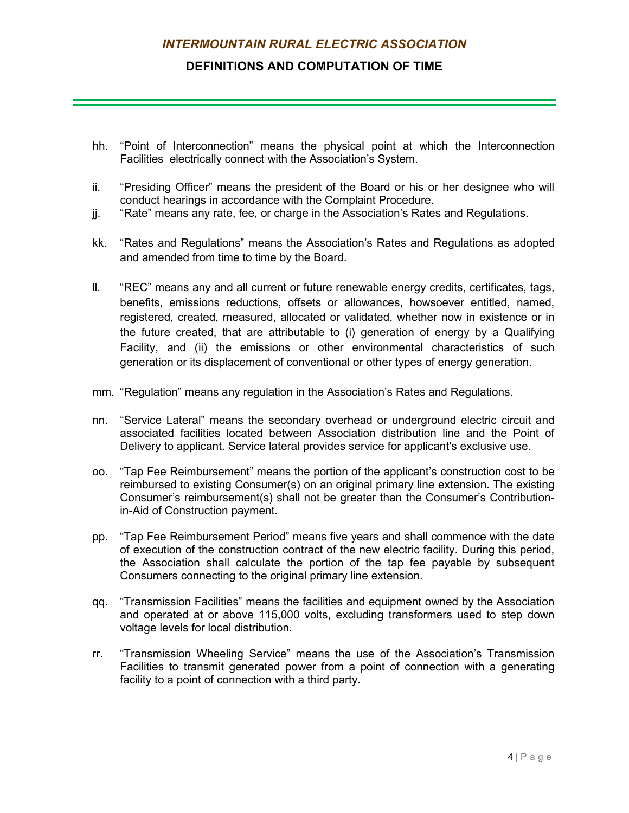#### **DEFINITIONS AND COMPUTATION OF TIME**

- hh. "Point of Interconnection" means the physical point at which the Interconnection Facilities electrically connect with the Association's System.
- ii. "Presiding Officer" means the president of the Board or his or her designee who will conduct hearings in accordance with the Complaint Procedure.
- jj. "Rate" means any rate, fee, or charge in the Association's Rates and Regulations.
- kk. "Rates and Regulations" means the Association's Rates and Regulations as adopted and amended from time to time by the Board.
- ll. "REC" means any and all current or future renewable energy credits, certificates, tags, benefits, emissions reductions, offsets or allowances, howsoever entitled, named, registered, created, measured, allocated or validated, whether now in existence or in the future created, that are attributable to (i) generation of energy by a Qualifying Facility, and (ii) the emissions or other environmental characteristics of such generation or its displacement of conventional or other types of energy generation.
- mm. "Regulation" means any regulation in the Association's Rates and Regulations.
- nn. "Service Lateral" means the secondary overhead or underground electric circuit and associated facilities located between Association distribution line and the Point of Delivery to applicant. Service lateral provides service for applicant's exclusive use.
- oo. "Tap Fee Reimbursement" means the portion of the applicant's construction cost to be reimbursed to existing Consumer(s) on an original primary line extension. The existing Consumer's reimbursement(s) shall not be greater than the Consumer's Contributionin-Aid of Construction payment.
- pp. "Tap Fee Reimbursement Period" means five years and shall commence with the date of execution of the construction contract of the new electric facility. During this period, the Association shall calculate the portion of the tap fee payable by subsequent Consumers connecting to the original primary line extension.
- qq. "Transmission Facilities" means the facilities and equipment owned by the Association and operated at or above 115,000 volts, excluding transformers used to step down voltage levels for local distribution.
- rr. "Transmission Wheeling Service" means the use of the Association's Transmission Facilities to transmit generated power from a point of connection with a generating facility to a point of connection with a third party.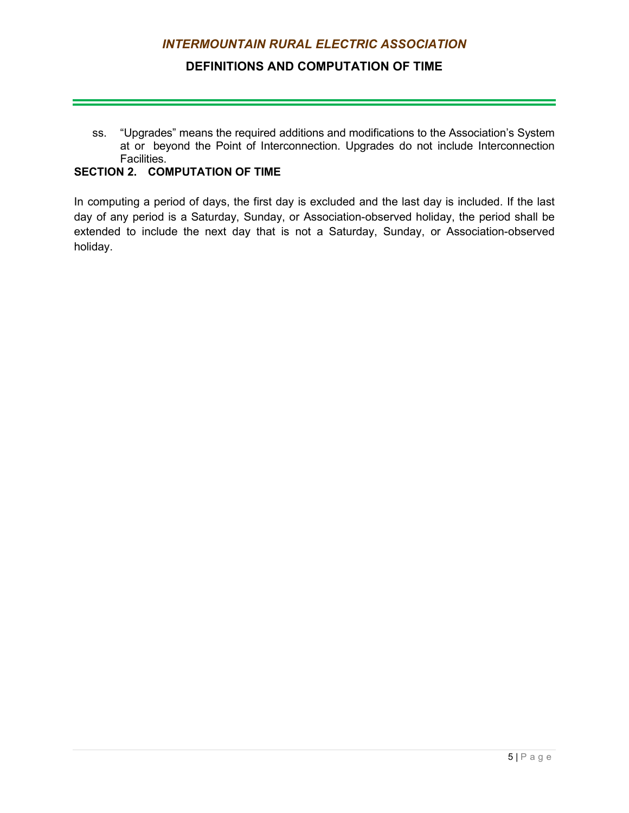### **DEFINITIONS AND COMPUTATION OF TIME**

ss. "Upgrades" means the required additions and modifications to the Association's System at or beyond the Point of Interconnection. Upgrades do not include Interconnection Facilities.

### <span id="page-10-0"></span>**SECTION 2. COMPUTATION OF TIME**

In computing a period of days, the first day is excluded and the last day is included. If the last day of any period is a Saturday, Sunday, or Association-observed holiday, the period shall be extended to include the next day that is not a Saturday, Sunday, or Association-observed holiday.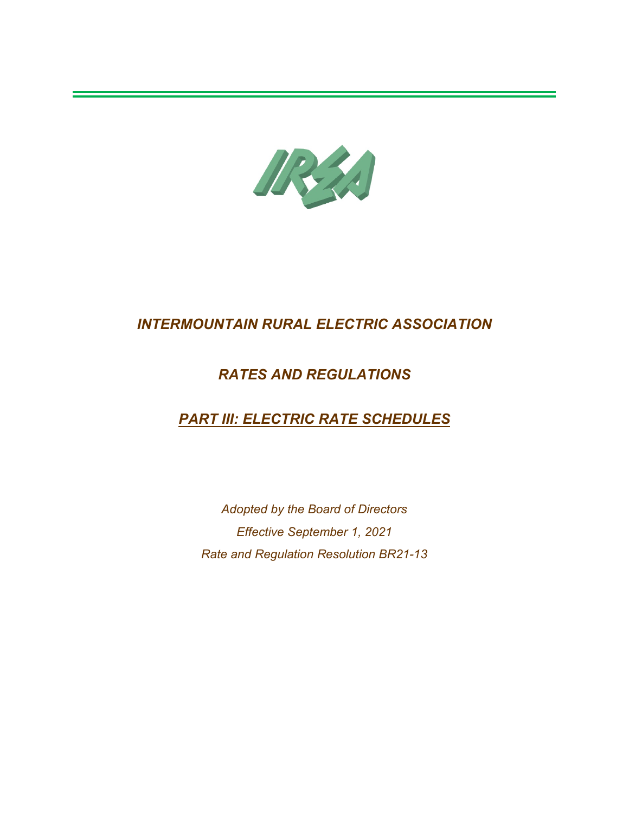

## *RATES AND REGULATIONS*

# *PART III: ELECTRIC RATE SCHEDULES*

*Adopted by the Board of Directors Effective September 1, 2021 Rate and Regulation Resolution BR21-13*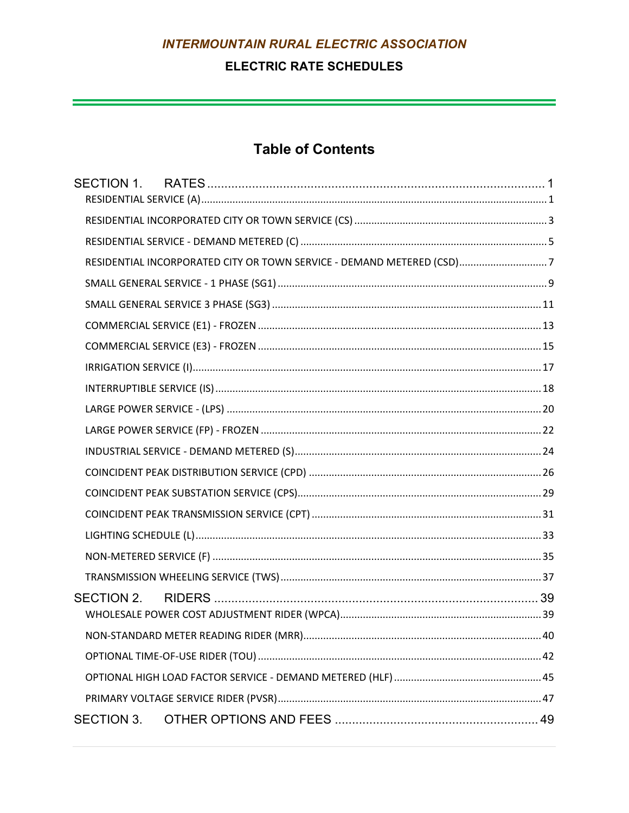## **ELECTRIC RATE SCHEDULES**

a sa kacamatan ing Kabupatèn Kabupatèn Kabupatèn Kabupatèn Kabupatèn Kabupatèn Kabupatèn Kabupatèn Kabupatèn K

# **Table of Contents**

|            | RESIDENTIAL INCORPORATED CITY OR TOWN SERVICE - DEMAND METERED (CSD)7 |  |
|------------|-----------------------------------------------------------------------|--|
|            |                                                                       |  |
|            |                                                                       |  |
|            |                                                                       |  |
|            |                                                                       |  |
|            |                                                                       |  |
|            |                                                                       |  |
|            |                                                                       |  |
|            |                                                                       |  |
|            |                                                                       |  |
|            |                                                                       |  |
|            |                                                                       |  |
|            |                                                                       |  |
|            |                                                                       |  |
|            |                                                                       |  |
|            |                                                                       |  |
| SECTION 2. |                                                                       |  |
|            |                                                                       |  |
|            |                                                                       |  |
|            |                                                                       |  |
|            |                                                                       |  |
| SECTION 3. |                                                                       |  |
|            |                                                                       |  |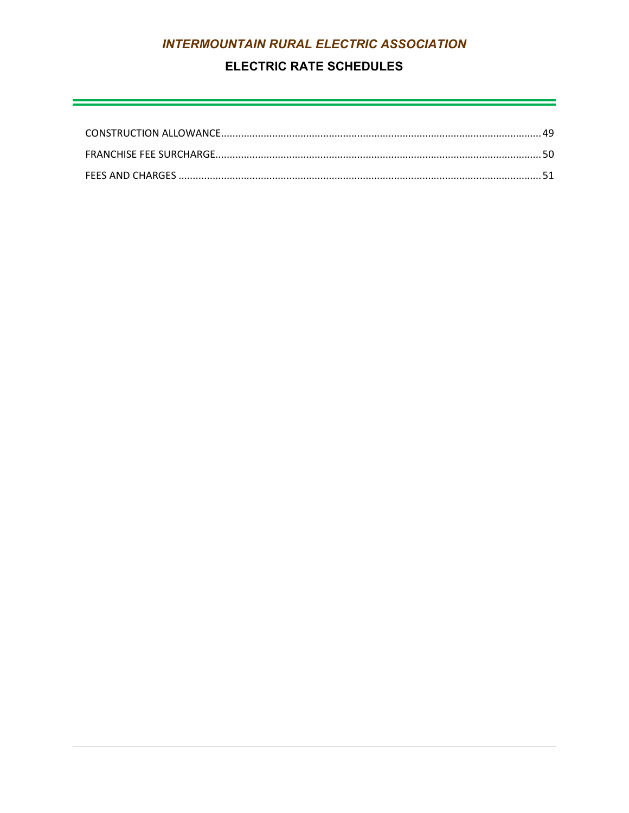## **ELECTRIC RATE SCHEDULES**

<u> 1989 - Andrea Santa Andrea Andrea Andrea Andrea Andrea Andrea Andrea Andrea Andrea Andrea Andrea Andrea Andr</u>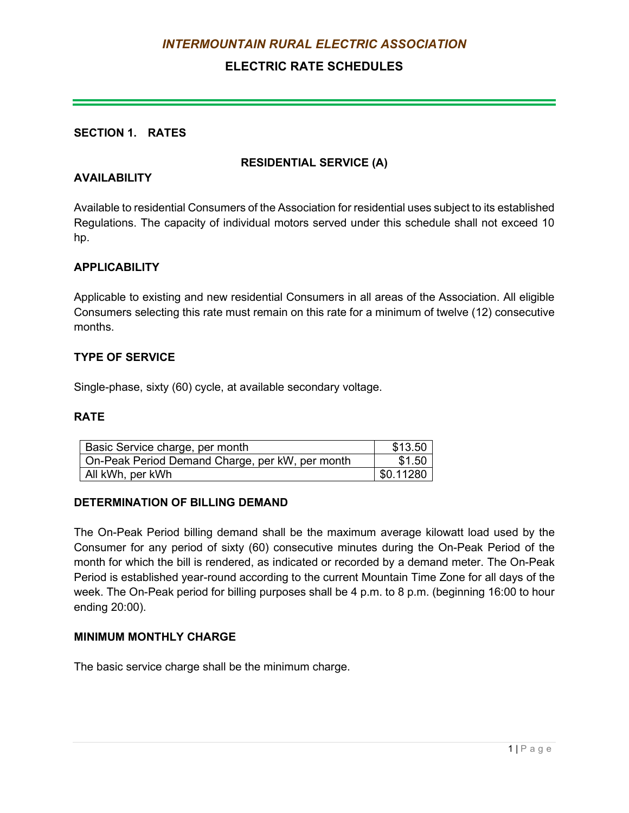## **ELECTRIC RATE SCHEDULES**

#### <span id="page-14-0"></span>**SECTION 1. RATES**

#### **RESIDENTIAL SERVICE (A)**

#### <span id="page-14-1"></span>**AVAILABILITY**

Available to residential Consumers of the Association for residential uses subject to its established Regulations. The capacity of individual motors served under this schedule shall not exceed 10 hp.

#### **APPLICABILITY**

Applicable to existing and new residential Consumers in all areas of the Association. All eligible Consumers selecting this rate must remain on this rate for a minimum of twelve (12) consecutive months.

#### **TYPE OF SERVICE**

Single-phase, sixty (60) cycle, at available secondary voltage.

#### **RATE**

| Basic Service charge, per month                 | \$13.50   |
|-------------------------------------------------|-----------|
| On-Peak Period Demand Charge, per kW, per month | \$1.50    |
| All kWh, per kWh                                | \$0.11280 |

#### **DETERMINATION OF BILLING DEMAND**

The On-Peak Period billing demand shall be the maximum average kilowatt load used by the Consumer for any period of sixty (60) consecutive minutes during the On-Peak Period of the month for which the bill is rendered, as indicated or recorded by a demand meter. The On-Peak Period is established year-round according to the current Mountain Time Zone for all days of the week. The On-Peak period for billing purposes shall be 4 p.m. to 8 p.m. (beginning 16:00 to hour ending 20:00).

#### **MINIMUM MONTHLY CHARGE**

The basic service charge shall be the minimum charge.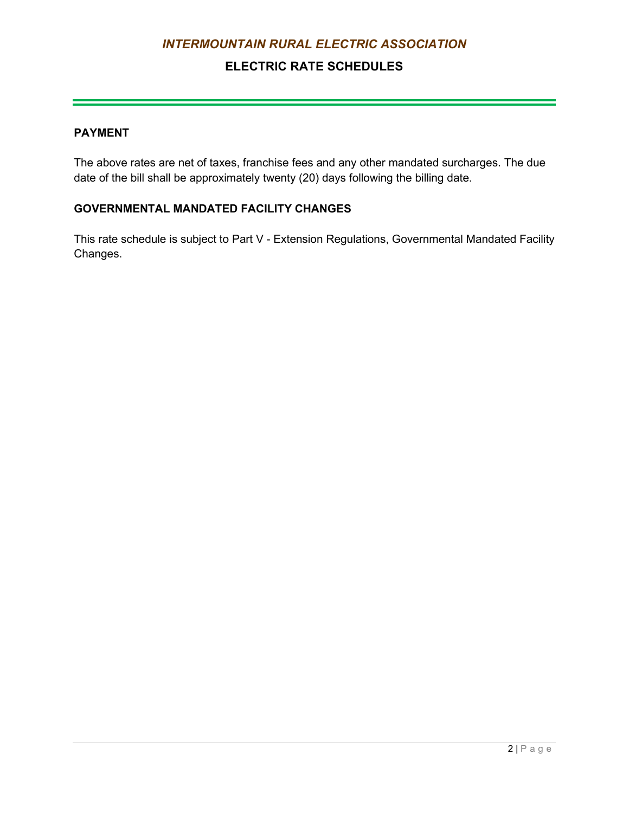## **ELECTRIC RATE SCHEDULES**

#### **PAYMENT**

The above rates are net of taxes, franchise fees and any other mandated surcharges. The due date of the bill shall be approximately twenty (20) days following the billing date.

### **GOVERNMENTAL MANDATED FACILITY CHANGES**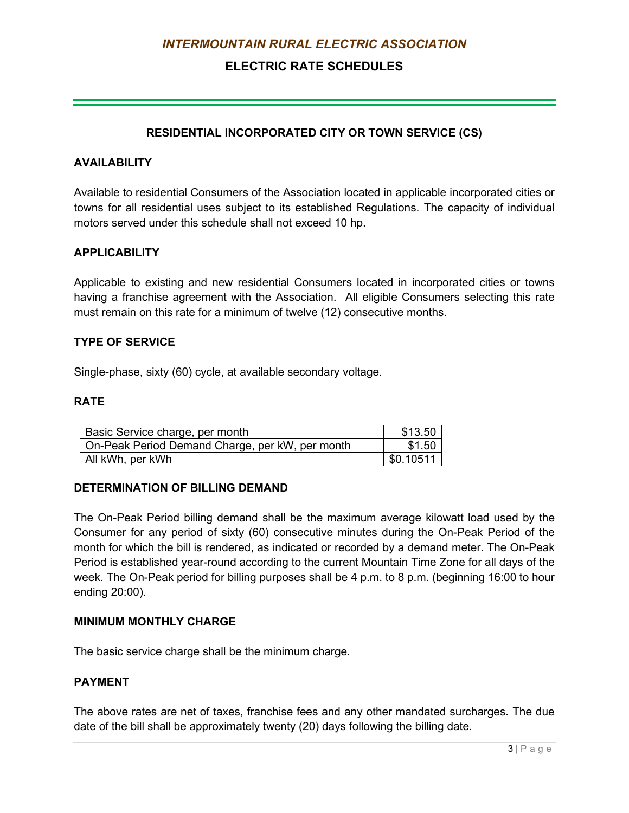## **ELECTRIC RATE SCHEDULES**

#### **RESIDENTIAL INCORPORATED CITY OR TOWN SERVICE (CS)**

#### <span id="page-16-0"></span>**AVAILABILITY**

Available to residential Consumers of the Association located in applicable incorporated cities or towns for all residential uses subject to its established Regulations. The capacity of individual motors served under this schedule shall not exceed 10 hp.

#### **APPLICABILITY**

Applicable to existing and new residential Consumers located in incorporated cities or towns having a franchise agreement with the Association. All eligible Consumers selecting this rate must remain on this rate for a minimum of twelve (12) consecutive months.

#### **TYPE OF SERVICE**

Single-phase, sixty (60) cycle, at available secondary voltage.

#### **RATE**

| Basic Service charge, per month                 | \$13.50   |
|-------------------------------------------------|-----------|
| On-Peak Period Demand Charge, per kW, per month | \$1.50    |
| All kWh, per kWh                                | \$0.10511 |

#### **DETERMINATION OF BILLING DEMAND**

The On-Peak Period billing demand shall be the maximum average kilowatt load used by the Consumer for any period of sixty (60) consecutive minutes during the On-Peak Period of the month for which the bill is rendered, as indicated or recorded by a demand meter. The On-Peak Period is established year-round according to the current Mountain Time Zone for all days of the week. The On-Peak period for billing purposes shall be 4 p.m. to 8 p.m. (beginning 16:00 to hour ending 20:00).

#### **MINIMUM MONTHLY CHARGE**

The basic service charge shall be the minimum charge.

#### **PAYMENT**

The above rates are net of taxes, franchise fees and any other mandated surcharges. The due date of the bill shall be approximately twenty (20) days following the billing date.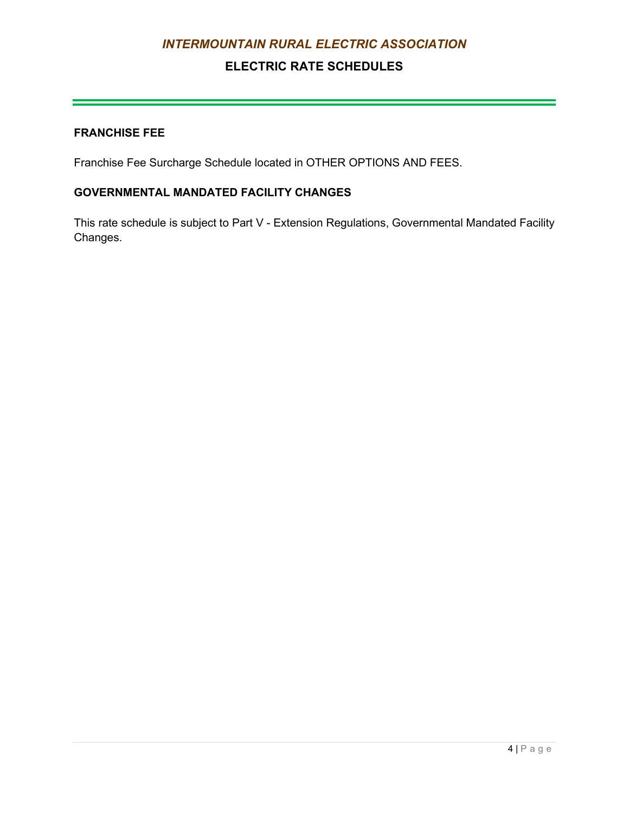## **ELECTRIC RATE SCHEDULES**

#### **FRANCHISE FEE**

Franchise Fee Surcharge Schedule located in OTHER OPTIONS AND FEES.

### **GOVERNMENTAL MANDATED FACILITY CHANGES**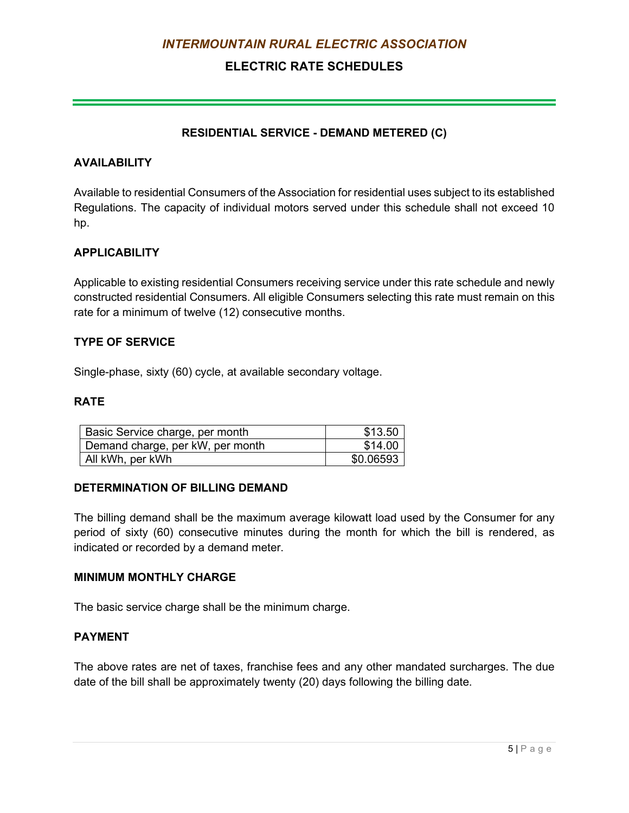## **ELECTRIC RATE SCHEDULES**

#### **RESIDENTIAL SERVICE - DEMAND METERED (C)**

#### <span id="page-18-0"></span>**AVAILABILITY**

Available to residential Consumers of the Association for residential uses subject to its established Regulations. The capacity of individual motors served under this schedule shall not exceed 10 hp.

#### **APPLICABILITY**

Applicable to existing residential Consumers receiving service under this rate schedule and newly constructed residential Consumers. All eligible Consumers selecting this rate must remain on this rate for a minimum of twelve (12) consecutive months.

#### **TYPE OF SERVICE**

Single-phase, sixty (60) cycle, at available secondary voltage.

### **RATE**

| Basic Service charge, per month  | \$13.50   |
|----------------------------------|-----------|
| Demand charge, per kW, per month | \$14.00   |
| All kWh, per kWh                 | \$0.06593 |

#### **DETERMINATION OF BILLING DEMAND**

The billing demand shall be the maximum average kilowatt load used by the Consumer for any period of sixty (60) consecutive minutes during the month for which the bill is rendered, as indicated or recorded by a demand meter.

#### **MINIMUM MONTHLY CHARGE**

The basic service charge shall be the minimum charge.

#### **PAYMENT**

The above rates are net of taxes, franchise fees and any other mandated surcharges. The due date of the bill shall be approximately twenty (20) days following the billing date.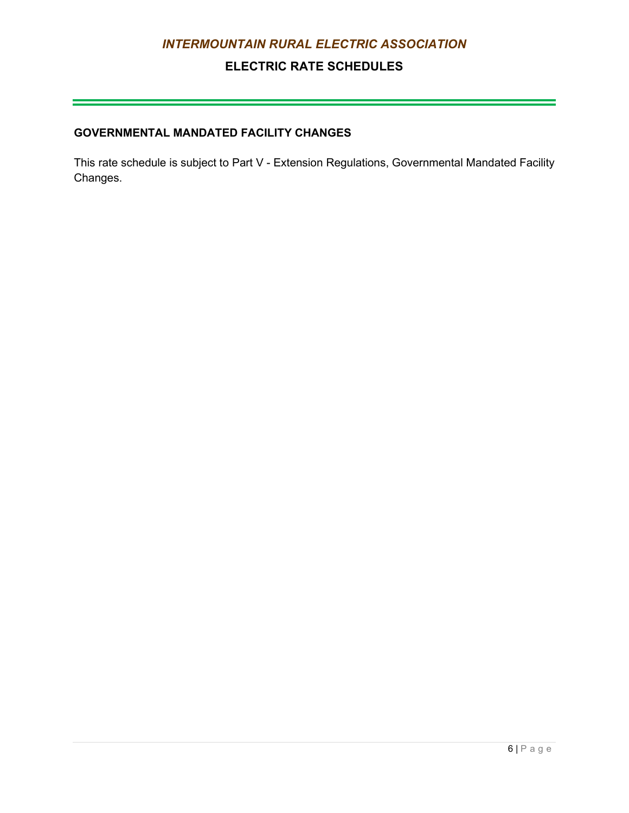## **ELECTRIC RATE SCHEDULES**

## **GOVERNMENTAL MANDATED FACILITY CHANGES**

This rate schedule is subject to Part V - Extension Regulations, Governmental Mandated Facility Changes.

 $\mathcal{L}(\mathcal{L}(\mathcal{L}(\mathcal{L}(\mathcal{L}(\mathcal{L}(\mathcal{L}(\mathcal{L}(\mathcal{L}(\mathcal{L}(\mathcal{L}(\mathcal{L}(\mathcal{L}(\mathcal{L}(\mathcal{L}(\mathcal{L}(\mathcal{L}(\mathcal{L}(\mathcal{L}(\mathcal{L}(\mathcal{L}(\mathcal{L}(\mathcal{L}(\mathcal{L}(\mathcal{L}(\mathcal{L}(\mathcal{L}(\mathcal{L}(\mathcal{L}(\mathcal{L}(\mathcal{L}(\mathcal{L}(\mathcal{L}(\mathcal{L}(\mathcal{L}(\mathcal{L}(\mathcal{$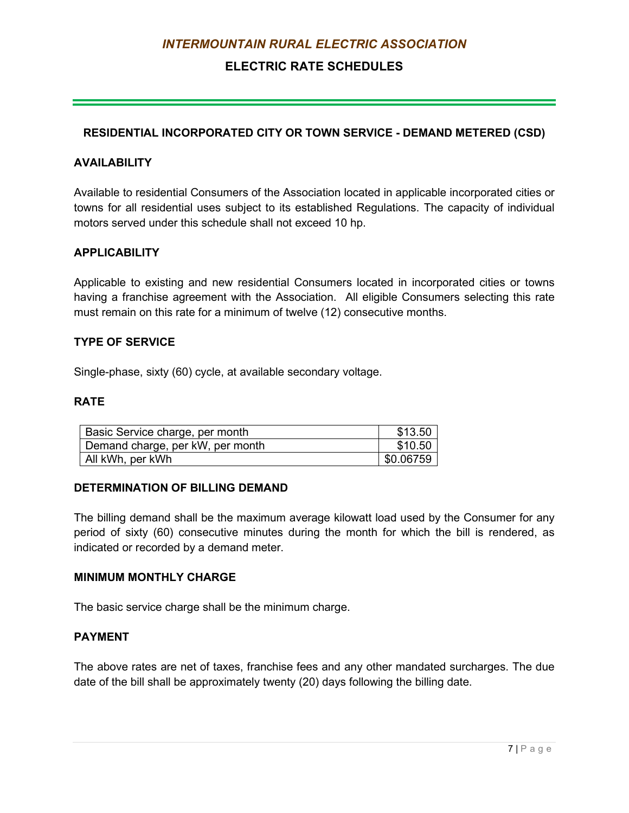## **ELECTRIC RATE SCHEDULES**

#### <span id="page-20-0"></span>**RESIDENTIAL INCORPORATED CITY OR TOWN SERVICE - DEMAND METERED (CSD)**

#### **AVAILABILITY**

Available to residential Consumers of the Association located in applicable incorporated cities or towns for all residential uses subject to its established Regulations. The capacity of individual motors served under this schedule shall not exceed 10 hp.

#### **APPLICABILITY**

Applicable to existing and new residential Consumers located in incorporated cities or towns having a franchise agreement with the Association. All eligible Consumers selecting this rate must remain on this rate for a minimum of twelve (12) consecutive months.

#### **TYPE OF SERVICE**

Single-phase, sixty (60) cycle, at available secondary voltage.

#### **RATE**

| Basic Service charge, per month  | \$13.50   |
|----------------------------------|-----------|
| Demand charge, per kW, per month | \$10.50   |
| All kWh, per kWh                 | \$0.06759 |

#### **DETERMINATION OF BILLING DEMAND**

The billing demand shall be the maximum average kilowatt load used by the Consumer for any period of sixty (60) consecutive minutes during the month for which the bill is rendered, as indicated or recorded by a demand meter.

#### **MINIMUM MONTHLY CHARGE**

The basic service charge shall be the minimum charge.

#### **PAYMENT**

The above rates are net of taxes, franchise fees and any other mandated surcharges. The due date of the bill shall be approximately twenty (20) days following the billing date.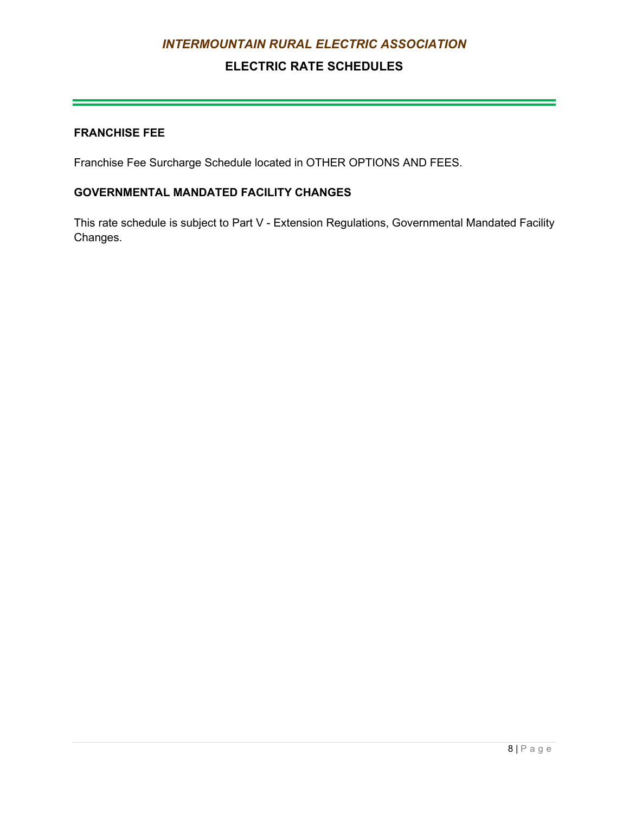## **ELECTRIC RATE SCHEDULES**

#### **FRANCHISE FEE**

Franchise Fee Surcharge Schedule located in OTHER OPTIONS AND FEES.

### **GOVERNMENTAL MANDATED FACILITY CHANGES**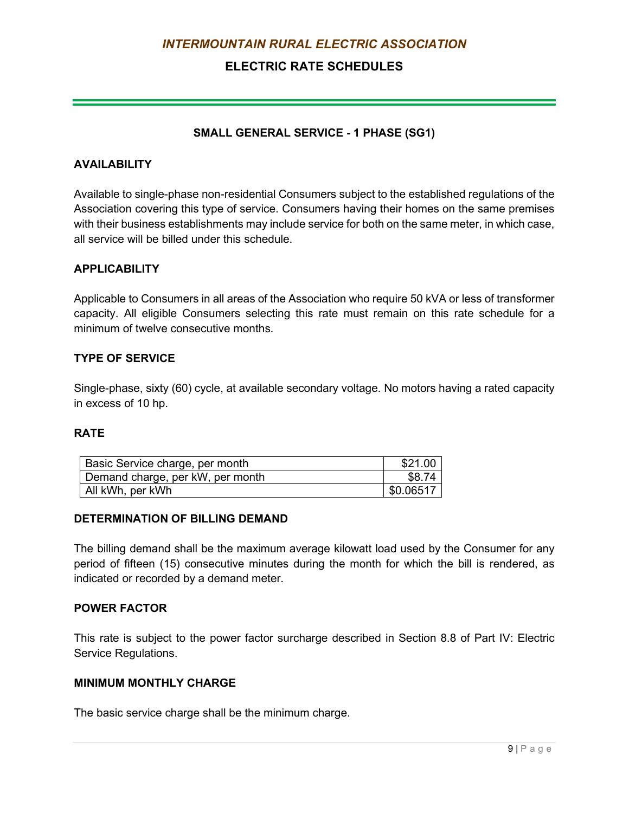## **ELECTRIC RATE SCHEDULES**

#### **SMALL GENERAL SERVICE - 1 PHASE (SG1)**

#### <span id="page-22-0"></span>**AVAILABILITY**

Available to single-phase non-residential Consumers subject to the established regulations of the Association covering this type of service. Consumers having their homes on the same premises with their business establishments may include service for both on the same meter, in which case, all service will be billed under this schedule.

#### **APPLICABILITY**

Applicable to Consumers in all areas of the Association who require 50 kVA or less of transformer capacity. All eligible Consumers selecting this rate must remain on this rate schedule for a minimum of twelve consecutive months.

#### **TYPE OF SERVICE**

Single-phase, sixty (60) cycle, at available secondary voltage. No motors having a rated capacity in excess of 10 hp.

#### **RATE**

| Basic Service charge, per month  | \$21.00   |
|----------------------------------|-----------|
| Demand charge, per kW, per month | \$8.74    |
| All kWh, per kWh                 | \$0.06517 |

#### **DETERMINATION OF BILLING DEMAND**

The billing demand shall be the maximum average kilowatt load used by the Consumer for any period of fifteen (15) consecutive minutes during the month for which the bill is rendered, as indicated or recorded by a demand meter.

#### **POWER FACTOR**

This rate is subject to the power factor surcharge described in Section 8.8 of Part IV: Electric Service Regulations.

#### **MINIMUM MONTHLY CHARGE**

The basic service charge shall be the minimum charge.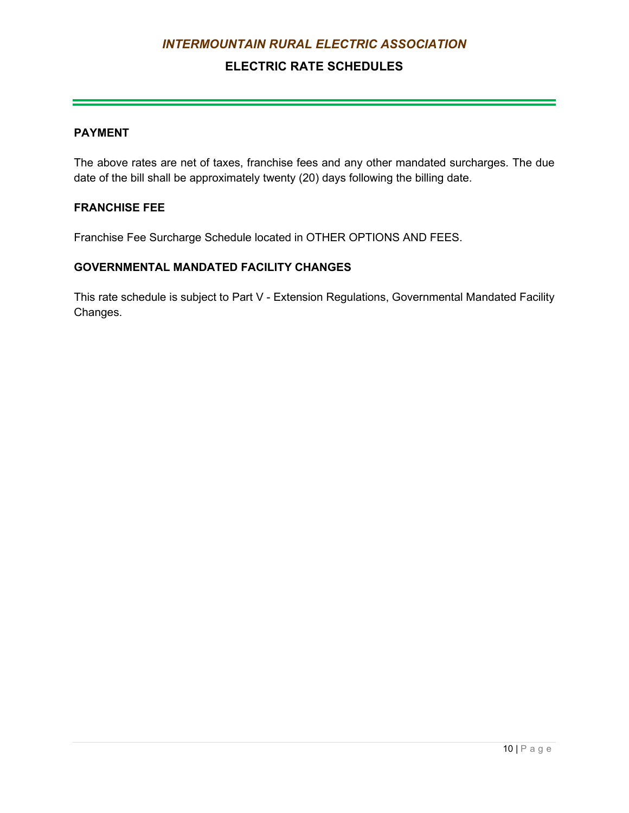## **ELECTRIC RATE SCHEDULES**

#### **PAYMENT**

The above rates are net of taxes, franchise fees and any other mandated surcharges. The due date of the bill shall be approximately twenty (20) days following the billing date.

#### **FRANCHISE FEE**

Franchise Fee Surcharge Schedule located in OTHER OPTIONS AND FEES.

#### **GOVERNMENTAL MANDATED FACILITY CHANGES**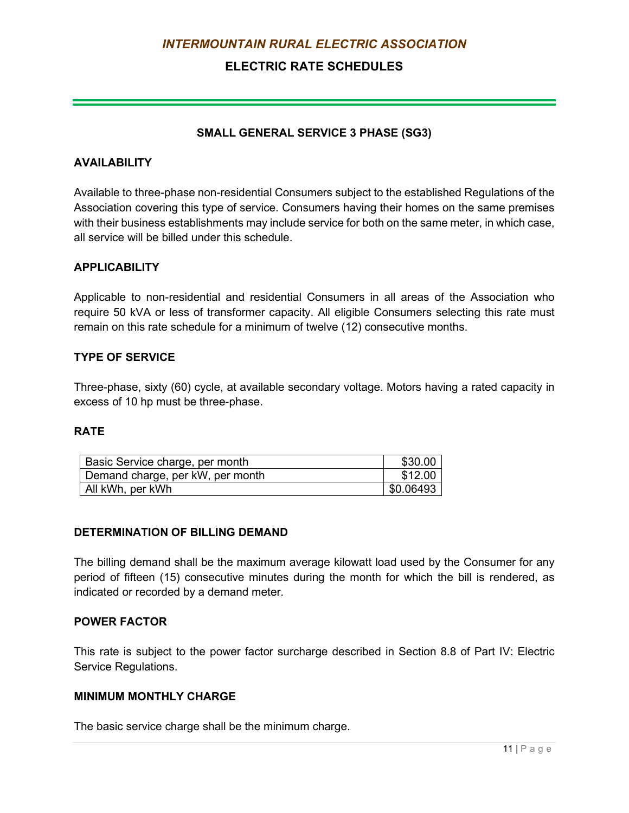## **ELECTRIC RATE SCHEDULES**

#### **SMALL GENERAL SERVICE 3 PHASE (SG3)**

#### <span id="page-24-0"></span>**AVAILABILITY**

Available to three-phase non-residential Consumers subject to the established Regulations of the Association covering this type of service. Consumers having their homes on the same premises with their business establishments may include service for both on the same meter, in which case, all service will be billed under this schedule.

#### **APPLICABILITY**

Applicable to non-residential and residential Consumers in all areas of the Association who require 50 kVA or less of transformer capacity. All eligible Consumers selecting this rate must remain on this rate schedule for a minimum of twelve (12) consecutive months.

#### **TYPE OF SERVICE**

Three-phase, sixty (60) cycle, at available secondary voltage. Motors having a rated capacity in excess of 10 hp must be three-phase.

#### **RATE**

| Basic Service charge, per month  | \$30.00   |
|----------------------------------|-----------|
| Demand charge, per kW, per month | \$12.00   |
| All kWh, per kWh                 | \$0.06493 |

#### **DETERMINATION OF BILLING DEMAND**

The billing demand shall be the maximum average kilowatt load used by the Consumer for any period of fifteen (15) consecutive minutes during the month for which the bill is rendered, as indicated or recorded by a demand meter.

#### **POWER FACTOR**

This rate is subject to the power factor surcharge described in Section 8.8 of Part IV: Electric Service Regulations.

#### **MINIMUM MONTHLY CHARGE**

The basic service charge shall be the minimum charge.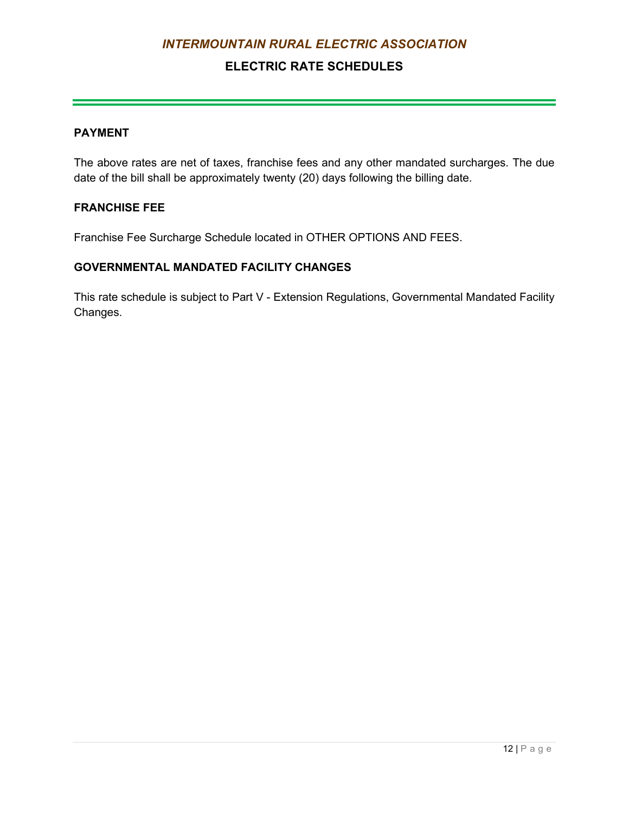## **ELECTRIC RATE SCHEDULES**

#### **PAYMENT**

The above rates are net of taxes, franchise fees and any other mandated surcharges. The due date of the bill shall be approximately twenty (20) days following the billing date.

#### **FRANCHISE FEE**

Franchise Fee Surcharge Schedule located in OTHER OPTIONS AND FEES.

#### **GOVERNMENTAL MANDATED FACILITY CHANGES**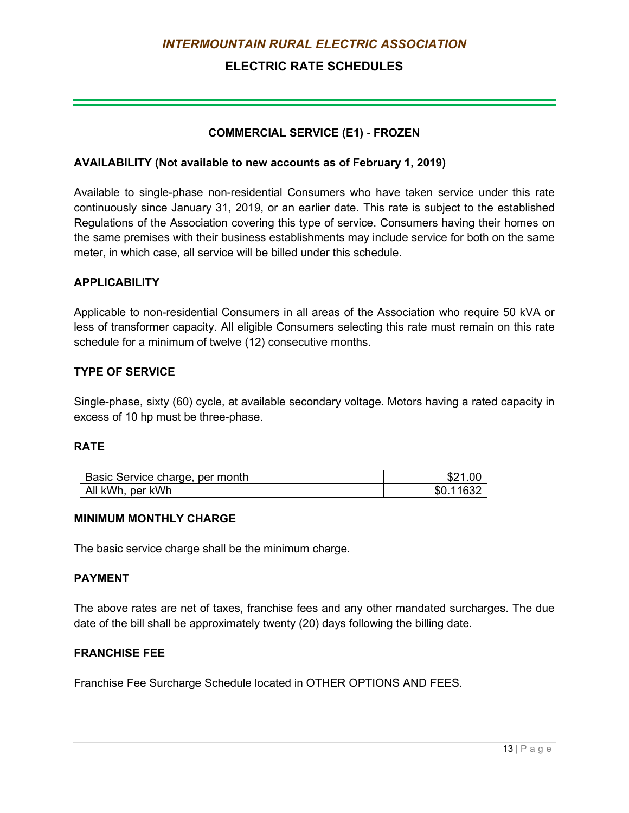## **ELECTRIC RATE SCHEDULES**

#### **COMMERCIAL SERVICE (E1) - FROZEN**

#### <span id="page-26-0"></span>**AVAILABILITY (Not available to new accounts as of February 1, 2019)**

Available to single-phase non-residential Consumers who have taken service under this rate continuously since January 31, 2019, or an earlier date. This rate is subject to the established Regulations of the Association covering this type of service. Consumers having their homes on the same premises with their business establishments may include service for both on the same meter, in which case, all service will be billed under this schedule.

#### **APPLICABILITY**

Applicable to non-residential Consumers in all areas of the Association who require 50 kVA or less of transformer capacity. All eligible Consumers selecting this rate must remain on this rate schedule for a minimum of twelve (12) consecutive months.

#### **TYPE OF SERVICE**

Single-phase, sixty (60) cycle, at available secondary voltage. Motors having a rated capacity in excess of 10 hp must be three-phase.

#### **RATE**

| Basic Service charge, per month | \$21.00   |
|---------------------------------|-----------|
| All kWh, per kWh                | \$0.11632 |

#### **MINIMUM MONTHLY CHARGE**

The basic service charge shall be the minimum charge.

#### **PAYMENT**

The above rates are net of taxes, franchise fees and any other mandated surcharges. The due date of the bill shall be approximately twenty (20) days following the billing date.

#### **FRANCHISE FEE**

Franchise Fee Surcharge Schedule located in OTHER OPTIONS AND FEES.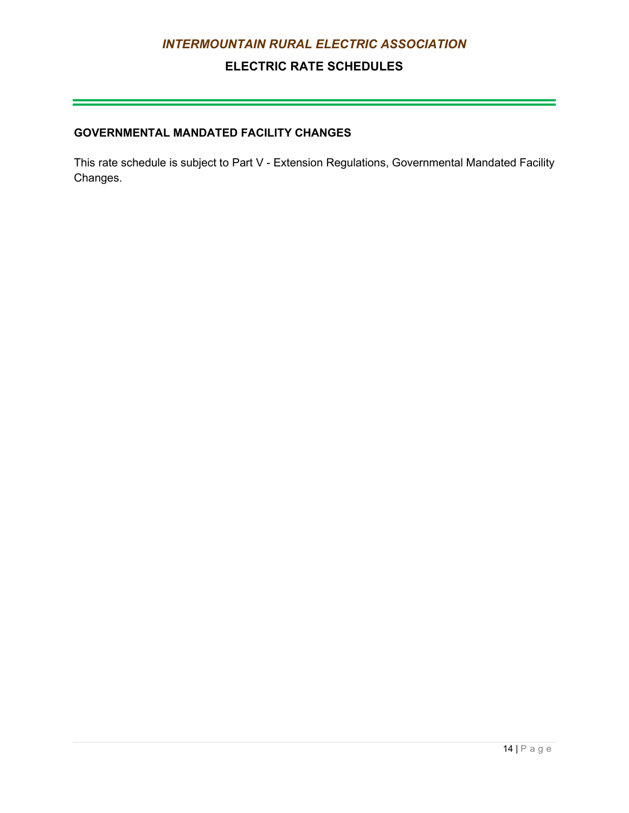## **ELECTRIC RATE SCHEDULES**

## **GOVERNMENTAL MANDATED FACILITY CHANGES**

This rate schedule is subject to Part V - Extension Regulations, Governmental Mandated Facility Changes.

 $\mathcal{L}(\mathcal{L}(\mathcal{L}(\mathcal{L}(\mathcal{L}(\mathcal{L}(\mathcal{L}(\mathcal{L}(\mathcal{L}(\mathcal{L}(\mathcal{L}(\mathcal{L}(\mathcal{L}(\mathcal{L}(\mathcal{L}(\mathcal{L}(\mathcal{L}(\mathcal{L}(\mathcal{L}(\mathcal{L}(\mathcal{L}(\mathcal{L}(\mathcal{L}(\mathcal{L}(\mathcal{L}(\mathcal{L}(\mathcal{L}(\mathcal{L}(\mathcal{L}(\mathcal{L}(\mathcal{L}(\mathcal{L}(\mathcal{L}(\mathcal{L}(\mathcal{L}(\mathcal{L}(\mathcal{$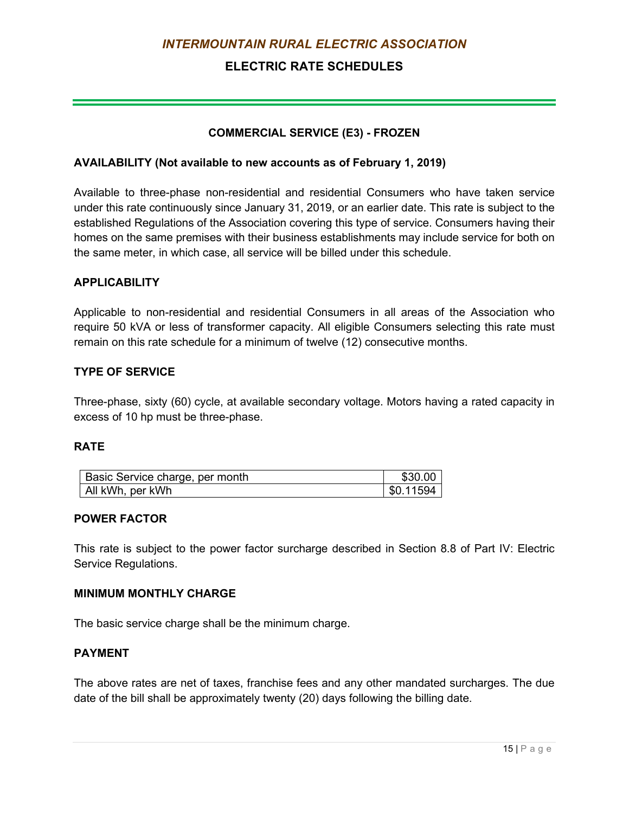## **ELECTRIC RATE SCHEDULES**

#### **COMMERCIAL SERVICE (E3) - FROZEN**

#### <span id="page-28-0"></span>**AVAILABILITY (Not available to new accounts as of February 1, 2019)**

Available to three-phase non-residential and residential Consumers who have taken service under this rate continuously since January 31, 2019, or an earlier date. This rate is subject to the established Regulations of the Association covering this type of service. Consumers having their homes on the same premises with their business establishments may include service for both on the same meter, in which case, all service will be billed under this schedule.

#### **APPLICABILITY**

Applicable to non-residential and residential Consumers in all areas of the Association who require 50 kVA or less of transformer capacity. All eligible Consumers selecting this rate must remain on this rate schedule for a minimum of twelve (12) consecutive months.

#### **TYPE OF SERVICE**

Three-phase, sixty (60) cycle, at available secondary voltage. Motors having a rated capacity in excess of 10 hp must be three-phase.

#### **RATE**

| Basic Service charge, per month | \$30.00   |
|---------------------------------|-----------|
| All kWh, per kWh                | \$0.11594 |

#### **POWER FACTOR**

This rate is subject to the power factor surcharge described in Section 8.8 of Part IV: Electric Service Regulations.

#### **MINIMUM MONTHLY CHARGE**

The basic service charge shall be the minimum charge.

#### **PAYMENT**

The above rates are net of taxes, franchise fees and any other mandated surcharges. The due date of the bill shall be approximately twenty (20) days following the billing date.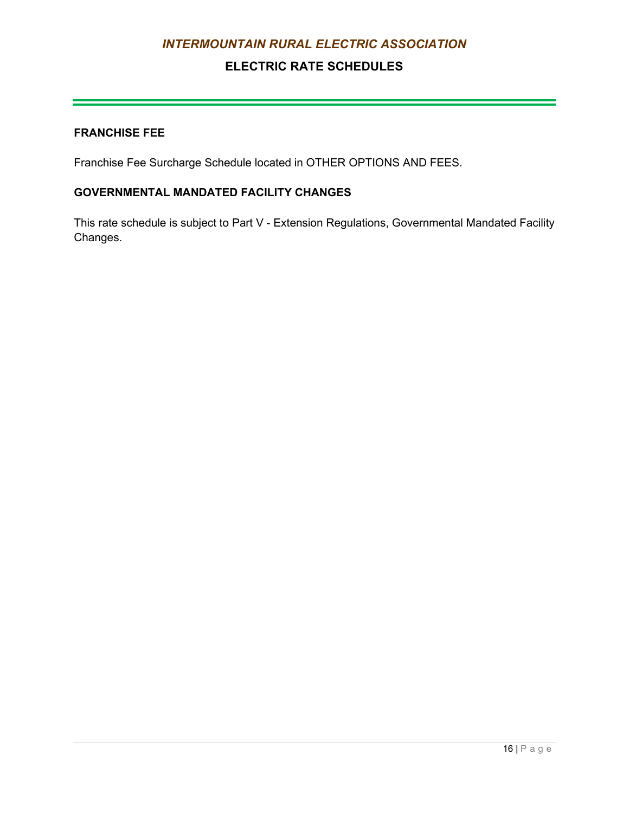## **ELECTRIC RATE SCHEDULES**

#### **FRANCHISE FEE**

Franchise Fee Surcharge Schedule located in OTHER OPTIONS AND FEES.

## **GOVERNMENTAL MANDATED FACILITY CHANGES**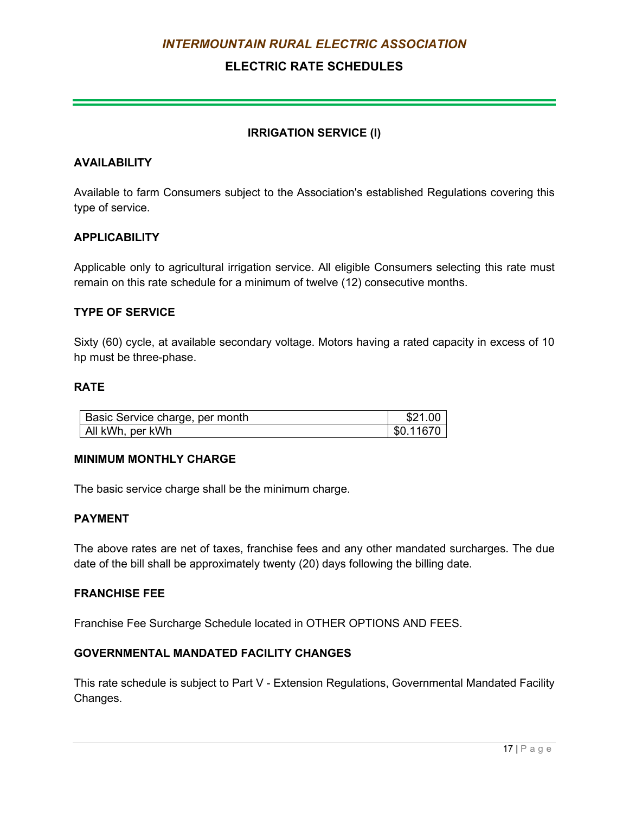## **ELECTRIC RATE SCHEDULES**

#### **IRRIGATION SERVICE (I)**

#### <span id="page-30-0"></span>**AVAILABILITY**

Available to farm Consumers subject to the Association's established Regulations covering this type of service.

#### **APPLICABILITY**

Applicable only to agricultural irrigation service. All eligible Consumers selecting this rate must remain on this rate schedule for a minimum of twelve (12) consecutive months.

#### **TYPE OF SERVICE**

Sixty (60) cycle, at available secondary voltage. Motors having a rated capacity in excess of 10 hp must be three-phase.

#### **RATE**

| Basic Service charge, per month | \$21.00   |
|---------------------------------|-----------|
| All kWh, per kWh                | \$0.11670 |

#### **MINIMUM MONTHLY CHARGE**

The basic service charge shall be the minimum charge.

#### **PAYMENT**

The above rates are net of taxes, franchise fees and any other mandated surcharges. The due date of the bill shall be approximately twenty (20) days following the billing date.

#### **FRANCHISE FEE**

Franchise Fee Surcharge Schedule located in OTHER OPTIONS AND FEES.

#### **GOVERNMENTAL MANDATED FACILITY CHANGES**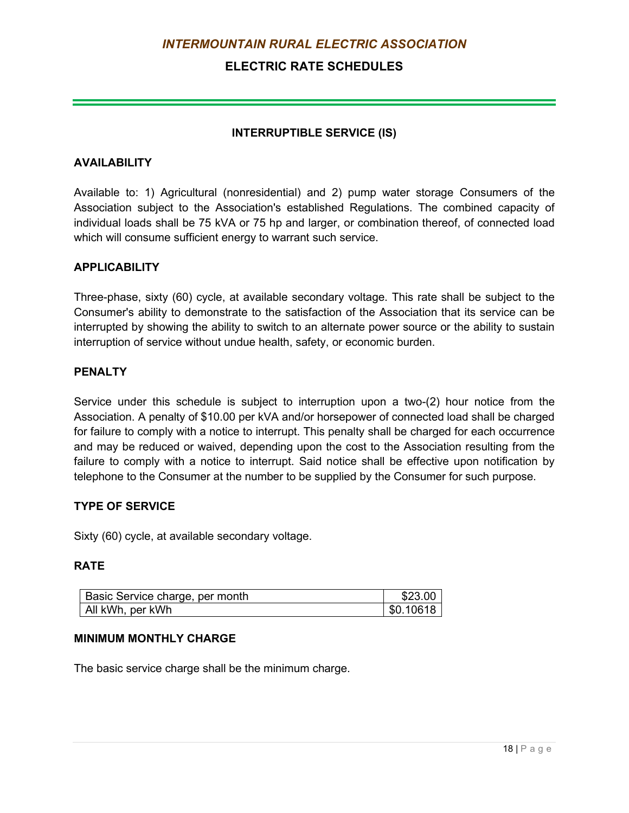## **ELECTRIC RATE SCHEDULES**

#### **INTERRUPTIBLE SERVICE (IS)**

#### <span id="page-31-0"></span>**AVAILABILITY**

Available to: 1) Agricultural (nonresidential) and 2) pump water storage Consumers of the Association subject to the Association's established Regulations. The combined capacity of individual loads shall be 75 kVA or 75 hp and larger, or combination thereof, of connected load which will consume sufficient energy to warrant such service.

#### **APPLICABILITY**

Three-phase, sixty (60) cycle, at available secondary voltage. This rate shall be subject to the Consumer's ability to demonstrate to the satisfaction of the Association that its service can be interrupted by showing the ability to switch to an alternate power source or the ability to sustain interruption of service without undue health, safety, or economic burden.

#### **PENALTY**

Service under this schedule is subject to interruption upon a two-(2) hour notice from the Association. A penalty of \$10.00 per kVA and/or horsepower of connected load shall be charged for failure to comply with a notice to interrupt. This penalty shall be charged for each occurrence and may be reduced or waived, depending upon the cost to the Association resulting from the failure to comply with a notice to interrupt. Said notice shall be effective upon notification by telephone to the Consumer at the number to be supplied by the Consumer for such purpose.

#### **TYPE OF SERVICE**

Sixty (60) cycle, at available secondary voltage.

#### **RATE**

| <b>Basic Service charge, per month</b> | \$23.00   |
|----------------------------------------|-----------|
| All kWh, per kWh                       | \$0.10618 |

#### **MINIMUM MONTHLY CHARGE**

The basic service charge shall be the minimum charge.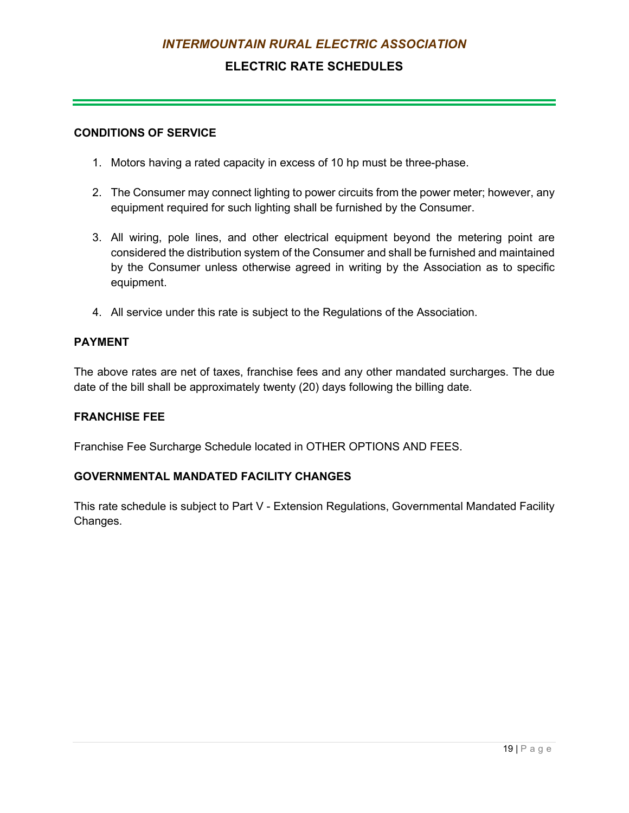## **ELECTRIC RATE SCHEDULES**

#### **CONDITIONS OF SERVICE**

- 1. Motors having a rated capacity in excess of 10 hp must be three-phase.
- 2. The Consumer may connect lighting to power circuits from the power meter; however, any equipment required for such lighting shall be furnished by the Consumer.
- 3. All wiring, pole lines, and other electrical equipment beyond the metering point are considered the distribution system of the Consumer and shall be furnished and maintained by the Consumer unless otherwise agreed in writing by the Association as to specific equipment.
- 4. All service under this rate is subject to the Regulations of the Association.

#### **PAYMENT**

The above rates are net of taxes, franchise fees and any other mandated surcharges. The due date of the bill shall be approximately twenty (20) days following the billing date.

#### **FRANCHISE FEE**

Franchise Fee Surcharge Schedule located in OTHER OPTIONS AND FEES.

#### **GOVERNMENTAL MANDATED FACILITY CHANGES**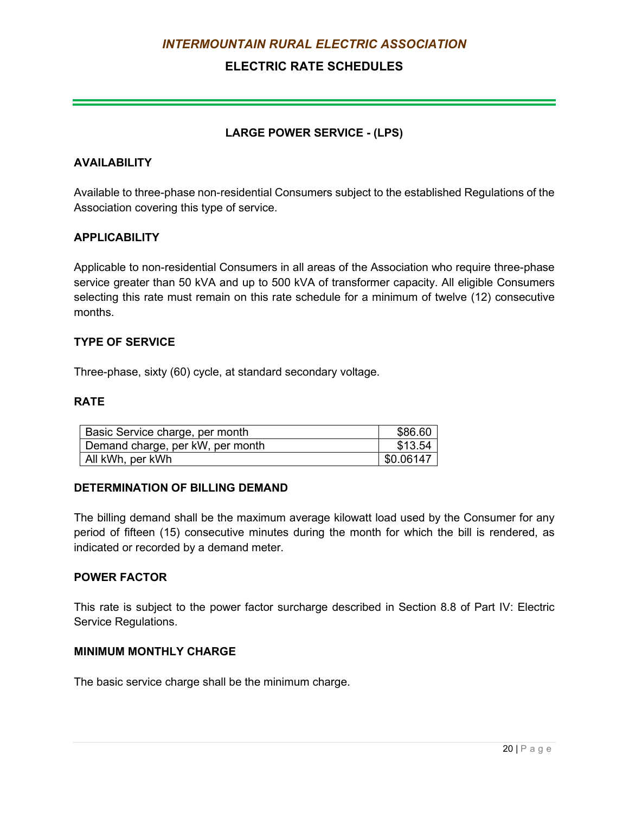## **ELECTRIC RATE SCHEDULES**

#### **LARGE POWER SERVICE - (LPS)**

#### <span id="page-33-0"></span>**AVAILABILITY**

Available to three-phase non-residential Consumers subject to the established Regulations of the Association covering this type of service.

#### **APPLICABILITY**

Applicable to non-residential Consumers in all areas of the Association who require three-phase service greater than 50 kVA and up to 500 kVA of transformer capacity. All eligible Consumers selecting this rate must remain on this rate schedule for a minimum of twelve (12) consecutive months.

#### **TYPE OF SERVICE**

Three-phase, sixty (60) cycle, at standard secondary voltage.

#### **RATE**

| Basic Service charge, per month  | \$86.60   |
|----------------------------------|-----------|
| Demand charge, per kW, per month | \$13.54   |
| All kWh, per kWh                 | \$0.06147 |

#### **DETERMINATION OF BILLING DEMAND**

The billing demand shall be the maximum average kilowatt load used by the Consumer for any period of fifteen (15) consecutive minutes during the month for which the bill is rendered, as indicated or recorded by a demand meter.

#### **POWER FACTOR**

This rate is subject to the power factor surcharge described in Section 8.8 of Part IV: Electric Service Regulations.

#### **MINIMUM MONTHLY CHARGE**

The basic service charge shall be the minimum charge.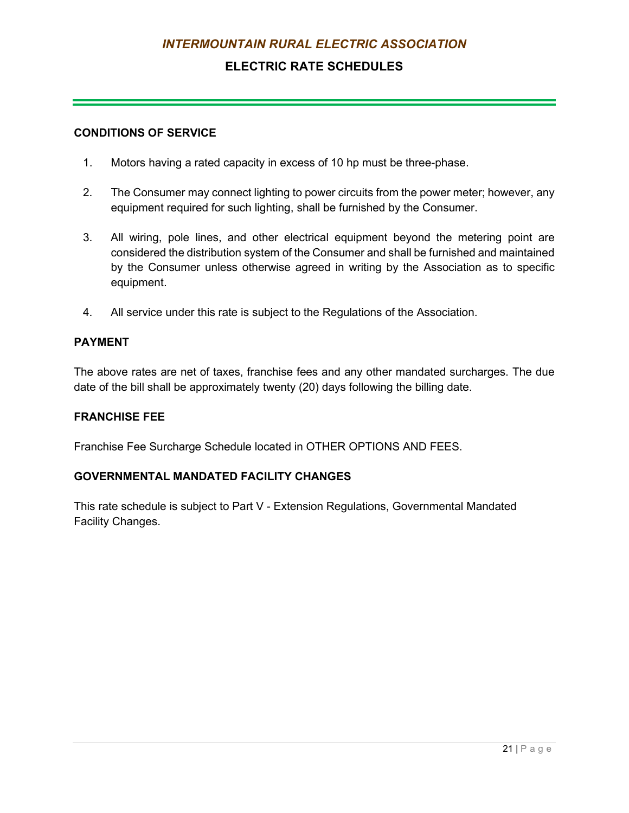## **ELECTRIC RATE SCHEDULES**

#### **CONDITIONS OF SERVICE**

- 1. Motors having a rated capacity in excess of 10 hp must be three-phase.
- 2. The Consumer may connect lighting to power circuits from the power meter; however, any equipment required for such lighting, shall be furnished by the Consumer.
- 3. All wiring, pole lines, and other electrical equipment beyond the metering point are considered the distribution system of the Consumer and shall be furnished and maintained by the Consumer unless otherwise agreed in writing by the Association as to specific equipment.
- 4. All service under this rate is subject to the Regulations of the Association.

#### **PAYMENT**

The above rates are net of taxes, franchise fees and any other mandated surcharges. The due date of the bill shall be approximately twenty (20) days following the billing date.

#### **FRANCHISE FEE**

Franchise Fee Surcharge Schedule located in OTHER OPTIONS AND FEES.

#### **GOVERNMENTAL MANDATED FACILITY CHANGES**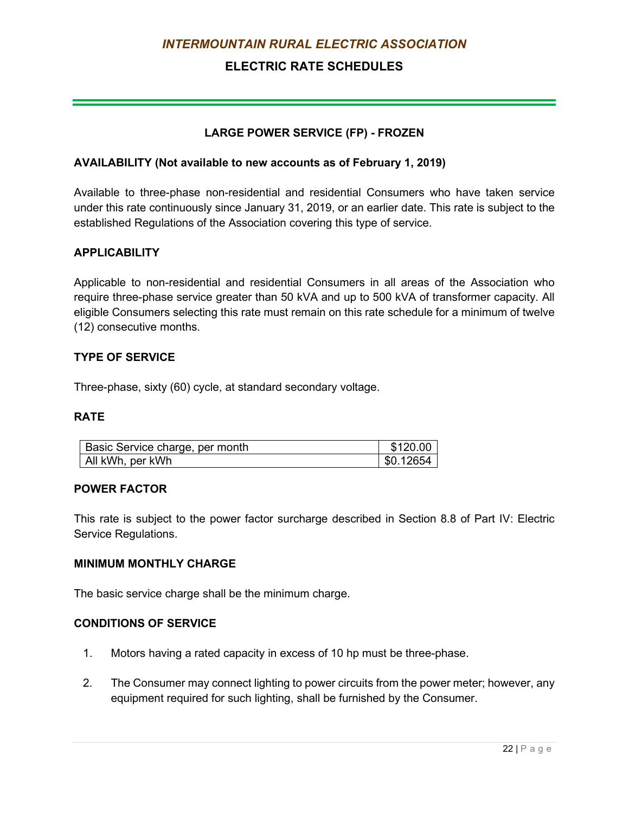## **ELECTRIC RATE SCHEDULES**

#### **LARGE POWER SERVICE (FP) - FROZEN**

#### <span id="page-35-0"></span>**AVAILABILITY (Not available to new accounts as of February 1, 2019)**

Available to three-phase non-residential and residential Consumers who have taken service under this rate continuously since January 31, 2019, or an earlier date. This rate is subject to the established Regulations of the Association covering this type of service.

#### **APPLICABILITY**

Applicable to non-residential and residential Consumers in all areas of the Association who require three-phase service greater than 50 kVA and up to 500 kVA of transformer capacity. All eligible Consumers selecting this rate must remain on this rate schedule for a minimum of twelve (12) consecutive months.

#### **TYPE OF SERVICE**

Three-phase, sixty (60) cycle, at standard secondary voltage.

#### **RATE**

| Basic Service charge, per month | \$120.00  |
|---------------------------------|-----------|
| All kWh, per kWh                | \$0.12654 |

#### **POWER FACTOR**

This rate is subject to the power factor surcharge described in Section 8.8 of Part IV: Electric Service Regulations.

#### **MINIMUM MONTHLY CHARGE**

The basic service charge shall be the minimum charge.

#### **CONDITIONS OF SERVICE**

- 1. Motors having a rated capacity in excess of 10 hp must be three-phase.
- 2. The Consumer may connect lighting to power circuits from the power meter; however, any equipment required for such lighting, shall be furnished by the Consumer.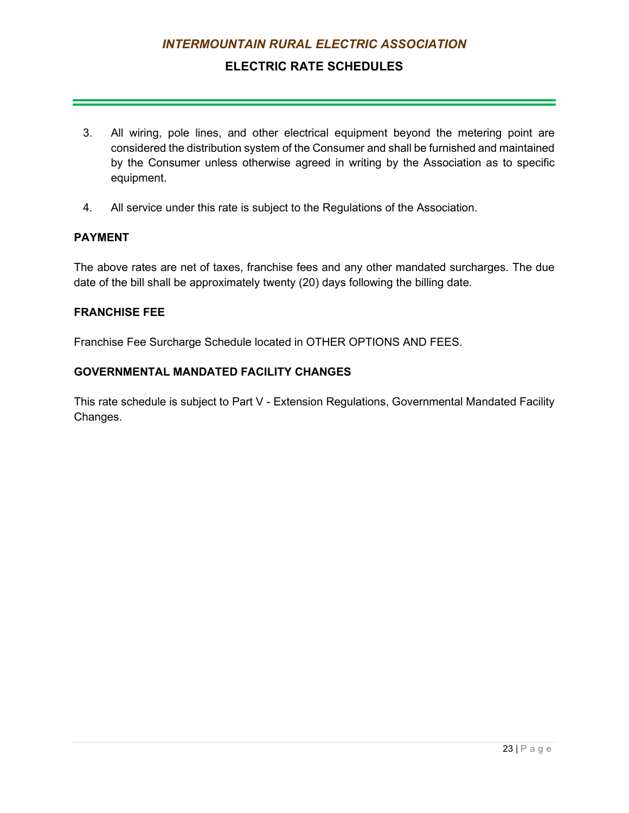## **ELECTRIC RATE SCHEDULES**

- 3. All wiring, pole lines, and other electrical equipment beyond the metering point are considered the distribution system of the Consumer and shall be furnished and maintained by the Consumer unless otherwise agreed in writing by the Association as to specific equipment.
- 4. All service under this rate is subject to the Regulations of the Association.

### **PAYMENT**

The above rates are net of taxes, franchise fees and any other mandated surcharges. The due date of the bill shall be approximately twenty (20) days following the billing date.

#### **FRANCHISE FEE**

Franchise Fee Surcharge Schedule located in OTHER OPTIONS AND FEES.

### **GOVERNMENTAL MANDATED FACILITY CHANGES**

This rate schedule is subject to Part V - Extension Regulations, Governmental Mandated Facility Changes.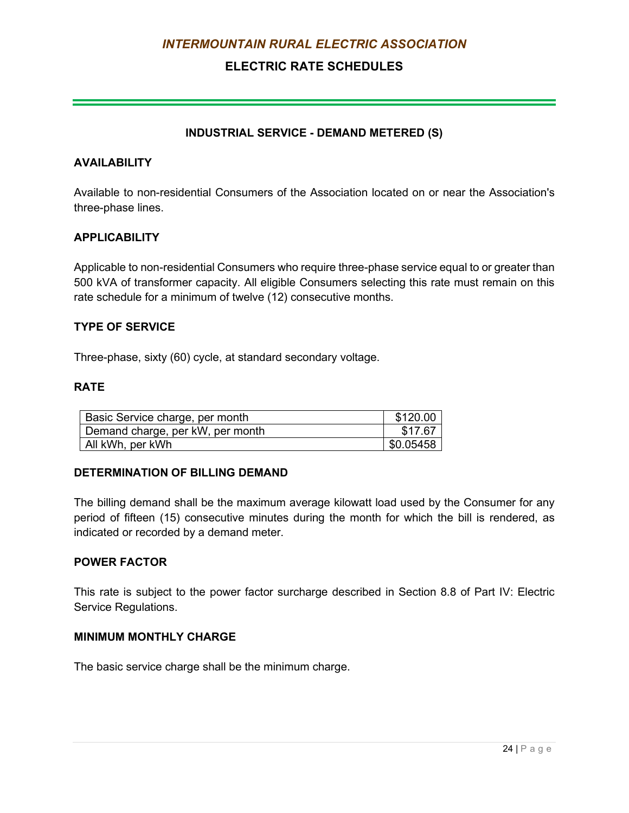## **ELECTRIC RATE SCHEDULES**

### **INDUSTRIAL SERVICE - DEMAND METERED (S)**

#### **AVAILABILITY**

Available to non-residential Consumers of the Association located on or near the Association's three-phase lines.

### **APPLICABILITY**

Applicable to non-residential Consumers who require three-phase service equal to or greater than 500 kVA of transformer capacity. All eligible Consumers selecting this rate must remain on this rate schedule for a minimum of twelve (12) consecutive months.

### **TYPE OF SERVICE**

Three-phase, sixty (60) cycle, at standard secondary voltage.

### **RATE**

| Basic Service charge, per month  | \$120.00  |
|----------------------------------|-----------|
| Demand charge, per kW, per month | \$17.67   |
| All kWh, per kWh                 | \$0.05458 |

#### **DETERMINATION OF BILLING DEMAND**

The billing demand shall be the maximum average kilowatt load used by the Consumer for any period of fifteen (15) consecutive minutes during the month for which the bill is rendered, as indicated or recorded by a demand meter.

#### **POWER FACTOR**

This rate is subject to the power factor surcharge described in Section 8.8 of Part IV: Electric Service Regulations.

#### **MINIMUM MONTHLY CHARGE**

The basic service charge shall be the minimum charge.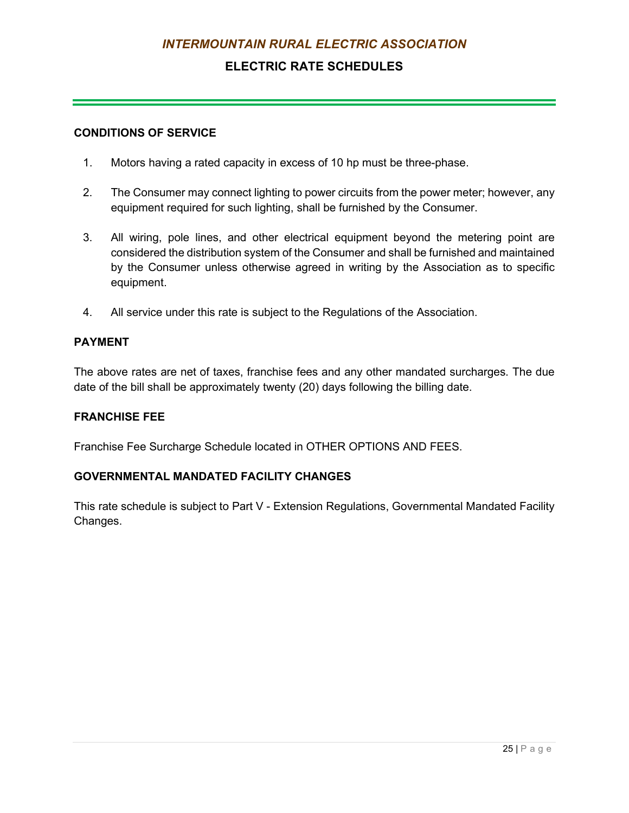## **ELECTRIC RATE SCHEDULES**

#### **CONDITIONS OF SERVICE**

- 1. Motors having a rated capacity in excess of 10 hp must be three-phase.
- 2. The Consumer may connect lighting to power circuits from the power meter; however, any equipment required for such lighting, shall be furnished by the Consumer.
- 3. All wiring, pole lines, and other electrical equipment beyond the metering point are considered the distribution system of the Consumer and shall be furnished and maintained by the Consumer unless otherwise agreed in writing by the Association as to specific equipment.
- 4. All service under this rate is subject to the Regulations of the Association.

#### **PAYMENT**

The above rates are net of taxes, franchise fees and any other mandated surcharges. The due date of the bill shall be approximately twenty (20) days following the billing date.

#### **FRANCHISE FEE**

Franchise Fee Surcharge Schedule located in OTHER OPTIONS AND FEES.

### **GOVERNMENTAL MANDATED FACILITY CHANGES**

This rate schedule is subject to Part V - Extension Regulations, Governmental Mandated Facility Changes.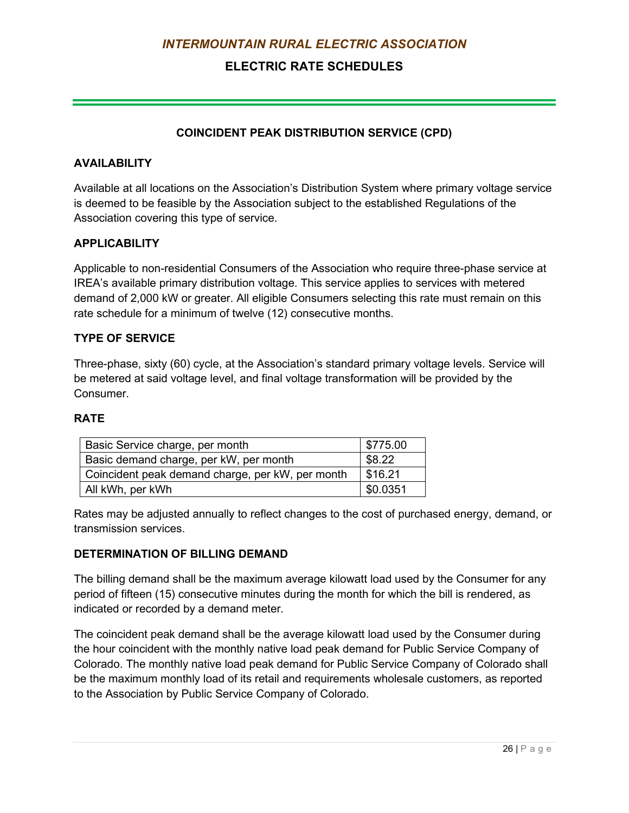## **ELECTRIC RATE SCHEDULES**

### **COINCIDENT PEAK DISTRIBUTION SERVICE (CPD)**

#### **AVAILABILITY**

Available at all locations on the Association's Distribution System where primary voltage service is deemed to be feasible by the Association subject to the established Regulations of the Association covering this type of service.

### **APPLICABILITY**

Applicable to non-residential Consumers of the Association who require three-phase service at IREA's available primary distribution voltage. This service applies to services with metered demand of 2,000 kW or greater. All eligible Consumers selecting this rate must remain on this rate schedule for a minimum of twelve (12) consecutive months.

### **TYPE OF SERVICE**

Three-phase, sixty (60) cycle, at the Association's standard primary voltage levels. Service will be metered at said voltage level, and final voltage transformation will be provided by the **Consumer** 

#### **RATE**

| Basic Service charge, per month                  | \$775.00 |
|--------------------------------------------------|----------|
| Basic demand charge, per kW, per month           | \$8.22   |
| Coincident peak demand charge, per kW, per month | \$16.21  |
| All kWh, per kWh                                 | \$0.0351 |

Rates may be adjusted annually to reflect changes to the cost of purchased energy, demand, or transmission services.

### **DETERMINATION OF BILLING DEMAND**

The billing demand shall be the maximum average kilowatt load used by the Consumer for any period of fifteen (15) consecutive minutes during the month for which the bill is rendered, as indicated or recorded by a demand meter.

The coincident peak demand shall be the average kilowatt load used by the Consumer during the hour coincident with the monthly native load peak demand for Public Service Company of Colorado. The monthly native load peak demand for Public Service Company of Colorado shall be the maximum monthly load of its retail and requirements wholesale customers, as reported to the Association by Public Service Company of Colorado.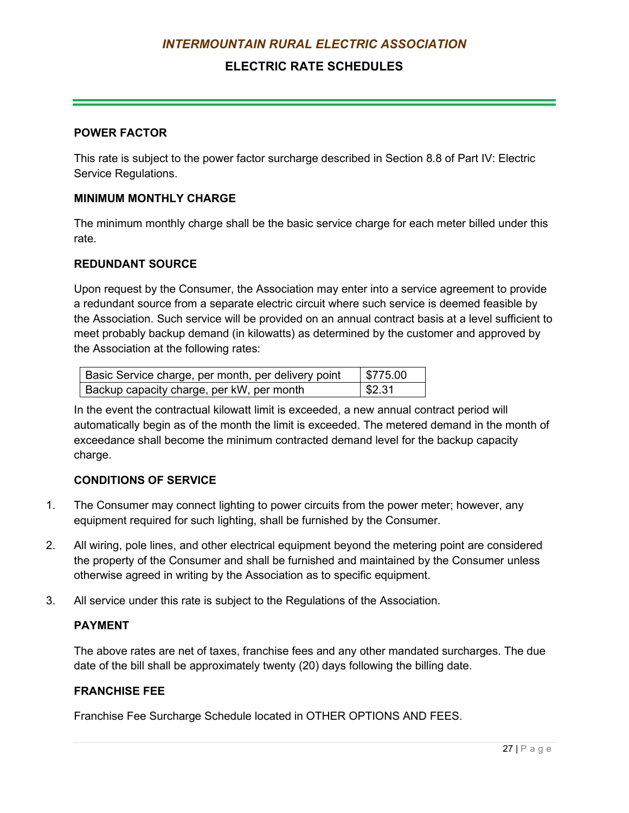## **ELECTRIC RATE SCHEDULES**

#### **POWER FACTOR**

This rate is subject to the power factor surcharge described in Section 8.8 of Part IV: Electric Service Regulations.

#### **MINIMUM MONTHLY CHARGE**

The minimum monthly charge shall be the basic service charge for each meter billed under this rate.

#### **REDUNDANT SOURCE**

Upon request by the Consumer, the Association may enter into a service agreement to provide a redundant source from a separate electric circuit where such service is deemed feasible by the Association. Such service will be provided on an annual contract basis at a level sufficient to meet probably backup demand (in kilowatts) as determined by the customer and approved by the Association at the following rates:

| Basic Service charge, per month, per delivery point | $\frac{1}{2}$ \$775.00 |
|-----------------------------------------------------|------------------------|
| Backup capacity charge, per kW, per month           | \$2.31                 |

In the event the contractual kilowatt limit is exceeded, a new annual contract period will automatically begin as of the month the limit is exceeded. The metered demand in the month of exceedance shall become the minimum contracted demand level for the backup capacity charge.

#### **CONDITIONS OF SERVICE**

- 1. The Consumer may connect lighting to power circuits from the power meter; however, any equipment required for such lighting, shall be furnished by the Consumer.
- 2. All wiring, pole lines, and other electrical equipment beyond the metering point are considered the property of the Consumer and shall be furnished and maintained by the Consumer unless otherwise agreed in writing by the Association as to specific equipment.
- 3. All service under this rate is subject to the Regulations of the Association.

#### **PAYMENT**

The above rates are net of taxes, franchise fees and any other mandated surcharges. The due date of the bill shall be approximately twenty (20) days following the billing date.

#### **FRANCHISE FEE**

Franchise Fee Surcharge Schedule located in OTHER OPTIONS AND FEES.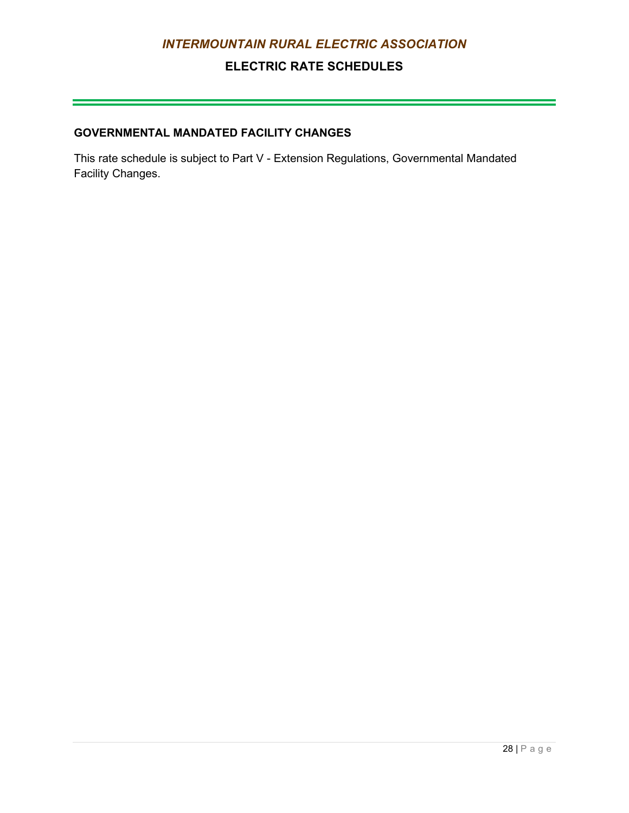## **ELECTRIC RATE SCHEDULES**

## **GOVERNMENTAL MANDATED FACILITY CHANGES**

This rate schedule is subject to Part V - Extension Regulations, Governmental Mandated Facility Changes.

 $\mathcal{L}(\mathcal{L}(\mathcal{L}(\mathcal{L}(\mathcal{L}(\mathcal{L}(\mathcal{L}(\mathcal{L}(\mathcal{L}(\mathcal{L}(\mathcal{L}(\mathcal{L}(\mathcal{L}(\mathcal{L}(\mathcal{L}(\mathcal{L}(\mathcal{L}(\mathcal{L}(\mathcal{L}(\mathcal{L}(\mathcal{L}(\mathcal{L}(\mathcal{L}(\mathcal{L}(\mathcal{L}(\mathcal{L}(\mathcal{L}(\mathcal{L}(\mathcal{L}(\mathcal{L}(\mathcal{L}(\mathcal{L}(\mathcal{L}(\mathcal{L}(\mathcal{L}(\mathcal{L}(\mathcal{$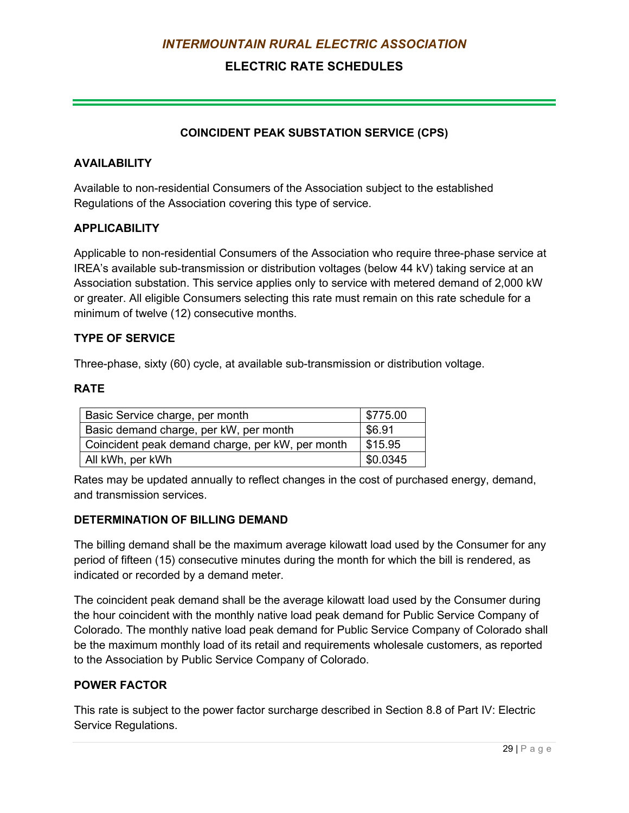## **ELECTRIC RATE SCHEDULES**

### **COINCIDENT PEAK SUBSTATION SERVICE (CPS)**

### **AVAILABILITY**

Available to non-residential Consumers of the Association subject to the established Regulations of the Association covering this type of service.

#### **APPLICABILITY**

Applicable to non-residential Consumers of the Association who require three-phase service at IREA's available sub-transmission or distribution voltages (below 44 kV) taking service at an Association substation. This service applies only to service with metered demand of 2,000 kW or greater. All eligible Consumers selecting this rate must remain on this rate schedule for a minimum of twelve (12) consecutive months.

### **TYPE OF SERVICE**

Three-phase, sixty (60) cycle, at available sub-transmission or distribution voltage.

### **RATE**

| Basic Service charge, per month                  | $\frac{1}{2}$ \$775.00 |
|--------------------------------------------------|------------------------|
| Basic demand charge, per kW, per month           | \$6.91                 |
| Coincident peak demand charge, per kW, per month | \$15.95                |
| All kWh, per kWh                                 | \$0.0345               |

Rates may be updated annually to reflect changes in the cost of purchased energy, demand, and transmission services.

#### **DETERMINATION OF BILLING DEMAND**

The billing demand shall be the maximum average kilowatt load used by the Consumer for any period of fifteen (15) consecutive minutes during the month for which the bill is rendered, as indicated or recorded by a demand meter.

The coincident peak demand shall be the average kilowatt load used by the Consumer during the hour coincident with the monthly native load peak demand for Public Service Company of Colorado. The monthly native load peak demand for Public Service Company of Colorado shall be the maximum monthly load of its retail and requirements wholesale customers, as reported to the Association by Public Service Company of Colorado.

#### **POWER FACTOR**

This rate is subject to the power factor surcharge described in Section 8.8 of Part IV: Electric Service Regulations.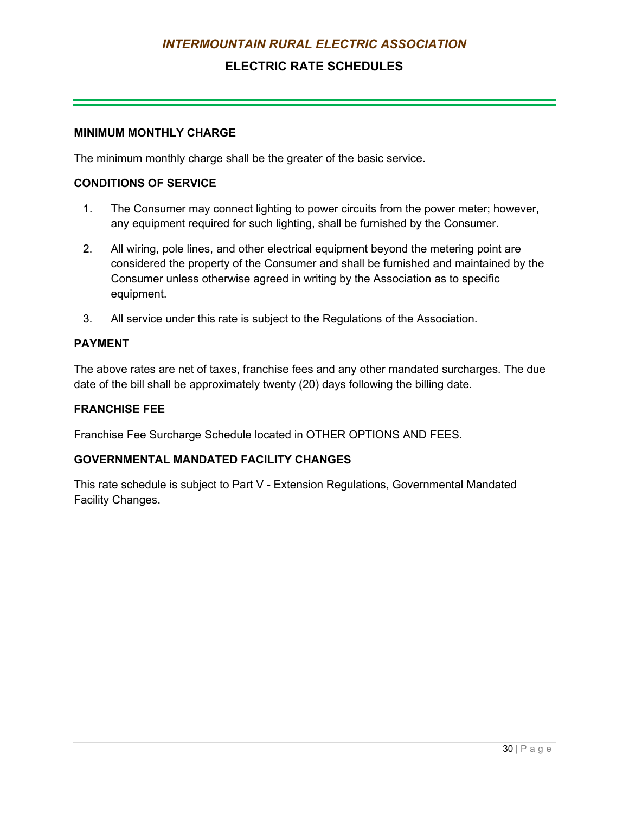## **ELECTRIC RATE SCHEDULES**

#### **MINIMUM MONTHLY CHARGE**

The minimum monthly charge shall be the greater of the basic service.

#### **CONDITIONS OF SERVICE**

- 1. The Consumer may connect lighting to power circuits from the power meter; however, any equipment required for such lighting, shall be furnished by the Consumer.
- 2. All wiring, pole lines, and other electrical equipment beyond the metering point are considered the property of the Consumer and shall be furnished and maintained by the Consumer unless otherwise agreed in writing by the Association as to specific equipment.
- 3. All service under this rate is subject to the Regulations of the Association.

#### **PAYMENT**

The above rates are net of taxes, franchise fees and any other mandated surcharges. The due date of the bill shall be approximately twenty (20) days following the billing date.

#### **FRANCHISE FEE**

Franchise Fee Surcharge Schedule located in OTHER OPTIONS AND FEES.

### **GOVERNMENTAL MANDATED FACILITY CHANGES**

This rate schedule is subject to Part V - Extension Regulations, Governmental Mandated Facility Changes.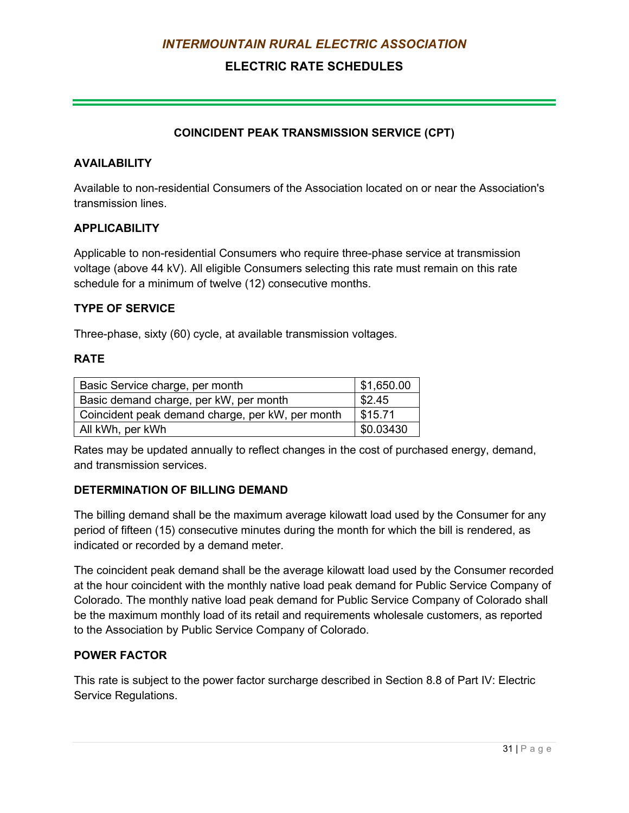## **ELECTRIC RATE SCHEDULES**

### **COINCIDENT PEAK TRANSMISSION SERVICE (CPT)**

#### **AVAILABILITY**

Available to non-residential Consumers of the Association located on or near the Association's transmission lines.

#### **APPLICABILITY**

Applicable to non-residential Consumers who require three-phase service at transmission voltage (above 44 kV). All eligible Consumers selecting this rate must remain on this rate schedule for a minimum of twelve (12) consecutive months.

### **TYPE OF SERVICE**

Three-phase, sixty (60) cycle, at available transmission voltages.

#### **RATE**

| Basic Service charge, per month                  | $\vert$ \$1,650.00 |
|--------------------------------------------------|--------------------|
| Basic demand charge, per kW, per month           | \$2.45             |
| Coincident peak demand charge, per kW, per month | \$15.71            |
| All kWh, per kWh                                 | \$0.03430          |

Rates may be updated annually to reflect changes in the cost of purchased energy, demand, and transmission services.

#### **DETERMINATION OF BILLING DEMAND**

The billing demand shall be the maximum average kilowatt load used by the Consumer for any period of fifteen (15) consecutive minutes during the month for which the bill is rendered, as indicated or recorded by a demand meter.

The coincident peak demand shall be the average kilowatt load used by the Consumer recorded at the hour coincident with the monthly native load peak demand for Public Service Company of Colorado. The monthly native load peak demand for Public Service Company of Colorado shall be the maximum monthly load of its retail and requirements wholesale customers, as reported to the Association by Public Service Company of Colorado.

### **POWER FACTOR**

This rate is subject to the power factor surcharge described in Section 8.8 of Part IV: Electric Service Regulations.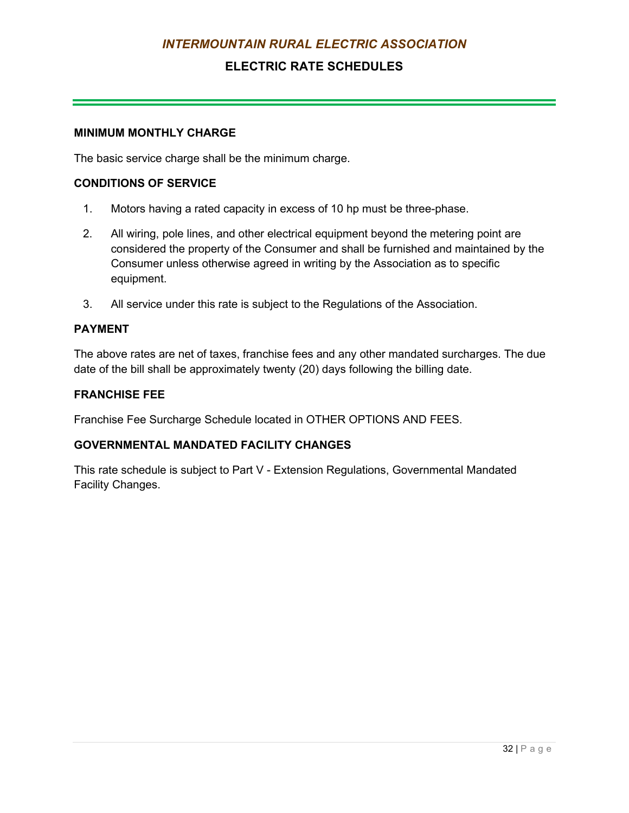## **ELECTRIC RATE SCHEDULES**

#### **MINIMUM MONTHLY CHARGE**

The basic service charge shall be the minimum charge.

#### **CONDITIONS OF SERVICE**

- 1. Motors having a rated capacity in excess of 10 hp must be three-phase.
- 2. All wiring, pole lines, and other electrical equipment beyond the metering point are considered the property of the Consumer and shall be furnished and maintained by the Consumer unless otherwise agreed in writing by the Association as to specific equipment.
- 3. All service under this rate is subject to the Regulations of the Association.

### **PAYMENT**

The above rates are net of taxes, franchise fees and any other mandated surcharges. The due date of the bill shall be approximately twenty (20) days following the billing date.

#### **FRANCHISE FEE**

Franchise Fee Surcharge Schedule located in OTHER OPTIONS AND FEES.

### **GOVERNMENTAL MANDATED FACILITY CHANGES**

This rate schedule is subject to Part V - Extension Regulations, Governmental Mandated Facility Changes.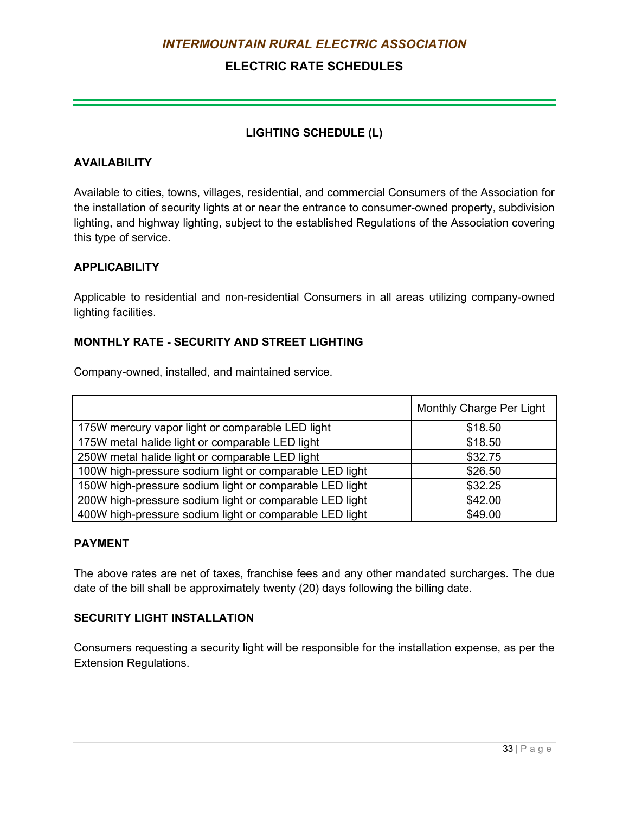## **ELECTRIC RATE SCHEDULES**

### **LIGHTING SCHEDULE (L)**

### **AVAILABILITY**

Available to cities, towns, villages, residential, and commercial Consumers of the Association for the installation of security lights at or near the entrance to consumer-owned property, subdivision lighting, and highway lighting, subject to the established Regulations of the Association covering this type of service.

### **APPLICABILITY**

Applicable to residential and non-residential Consumers in all areas utilizing company-owned lighting facilities.

### **MONTHLY RATE - SECURITY AND STREET LIGHTING**

Company-owned, installed, and maintained service.

|                                                         | Monthly Charge Per Light |
|---------------------------------------------------------|--------------------------|
| 175W mercury vapor light or comparable LED light        | \$18.50                  |
| 175W metal halide light or comparable LED light         | \$18.50                  |
| 250W metal halide light or comparable LED light         | \$32.75                  |
| 100W high-pressure sodium light or comparable LED light | \$26.50                  |
| 150W high-pressure sodium light or comparable LED light | \$32.25                  |
| 200W high-pressure sodium light or comparable LED light | \$42.00                  |
| 400W high-pressure sodium light or comparable LED light | \$49.00                  |

#### **PAYMENT**

The above rates are net of taxes, franchise fees and any other mandated surcharges. The due date of the bill shall be approximately twenty (20) days following the billing date.

### **SECURITY LIGHT INSTALLATION**

Consumers requesting a security light will be responsible for the installation expense, as per the Extension Regulations.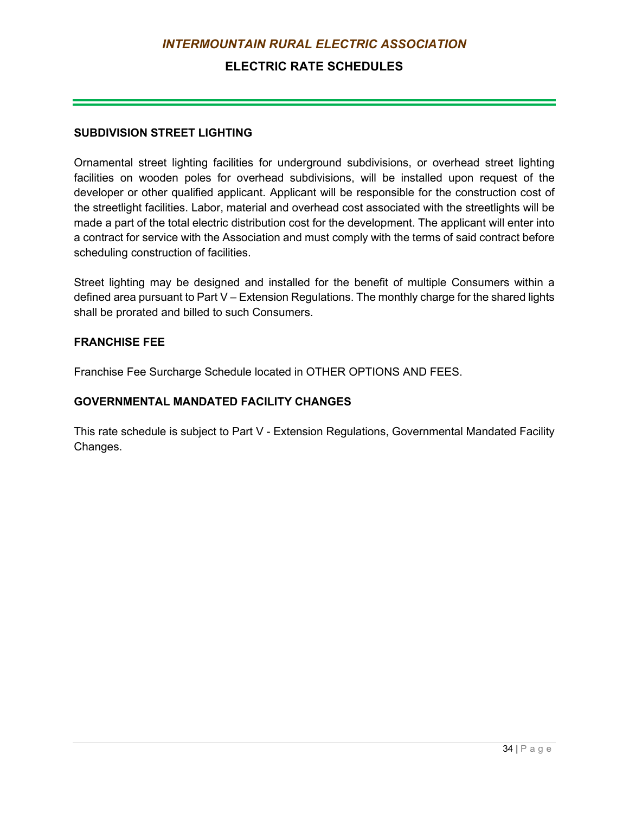## **ELECTRIC RATE SCHEDULES**

#### **SUBDIVISION STREET LIGHTING**

Ornamental street lighting facilities for underground subdivisions, or overhead street lighting facilities on wooden poles for overhead subdivisions, will be installed upon request of the developer or other qualified applicant. Applicant will be responsible for the construction cost of the streetlight facilities. Labor, material and overhead cost associated with the streetlights will be made a part of the total electric distribution cost for the development. The applicant will enter into a contract for service with the Association and must comply with the terms of said contract before scheduling construction of facilities.

Street lighting may be designed and installed for the benefit of multiple Consumers within a defined area pursuant to Part V – Extension Regulations. The monthly charge for the shared lights shall be prorated and billed to such Consumers.

### **FRANCHISE FEE**

Franchise Fee Surcharge Schedule located in OTHER OPTIONS AND FEES.

### **GOVERNMENTAL MANDATED FACILITY CHANGES**

This rate schedule is subject to Part V - Extension Regulations, Governmental Mandated Facility Changes.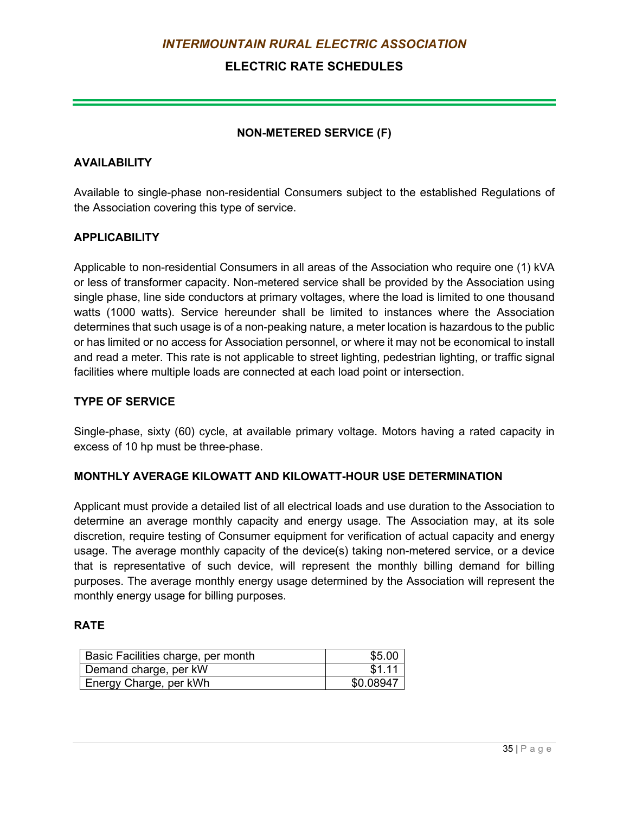## **ELECTRIC RATE SCHEDULES**

### **NON-METERED SERVICE (F)**

### **AVAILABILITY**

Available to single-phase non-residential Consumers subject to the established Regulations of the Association covering this type of service.

### **APPLICABILITY**

Applicable to non-residential Consumers in all areas of the Association who require one (1) kVA or less of transformer capacity. Non-metered service shall be provided by the Association using single phase, line side conductors at primary voltages, where the load is limited to one thousand watts (1000 watts). Service hereunder shall be limited to instances where the Association determines that such usage is of a non-peaking nature, a meter location is hazardous to the public or has limited or no access for Association personnel, or where it may not be economical to install and read a meter. This rate is not applicable to street lighting, pedestrian lighting, or traffic signal facilities where multiple loads are connected at each load point or intersection.

### **TYPE OF SERVICE**

Single-phase, sixty (60) cycle, at available primary voltage. Motors having a rated capacity in excess of 10 hp must be three-phase.

#### **MONTHLY AVERAGE KILOWATT AND KILOWATT-HOUR USE DETERMINATION**

Applicant must provide a detailed list of all electrical loads and use duration to the Association to determine an average monthly capacity and energy usage. The Association may, at its sole discretion, require testing of Consumer equipment for verification of actual capacity and energy usage. The average monthly capacity of the device(s) taking non-metered service, or a device that is representative of such device, will represent the monthly billing demand for billing purposes. The average monthly energy usage determined by the Association will represent the monthly energy usage for billing purposes.

#### **RATE**

| Basic Facilities charge, per month | \$5.00    |
|------------------------------------|-----------|
| Demand charge, per kW              | \$1.11    |
| Energy Charge, per kWh             | \$0.08947 |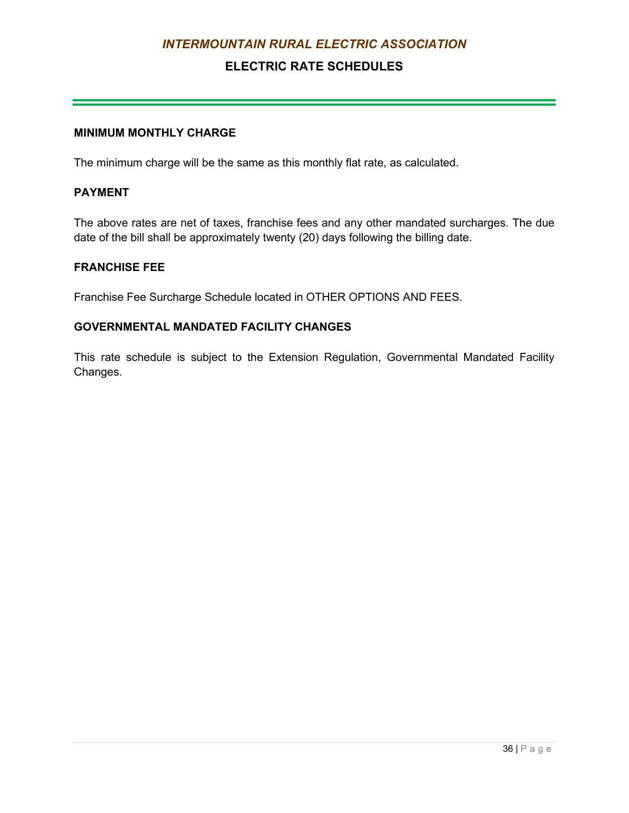## **ELECTRIC RATE SCHEDULES**

## **MINIMUM MONTHLY CHARGE**

The minimum charge will be the same as this monthly flat rate, as calculated.

### **PAYMENT**

The above rates are net of taxes, franchise fees and any other mandated surcharges. The due date of the bill shall be approximately twenty (20) days following the billing date.

#### **FRANCHISE FEE**

Franchise Fee Surcharge Schedule located in OTHER OPTIONS AND FEES.

### **GOVERNMENTAL MANDATED FACILITY CHANGES**

This rate schedule is subject to the Extension Regulation, Governmental Mandated Facility Changes.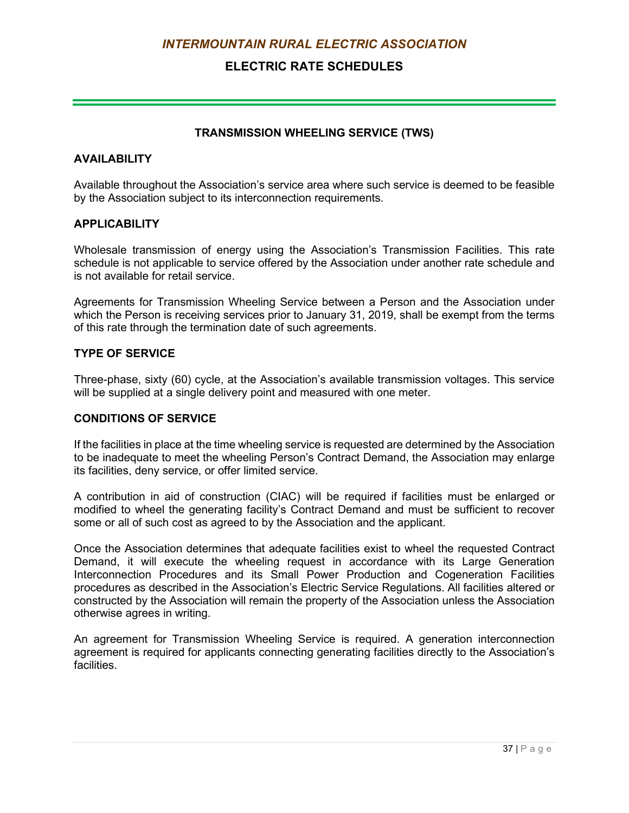## **ELECTRIC RATE SCHEDULES**

#### **TRANSMISSION WHEELING SERVICE (TWS)**

#### **AVAILABILITY**

Available throughout the Association's service area where such service is deemed to be feasible by the Association subject to its interconnection requirements.

#### **APPLICABILITY**

Wholesale transmission of energy using the Association's Transmission Facilities. This rate schedule is not applicable to service offered by the Association under another rate schedule and is not available for retail service.

Agreements for Transmission Wheeling Service between a Person and the Association under which the Person is receiving services prior to January 31, 2019, shall be exempt from the terms of this rate through the termination date of such agreements.

#### **TYPE OF SERVICE**

Three-phase, sixty (60) cycle, at the Association's available transmission voltages. This service will be supplied at a single delivery point and measured with one meter.

#### **CONDITIONS OF SERVICE**

If the facilities in place at the time wheeling service is requested are determined by the Association to be inadequate to meet the wheeling Person's Contract Demand, the Association may enlarge its facilities, deny service, or offer limited service.

A contribution in aid of construction (CIAC) will be required if facilities must be enlarged or modified to wheel the generating facility's Contract Demand and must be sufficient to recover some or all of such cost as agreed to by the Association and the applicant.

Once the Association determines that adequate facilities exist to wheel the requested Contract Demand, it will execute the wheeling request in accordance with its Large Generation Interconnection Procedures and its Small Power Production and Cogeneration Facilities procedures as described in the Association's Electric Service Regulations. All facilities altered or constructed by the Association will remain the property of the Association unless the Association otherwise agrees in writing.

An agreement for Transmission Wheeling Service is required. A generation interconnection agreement is required for applicants connecting generating facilities directly to the Association's facilities.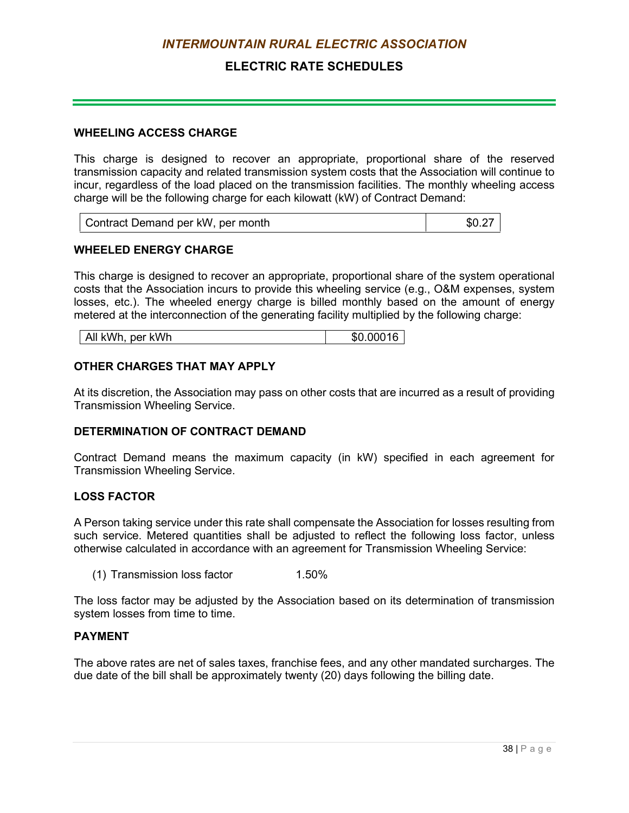## **ELECTRIC RATE SCHEDULES**

#### **WHEELING ACCESS CHARGE**

This charge is designed to recover an appropriate, proportional share of the reserved transmission capacity and related transmission system costs that the Association will continue to incur, regardless of the load placed on the transmission facilities. The monthly wheeling access charge will be the following charge for each kilowatt (kW) of Contract Demand:

| Contract Demand per kW, per month | \$0.27 |
|-----------------------------------|--------|
|-----------------------------------|--------|

#### **WHEELED ENERGY CHARGE**

This charge is designed to recover an appropriate, proportional share of the system operational costs that the Association incurs to provide this wheeling service (e.g., O&M expenses, system losses, etc.). The wheeled energy charge is billed monthly based on the amount of energy metered at the interconnection of the generating facility multiplied by the following charge:

### **OTHER CHARGES THAT MAY APPLY**

At its discretion, the Association may pass on other costs that are incurred as a result of providing Transmission Wheeling Service.

#### **DETERMINATION OF CONTRACT DEMAND**

Contract Demand means the maximum capacity (in kW) specified in each agreement for Transmission Wheeling Service.

#### **LOSS FACTOR**

A Person taking service under this rate shall compensate the Association for losses resulting from such service. Metered quantities shall be adjusted to reflect the following loss factor, unless otherwise calculated in accordance with an agreement for Transmission Wheeling Service:

(1) Transmission loss factor 1.50%

The loss factor may be adjusted by the Association based on its determination of transmission system losses from time to time.

#### **PAYMENT**

The above rates are net of sales taxes, franchise fees, and any other mandated surcharges. The due date of the bill shall be approximately twenty (20) days following the billing date.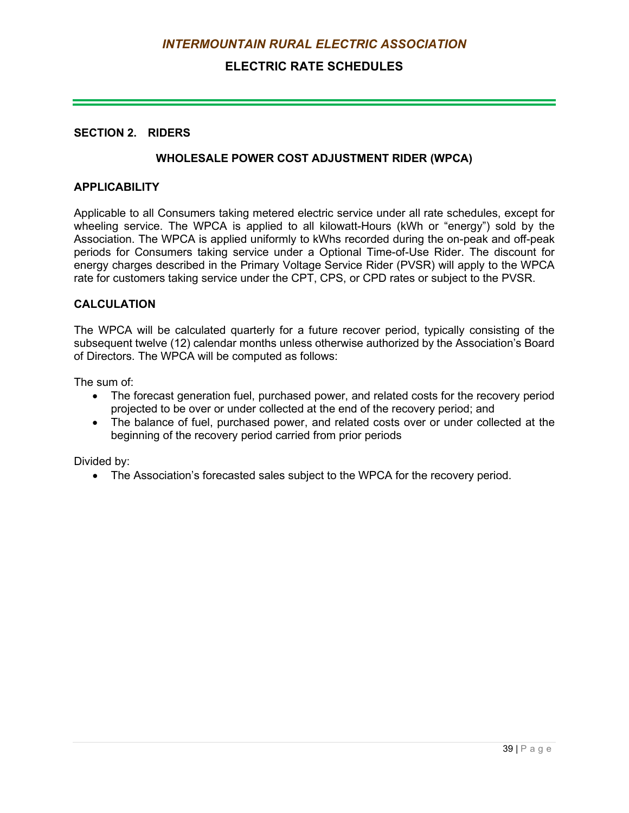## **ELECTRIC RATE SCHEDULES**

#### **SECTION 2. RIDERS**

#### **WHOLESALE POWER COST ADJUSTMENT RIDER (WPCA)**

#### **APPLICABILITY**

Applicable to all Consumers taking metered electric service under all rate schedules, except for wheeling service. The WPCA is applied to all kilowatt-Hours (kWh or "energy") sold by the Association. The WPCA is applied uniformly to kWhs recorded during the on-peak and off-peak periods for Consumers taking service under a Optional Time-of-Use Rider. The discount for energy charges described in the Primary Voltage Service Rider (PVSR) will apply to the WPCA rate for customers taking service under the CPT, CPS, or CPD rates or subject to the PVSR.

#### **CALCULATION**

The WPCA will be calculated quarterly for a future recover period, typically consisting of the subsequent twelve (12) calendar months unless otherwise authorized by the Association's Board of Directors. The WPCA will be computed as follows:

The sum of:

- The forecast generation fuel, purchased power, and related costs for the recovery period projected to be over or under collected at the end of the recovery period; and
- The balance of fuel, purchased power, and related costs over or under collected at the beginning of the recovery period carried from prior periods

Divided by:

• The Association's forecasted sales subject to the WPCA for the recovery period.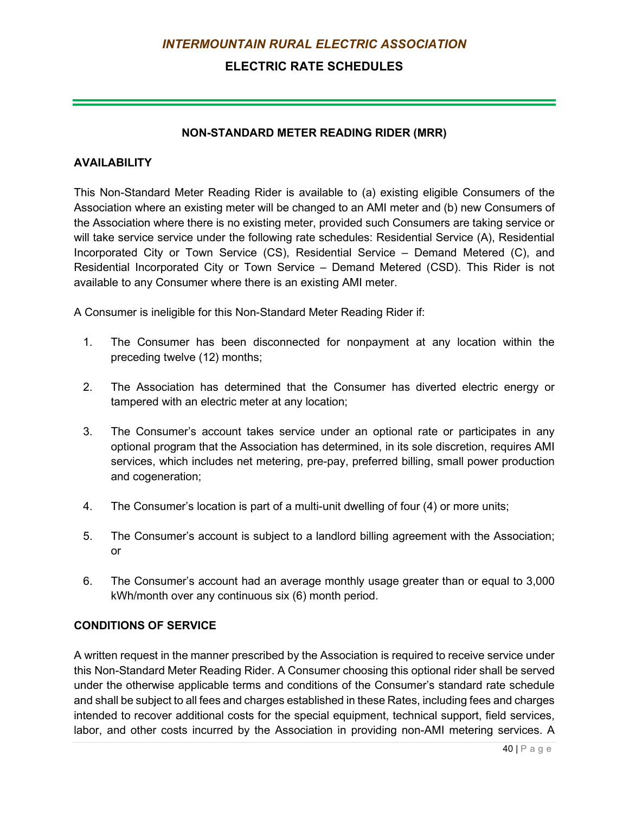## **ELECTRIC RATE SCHEDULES**

#### **NON-STANDARD METER READING RIDER (MRR)**

### **AVAILABILITY**

This Non-Standard Meter Reading Rider is available to (a) existing eligible Consumers of the Association where an existing meter will be changed to an AMI meter and (b) new Consumers of the Association where there is no existing meter, provided such Consumers are taking service or will take service service under the following rate schedules: Residential Service (A), Residential Incorporated City or Town Service (CS), Residential Service – Demand Metered (C), and Residential Incorporated City or Town Service – Demand Metered (CSD). This Rider is not available to any Consumer where there is an existing AMI meter.

A Consumer is ineligible for this Non-Standard Meter Reading Rider if:

- 1. The Consumer has been disconnected for nonpayment at any location within the preceding twelve (12) months;
- 2. The Association has determined that the Consumer has diverted electric energy or tampered with an electric meter at any location;
- 3. The Consumer's account takes service under an optional rate or participates in any optional program that the Association has determined, in its sole discretion, requires AMI services, which includes net metering, pre-pay, preferred billing, small power production and cogeneration;
- 4. The Consumer's location is part of a multi-unit dwelling of four (4) or more units;
- 5. The Consumer's account is subject to a landlord billing agreement with the Association; or
- 6. The Consumer's account had an average monthly usage greater than or equal to 3,000 kWh/month over any continuous six (6) month period.

#### **CONDITIONS OF SERVICE**

A written request in the manner prescribed by the Association is required to receive service under this Non-Standard Meter Reading Rider. A Consumer choosing this optional rider shall be served under the otherwise applicable terms and conditions of the Consumer's standard rate schedule and shall be subject to all fees and charges established in these Rates, including fees and charges intended to recover additional costs for the special equipment, technical support, field services, labor, and other costs incurred by the Association in providing non-AMI metering services. A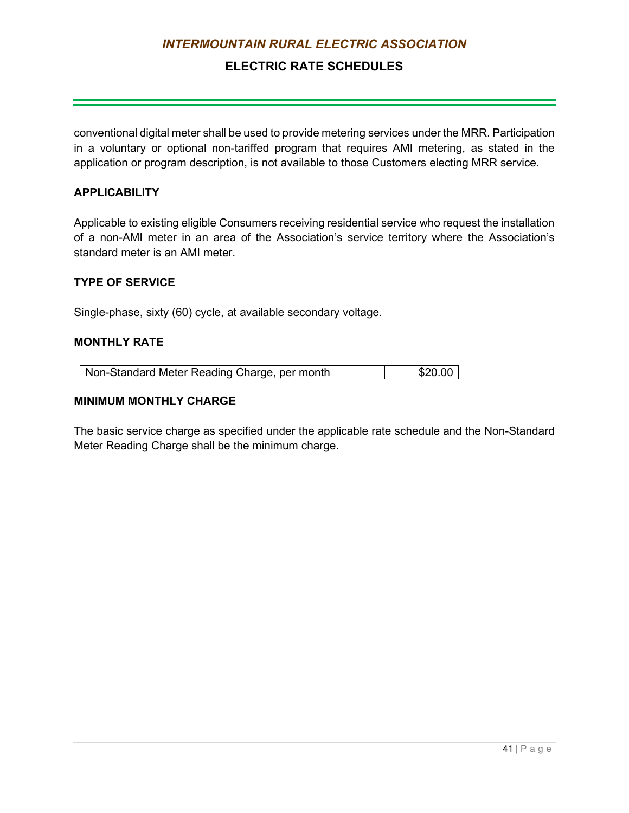## **ELECTRIC RATE SCHEDULES**

conventional digital meter shall be used to provide metering services under the MRR. Participation in a voluntary or optional non-tariffed program that requires AMI metering, as stated in the application or program description, is not available to those Customers electing MRR service.

#### **APPLICABILITY**

Applicable to existing eligible Consumers receiving residential service who request the installation of a non-AMI meter in an area of the Association's service territory where the Association's standard meter is an AMI meter.

#### **TYPE OF SERVICE**

Single-phase, sixty (60) cycle, at available secondary voltage.

#### **MONTHLY RATE**

#### **MINIMUM MONTHLY CHARGE**

The basic service charge as specified under the applicable rate schedule and the Non-Standard Meter Reading Charge shall be the minimum charge.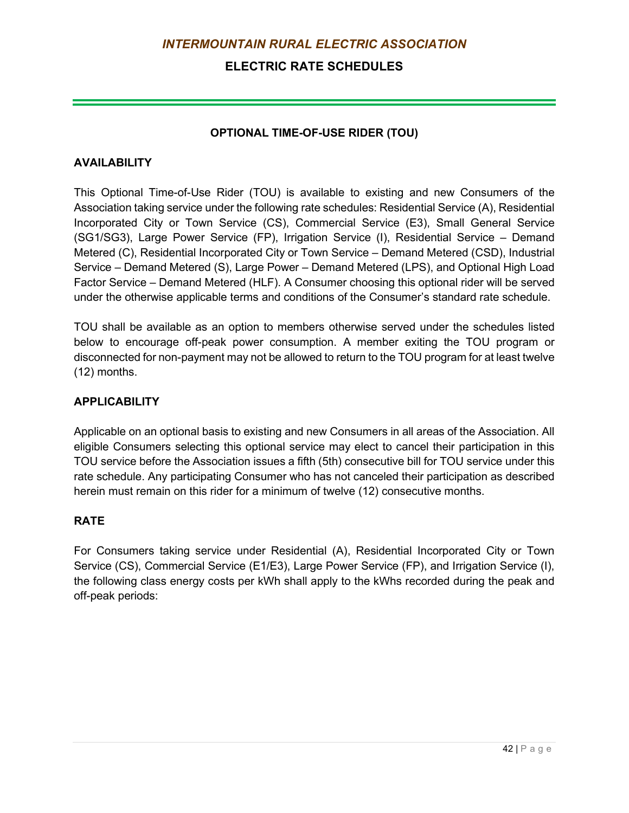## **ELECTRIC RATE SCHEDULES**

### **OPTIONAL TIME-OF-USE RIDER (TOU)**

### **AVAILABILITY**

This Optional Time-of-Use Rider (TOU) is available to existing and new Consumers of the Association taking service under the following rate schedules: Residential Service (A), Residential Incorporated City or Town Service (CS), Commercial Service (E3), Small General Service (SG1/SG3), Large Power Service (FP), Irrigation Service (I), Residential Service – Demand Metered (C), Residential Incorporated City or Town Service – Demand Metered (CSD), Industrial Service – Demand Metered (S), Large Power – Demand Metered (LPS), and Optional High Load Factor Service – Demand Metered (HLF). A Consumer choosing this optional rider will be served under the otherwise applicable terms and conditions of the Consumer's standard rate schedule.

TOU shall be available as an option to members otherwise served under the schedules listed below to encourage off-peak power consumption. A member exiting the TOU program or disconnected for non-payment may not be allowed to return to the TOU program for at least twelve (12) months.

### **APPLICABILITY**

Applicable on an optional basis to existing and new Consumers in all areas of the Association. All eligible Consumers selecting this optional service may elect to cancel their participation in this TOU service before the Association issues a fifth (5th) consecutive bill for TOU service under this rate schedule. Any participating Consumer who has not canceled their participation as described herein must remain on this rider for a minimum of twelve (12) consecutive months.

#### **RATE**

For Consumers taking service under Residential (A), Residential Incorporated City or Town Service (CS), Commercial Service (E1/E3), Large Power Service (FP), and Irrigation Service (I), the following class energy costs per kWh shall apply to the kWhs recorded during the peak and off-peak periods: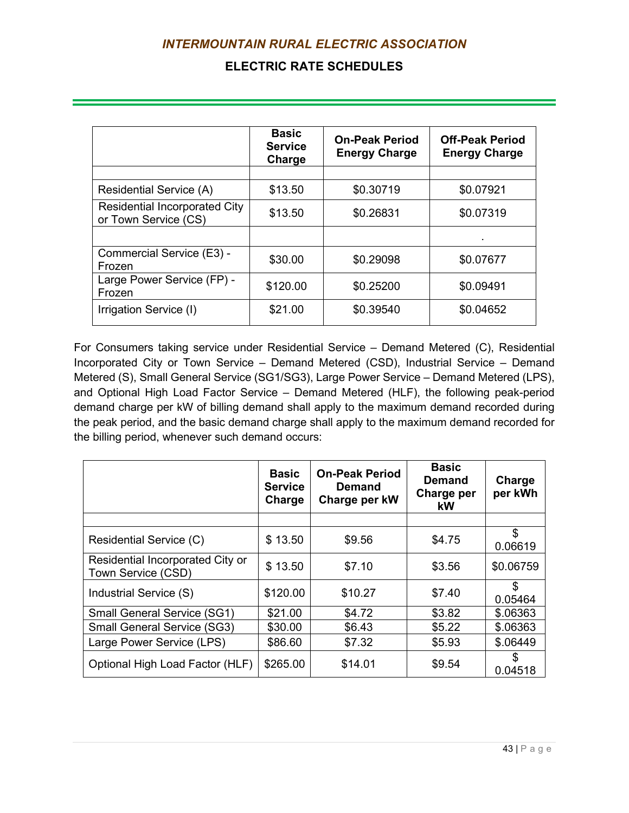## **ELECTRIC RATE SCHEDULES**

|                                                              | <b>Basic</b><br><b>Service</b><br>Charge | <b>On-Peak Period</b><br><b>Energy Charge</b> | <b>Off-Peak Period</b><br><b>Energy Charge</b> |  |
|--------------------------------------------------------------|------------------------------------------|-----------------------------------------------|------------------------------------------------|--|
|                                                              |                                          |                                               |                                                |  |
| <b>Residential Service (A)</b>                               | \$13.50                                  | \$0.30719                                     | \$0.07921                                      |  |
| <b>Residential Incorporated City</b><br>or Town Service (CS) | \$0.26831<br>\$13.50                     |                                               | \$0.07319                                      |  |
|                                                              |                                          |                                               |                                                |  |
| Commercial Service (E3) -<br>Frozen                          | \$30.00                                  | \$0.29098                                     | \$0.07677                                      |  |
| Large Power Service (FP) -<br>Frozen                         | \$120.00                                 | \$0.25200                                     | \$0.09491                                      |  |
| Irrigation Service (I)                                       | \$21.00                                  | \$0.39540                                     | \$0.04652                                      |  |

For Consumers taking service under Residential Service – Demand Metered (C), Residential Incorporated City or Town Service – Demand Metered (CSD), Industrial Service – Demand Metered (S), Small General Service (SG1/SG3), Large Power Service – Demand Metered (LPS), and Optional High Load Factor Service – Demand Metered (HLF), the following peak-period demand charge per kW of billing demand shall apply to the maximum demand recorded during the peak period, and the basic demand charge shall apply to the maximum demand recorded for the billing period, whenever such demand occurs:

|                                                        | <b>Basic</b><br><b>Service</b><br>Charge | <b>On-Peak Period</b><br><b>Demand</b><br>Charge per kW | <b>Basic</b><br><b>Demand</b><br>Charge per<br>kW | Charge<br>per kWh |
|--------------------------------------------------------|------------------------------------------|---------------------------------------------------------|---------------------------------------------------|-------------------|
|                                                        |                                          |                                                         |                                                   |                   |
| Residential Service (C)                                | \$13.50                                  | \$9.56                                                  | \$4.75                                            | \$<br>0.06619     |
| Residential Incorporated City or<br>Town Service (CSD) | \$13.50                                  | \$7.10                                                  | \$3.56                                            | \$0.06759         |
| Industrial Service (S)                                 | \$120.00                                 | \$10.27                                                 | \$7.40                                            | \$<br>0.05464     |
| <b>Small General Service (SG1)</b>                     | \$21.00                                  | \$4.72                                                  | \$3.82                                            | \$.06363          |
| <b>Small General Service (SG3)</b>                     | \$30.00                                  | \$6.43                                                  | \$5.22                                            | \$.06363          |
| Large Power Service (LPS)                              | \$86.60                                  | \$7.32                                                  | \$5.93                                            | \$.06449          |
| Optional High Load Factor (HLF)                        | \$265.00                                 | \$14.01                                                 | \$9.54                                            | \$.<br>0.04518    |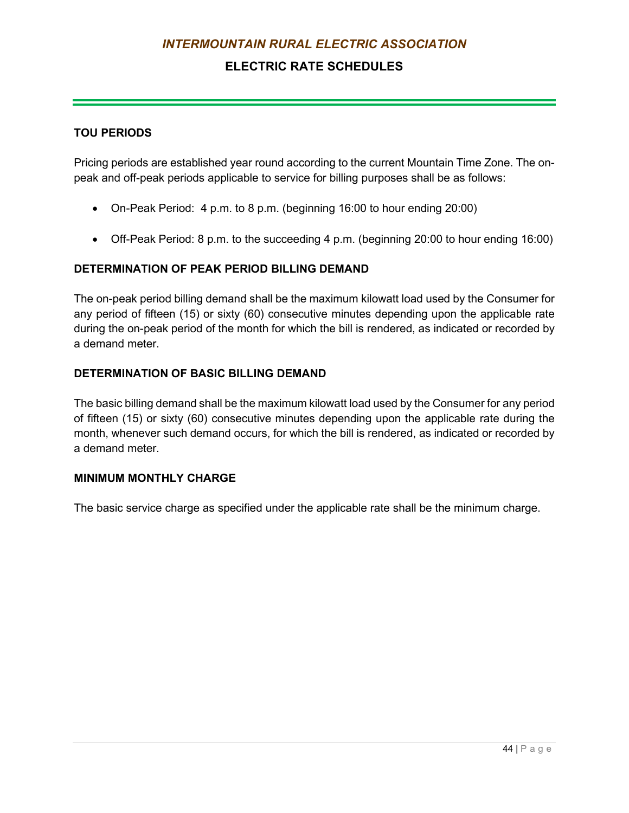## **ELECTRIC RATE SCHEDULES**

### **TOU PERIODS**

Pricing periods are established year round according to the current Mountain Time Zone. The onpeak and off-peak periods applicable to service for billing purposes shall be as follows:

- On-Peak Period: 4 p.m. to 8 p.m. (beginning 16:00 to hour ending 20:00)
- Off-Peak Period: 8 p.m. to the succeeding 4 p.m. (beginning 20:00 to hour ending 16:00)

### **DETERMINATION OF PEAK PERIOD BILLING DEMAND**

The on-peak period billing demand shall be the maximum kilowatt load used by the Consumer for any period of fifteen (15) or sixty (60) consecutive minutes depending upon the applicable rate during the on-peak period of the month for which the bill is rendered, as indicated or recorded by a demand meter.

### **DETERMINATION OF BASIC BILLING DEMAND**

The basic billing demand shall be the maximum kilowatt load used by the Consumer for any period of fifteen (15) or sixty (60) consecutive minutes depending upon the applicable rate during the month, whenever such demand occurs, for which the bill is rendered, as indicated or recorded by a demand meter.

#### **MINIMUM MONTHLY CHARGE**

The basic service charge as specified under the applicable rate shall be the minimum charge.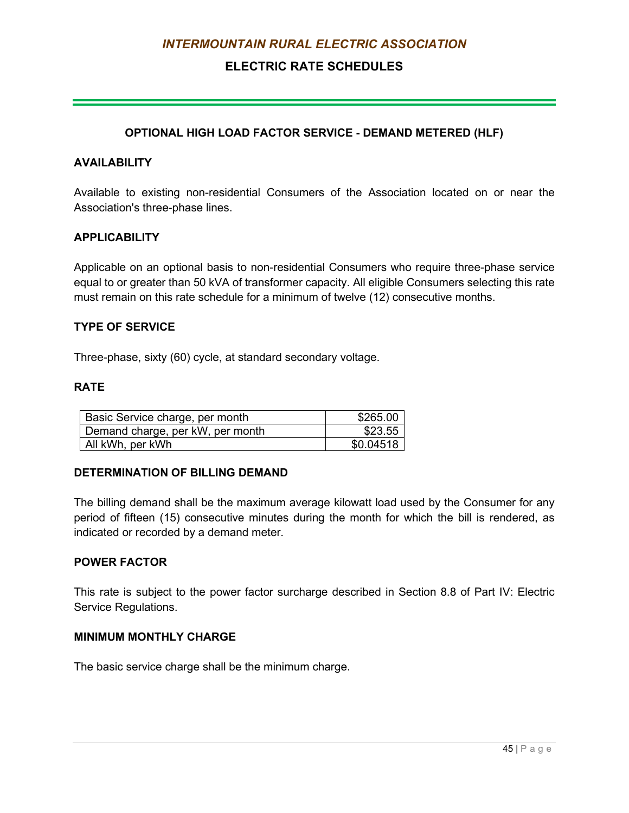## **ELECTRIC RATE SCHEDULES**

### **OPTIONAL HIGH LOAD FACTOR SERVICE - DEMAND METERED (HLF)**

#### **AVAILABILITY**

Available to existing non-residential Consumers of the Association located on or near the Association's three-phase lines.

#### **APPLICABILITY**

Applicable on an optional basis to non-residential Consumers who require three-phase service equal to or greater than 50 kVA of transformer capacity. All eligible Consumers selecting this rate must remain on this rate schedule for a minimum of twelve (12) consecutive months.

#### **TYPE OF SERVICE**

Three-phase, sixty (60) cycle, at standard secondary voltage.

#### **RATE**

| Basic Service charge, per month  | \$265.00  |
|----------------------------------|-----------|
| Demand charge, per kW, per month | \$23.55   |
| All kWh, per kWh                 | \$0.04518 |

#### **DETERMINATION OF BILLING DEMAND**

The billing demand shall be the maximum average kilowatt load used by the Consumer for any period of fifteen (15) consecutive minutes during the month for which the bill is rendered, as indicated or recorded by a demand meter.

#### **POWER FACTOR**

This rate is subject to the power factor surcharge described in Section 8.8 of Part IV: Electric Service Regulations.

#### **MINIMUM MONTHLY CHARGE**

The basic service charge shall be the minimum charge.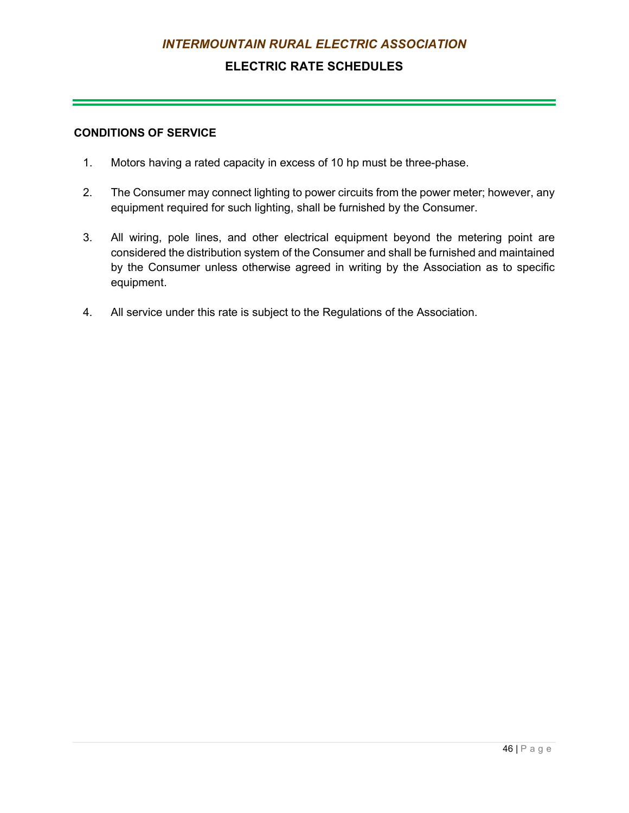## **ELECTRIC RATE SCHEDULES**

### **CONDITIONS OF SERVICE**

- 1. Motors having a rated capacity in excess of 10 hp must be three-phase.
- 2. The Consumer may connect lighting to power circuits from the power meter; however, any equipment required for such lighting, shall be furnished by the Consumer.
- 3. All wiring, pole lines, and other electrical equipment beyond the metering point are considered the distribution system of the Consumer and shall be furnished and maintained by the Consumer unless otherwise agreed in writing by the Association as to specific equipment.
- 4. All service under this rate is subject to the Regulations of the Association.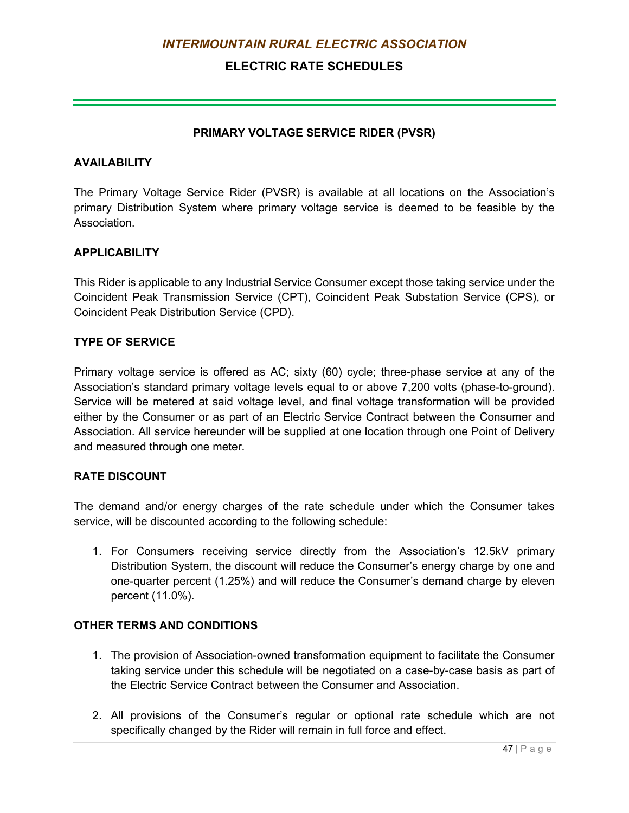## **ELECTRIC RATE SCHEDULES**

### **PRIMARY VOLTAGE SERVICE RIDER (PVSR)**

### **AVAILABILITY**

The Primary Voltage Service Rider (PVSR) is available at all locations on the Association's primary Distribution System where primary voltage service is deemed to be feasible by the **Association** 

### **APPLICABILITY**

This Rider is applicable to any Industrial Service Consumer except those taking service under the Coincident Peak Transmission Service (CPT), Coincident Peak Substation Service (CPS), or Coincident Peak Distribution Service (CPD).

### **TYPE OF SERVICE**

Primary voltage service is offered as AC; sixty (60) cycle; three-phase service at any of the Association's standard primary voltage levels equal to or above 7,200 volts (phase-to-ground). Service will be metered at said voltage level, and final voltage transformation will be provided either by the Consumer or as part of an Electric Service Contract between the Consumer and Association. All service hereunder will be supplied at one location through one Point of Delivery and measured through one meter.

### **RATE DISCOUNT**

The demand and/or energy charges of the rate schedule under which the Consumer takes service, will be discounted according to the following schedule:

1. For Consumers receiving service directly from the Association's 12.5kV primary Distribution System, the discount will reduce the Consumer's energy charge by one and one-quarter percent (1.25%) and will reduce the Consumer's demand charge by eleven percent (11.0%).

### **OTHER TERMS AND CONDITIONS**

- 1. The provision of Association-owned transformation equipment to facilitate the Consumer taking service under this schedule will be negotiated on a case-by-case basis as part of the Electric Service Contract between the Consumer and Association.
- 2. All provisions of the Consumer's regular or optional rate schedule which are not specifically changed by the Rider will remain in full force and effect.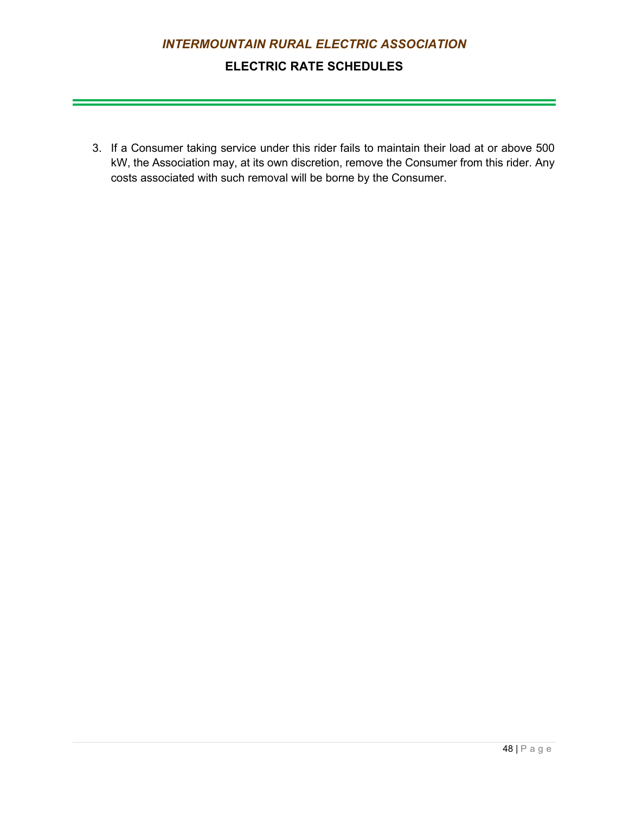## **ELECTRIC RATE SCHEDULES**

3. If a Consumer taking service under this rider fails to maintain their load at or above 500 kW, the Association may, at its own discretion, remove the Consumer from this rider. Any costs associated with such removal will be borne by the Consumer.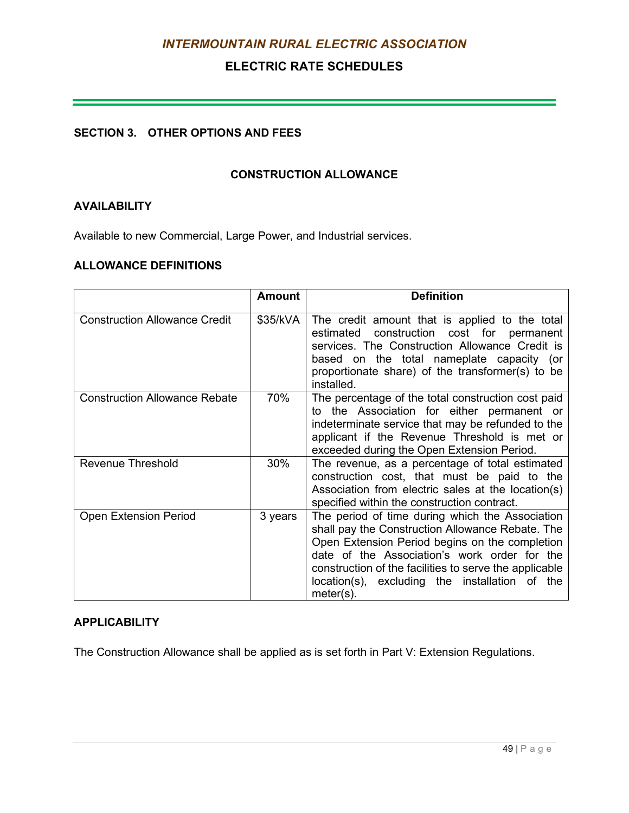## **ELECTRIC RATE SCHEDULES**

and the control of the control of the control of the control of the control of the control of the control of the

### **SECTION 3. OTHER OPTIONS AND FEES**

#### **CONSTRUCTION ALLOWANCE**

### **AVAILABILITY**

Available to new Commercial, Large Power, and Industrial services.

#### **ALLOWANCE DEFINITIONS**

|                                      | <b>Amount</b> | <b>Definition</b>                                                                                                                                                                                                                                                                                                                 |
|--------------------------------------|---------------|-----------------------------------------------------------------------------------------------------------------------------------------------------------------------------------------------------------------------------------------------------------------------------------------------------------------------------------|
| <b>Construction Allowance Credit</b> | \$35/kVA      | The credit amount that is applied to the total<br>estimated construction cost for permanent<br>services. The Construction Allowance Credit is<br>based on the total nameplate capacity (or<br>proportionate share) of the transformer(s) to be<br>installed.                                                                      |
| <b>Construction Allowance Rebate</b> | 70%           | The percentage of the total construction cost paid<br>to the Association for either permanent or<br>indeterminate service that may be refunded to the<br>applicant if the Revenue Threshold is met or<br>exceeded during the Open Extension Period.                                                                               |
| <b>Revenue Threshold</b>             | 30%           | The revenue, as a percentage of total estimated<br>construction cost, that must be paid to the<br>Association from electric sales at the location(s)<br>specified within the construction contract.                                                                                                                               |
| <b>Open Extension Period</b>         | 3 years       | The period of time during which the Association<br>shall pay the Construction Allowance Rebate. The<br>Open Extension Period begins on the completion<br>date of the Association's work order for the<br>construction of the facilities to serve the applicable<br>location(s), excluding the installation of the<br>$meter(s)$ . |

#### **APPLICABILITY**

The Construction Allowance shall be applied as is set forth in Part V: Extension Regulations.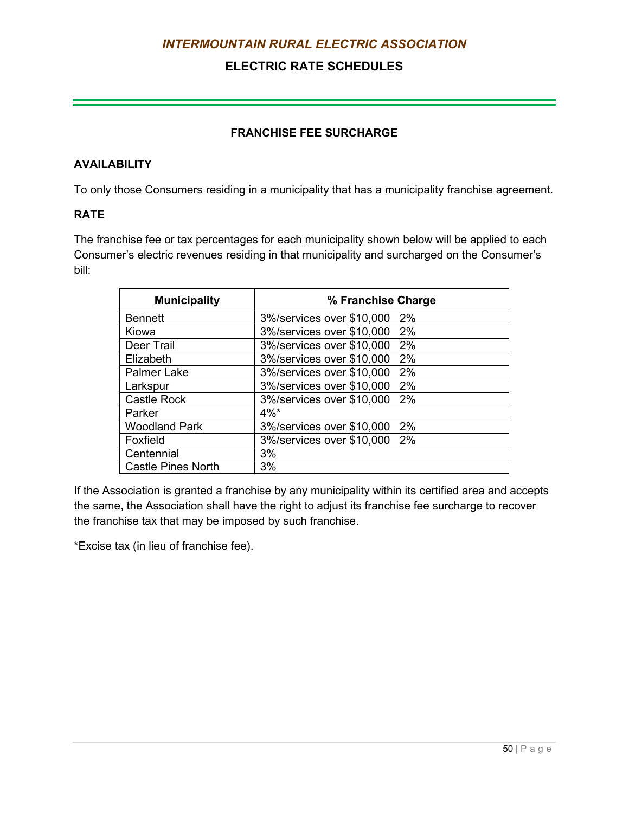## **ELECTRIC RATE SCHEDULES**

### **FRANCHISE FEE SURCHARGE**

### **AVAILABILITY**

To only those Consumers residing in a municipality that has a municipality franchise agreement.

### **RATE**

The franchise fee or tax percentages for each municipality shown below will be applied to each Consumer's electric revenues residing in that municipality and surcharged on the Consumer's bill:

| <b>Municipality</b>       | % Franchise Charge                 |
|---------------------------|------------------------------------|
| <b>Bennett</b>            | 3%/services over \$10,000<br>$2\%$ |
| Kiowa                     | 3%/services over \$10,000<br>2%    |
| Deer Trail                | 3%/services over \$10,000<br>2%    |
| Elizabeth                 | 3%/services over \$10,000<br>$2\%$ |
| <b>Palmer Lake</b>        | 3%/services over \$10,000<br>2%    |
| Larkspur                  | 3%/services over \$10,000<br>2%    |
| <b>Castle Rock</b>        | 3%/services over \$10,000<br>2%    |
| Parker                    | $4\%$ *                            |
| <b>Woodland Park</b>      | 3%/services over \$10,000<br>2%    |
| Foxfield                  | 3%/services over \$10,000<br>2%    |
| Centennial                | 3%                                 |
| <b>Castle Pines North</b> | 3%                                 |

If the Association is granted a franchise by any municipality within its certified area and accepts the same, the Association shall have the right to adjust its franchise fee surcharge to recover the franchise tax that may be imposed by such franchise.

\*Excise tax (in lieu of franchise fee).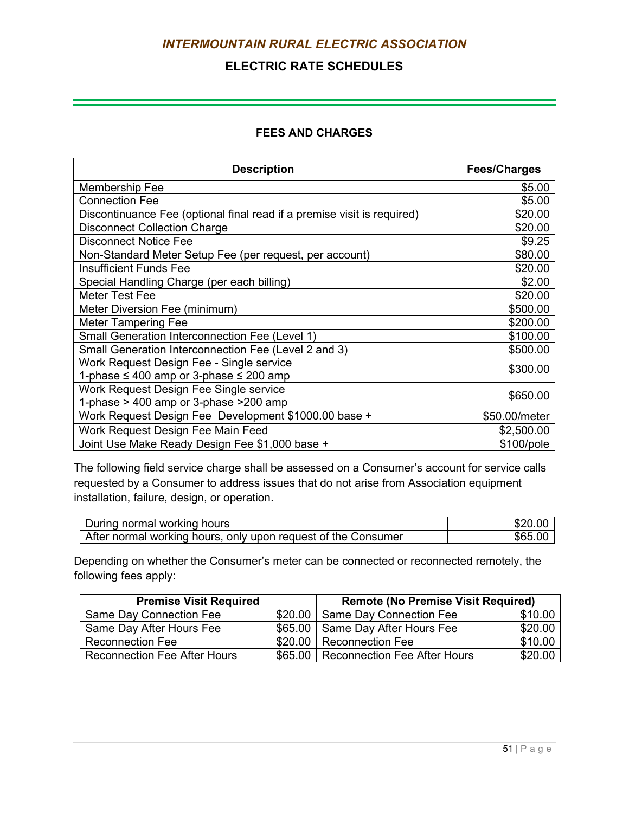## **ELECTRIC RATE SCHEDULES**

### **FEES AND CHARGES**

| <b>Description</b>                                                      | <b>Fees/Charges</b> |
|-------------------------------------------------------------------------|---------------------|
| Membership Fee                                                          | \$5.00              |
| <b>Connection Fee</b>                                                   | \$5.00              |
| Discontinuance Fee (optional final read if a premise visit is required) | \$20.00             |
| <b>Disconnect Collection Charge</b>                                     | \$20.00             |
| <b>Disconnect Notice Fee</b>                                            | \$9.25              |
| Non-Standard Meter Setup Fee (per request, per account)                 | \$80.00             |
| <b>Insufficient Funds Fee</b>                                           | \$20.00             |
| Special Handling Charge (per each billing)                              | \$2.00              |
| <b>Meter Test Fee</b>                                                   | \$20.00             |
| Meter Diversion Fee (minimum)                                           | \$500.00            |
| <b>Meter Tampering Fee</b>                                              | \$200.00            |
| Small Generation Interconnection Fee (Level 1)                          | \$100.00            |
| Small Generation Interconnection Fee (Level 2 and 3)                    | \$500.00            |
| Work Request Design Fee - Single service                                | \$300.00            |
| 1-phase $\leq 400$ amp or 3-phase $\leq 200$ amp                        |                     |
| Work Request Design Fee Single service                                  | \$650.00            |
| 1-phase > 400 amp or 3-phase > 200 amp                                  |                     |
| Work Request Design Fee Development \$1000.00 base +                    | \$50.00/meter       |
| Work Request Design Fee Main Feed                                       | \$2,500.00          |
| Joint Use Make Ready Design Fee \$1,000 base +                          | \$100/pole          |

The following field service charge shall be assessed on a Consumer's account for service calls requested by a Consumer to address issues that do not arise from Association equipment installation, failure, design, or operation.

| During normal working hours                                   |      |
|---------------------------------------------------------------|------|
| After normal working hours, only upon request of the Consumer | \$65 |

Depending on whether the Consumer's meter can be connected or reconnected remotely, the following fees apply:

| <b>Premise Visit Required</b>       | <b>Remote (No Premise Visit Required)</b> |         |  |
|-------------------------------------|-------------------------------------------|---------|--|
| <b>Same Day Connection Fee</b>      | \$20.00 Same Day Connection Fee           | \$10.00 |  |
| Same Day After Hours Fee            | \$65.00 Same Day After Hours Fee          | \$20.00 |  |
| <b>Reconnection Fee</b>             | \$20.00   Reconnection Fee                | \$10.00 |  |
| <b>Reconnection Fee After Hours</b> | \$65.00   Reconnection Fee After Hours    | \$20.00 |  |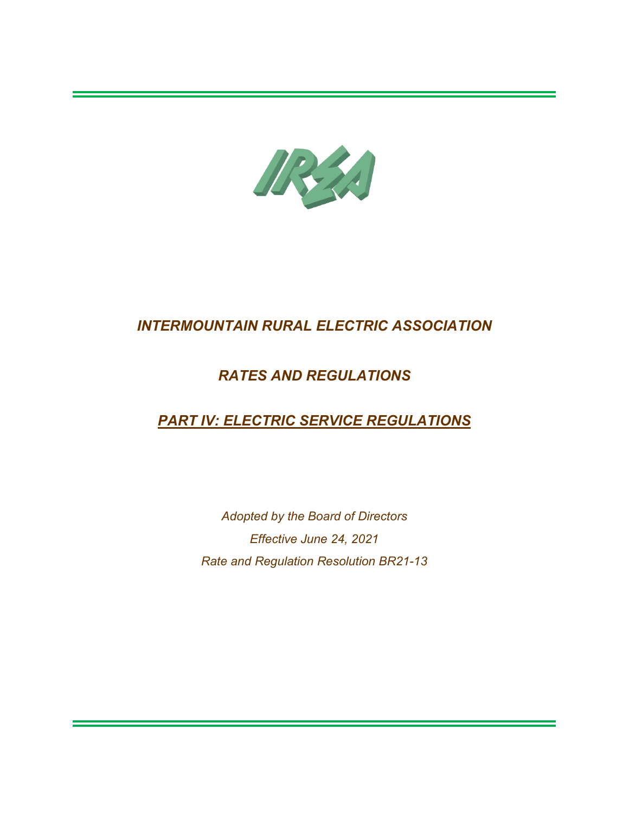

# *RATES AND REGULATIONS*

# *PART IV: ELECTRIC SERVICE REGULATIONS*

*Adopted by the Board of Directors Effective June 24, 2021 Rate and Regulation Resolution BR21-13*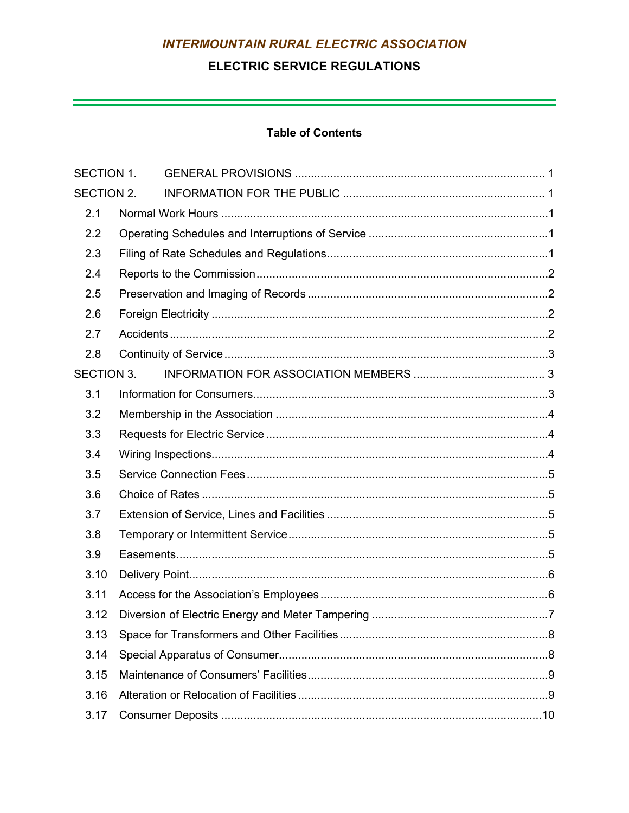## **ELECTRIC SERVICE REGULATIONS**

<u> - Constantino de la constantino de la constantino de la constantino de la constantino de la constantino de l</u>

## **Table of Contents**

| <b>SECTION 1.</b> |  |  |
|-------------------|--|--|
| SECTION 2.        |  |  |
| 2.1               |  |  |
| 2.2               |  |  |
| 2.3               |  |  |
| 2.4               |  |  |
| 2.5               |  |  |
| 2.6               |  |  |
| 2.7               |  |  |
| 2.8               |  |  |
| <b>SECTION 3.</b> |  |  |
| 3.1               |  |  |
| 3.2               |  |  |
| 3.3               |  |  |
| 3.4               |  |  |
| 3.5               |  |  |
| 3.6               |  |  |
| 3.7               |  |  |
| 3.8               |  |  |
| 3.9               |  |  |
| 3.10              |  |  |
| 3.11              |  |  |
| 3.12              |  |  |
| 3.13              |  |  |
| 3.14              |  |  |
| 3.15              |  |  |
| 3.16              |  |  |
| 3.17              |  |  |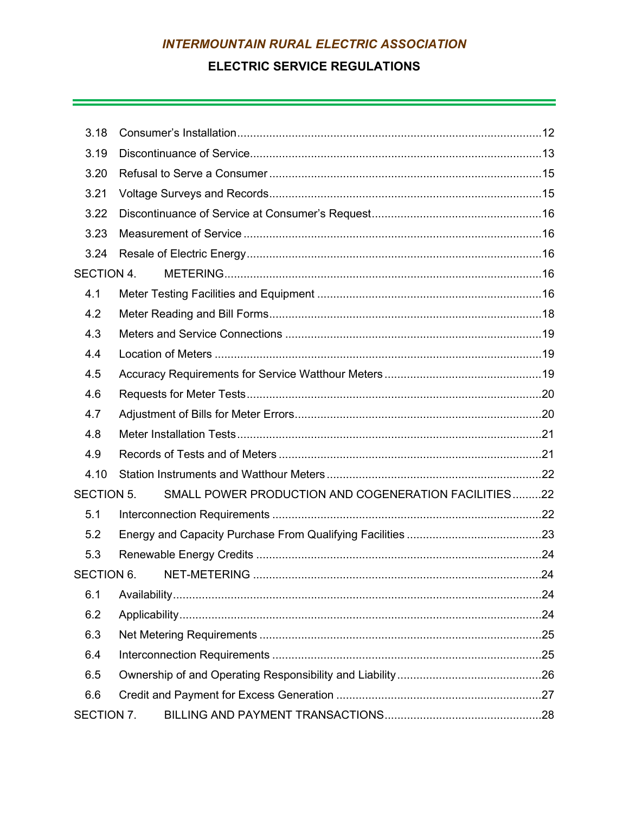## **ELECTRIC SERVICE REGULATIONS**

<u> 1989 - Andrea Santa Andrea Andrea Andrea Andrea Andrea Andrea Andrea Andrea Andrea Andrea Andrea Andrea Andr</u>

| 3.18              |                                                      |  |
|-------------------|------------------------------------------------------|--|
| 3.19              |                                                      |  |
| 3.20              |                                                      |  |
| 3.21              |                                                      |  |
| 3.22              |                                                      |  |
| 3.23              |                                                      |  |
| 3.24              |                                                      |  |
| <b>SECTION 4.</b> |                                                      |  |
| 4.1               |                                                      |  |
| 4.2               |                                                      |  |
| 4.3               |                                                      |  |
| 4.4               |                                                      |  |
| 4.5               |                                                      |  |
| 4.6               |                                                      |  |
| 4.7               |                                                      |  |
| 4.8               |                                                      |  |
| 4.9               |                                                      |  |
| 4.10              |                                                      |  |
| <b>SECTION 5.</b> | SMALL POWER PRODUCTION AND COGENERATION FACILITIES22 |  |
| 5.1               |                                                      |  |
| 5.2               |                                                      |  |
| 5.3               |                                                      |  |
| <b>SECTION 6.</b> |                                                      |  |
| 6.1               |                                                      |  |
| 6.2               |                                                      |  |
| 6.3               |                                                      |  |
| 6.4               |                                                      |  |
| 6.5               |                                                      |  |
| 6.6               |                                                      |  |
|                   |                                                      |  |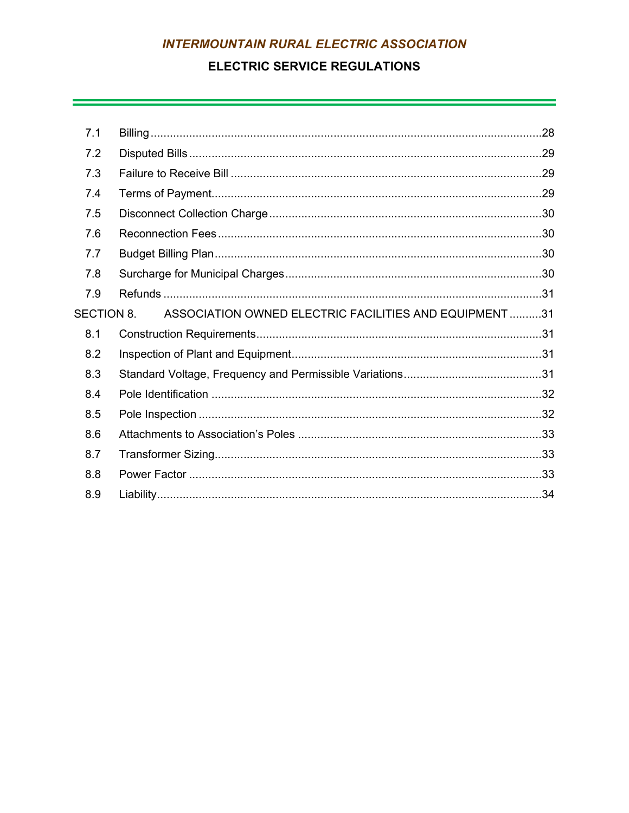## **ELECTRIC SERVICE REGULATIONS**

<u> 1989 - Andrea Santa Andrea Andrea Andrea Andrea Andrea Andrea Andrea Andrea Andrea Andrea Andrea Andrea Andr</u>

| 7.1               |                                                        |  |
|-------------------|--------------------------------------------------------|--|
| 7.2               |                                                        |  |
| 7.3               |                                                        |  |
| 7.4               |                                                        |  |
| 7.5               |                                                        |  |
| 7.6               |                                                        |  |
| 7.7               |                                                        |  |
| 7.8               |                                                        |  |
| 7.9               |                                                        |  |
| <b>SECTION 8.</b> | ASSOCIATION OWNED ELECTRIC FACILITIES AND EQUIPMENT 31 |  |
| 8.1               |                                                        |  |
| 8.2               |                                                        |  |
| 8.3               |                                                        |  |
| 8.4               |                                                        |  |
| 8.5               |                                                        |  |
| 8.6               |                                                        |  |
| 8.7               |                                                        |  |
| 8.8               |                                                        |  |
| 8.9               |                                                        |  |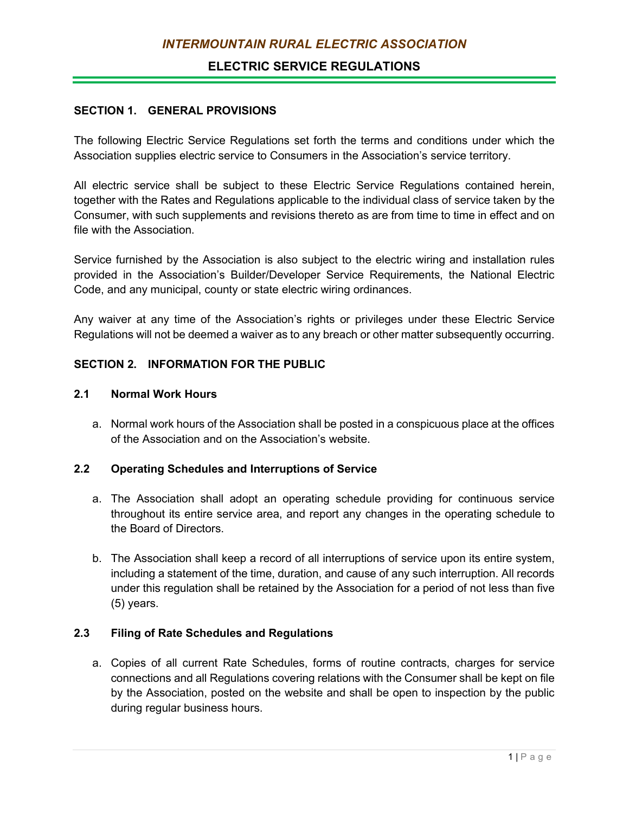## **ELECTRIC SERVICE REGULATIONS**

### <span id="page-69-0"></span>**SECTION 1. GENERAL PROVISIONS**

The following Electric Service Regulations set forth the terms and conditions under which the Association supplies electric service to Consumers in the Association's service territory.

All electric service shall be subject to these Electric Service Regulations contained herein, together with the Rates and Regulations applicable to the individual class of service taken by the Consumer, with such supplements and revisions thereto as are from time to time in effect and on file with the Association.

Service furnished by the Association is also subject to the electric wiring and installation rules provided in the Association's Builder/Developer Service Requirements, the National Electric Code, and any municipal, county or state electric wiring ordinances.

Any waiver at any time of the Association's rights or privileges under these Electric Service Regulations will not be deemed a waiver as to any breach or other matter subsequently occurring.

### <span id="page-69-1"></span>**SECTION 2. INFORMATION FOR THE PUBLIC**

#### **2.1 Normal Work Hours**

<span id="page-69-2"></span>a. Normal work hours of the Association shall be posted in a conspicuous place at the offices of the Association and on the Association's website.

### <span id="page-69-3"></span>**2.2 Operating Schedules and Interruptions of Service**

- a. The Association shall adopt an operating schedule providing for continuous service throughout its entire service area, and report any changes in the operating schedule to the Board of Directors.
- b. The Association shall keep a record of all interruptions of service upon its entire system, including a statement of the time, duration, and cause of any such interruption. All records under this regulation shall be retained by the Association for a period of not less than five (5) years.

### <span id="page-69-4"></span>**2.3 Filing of Rate Schedules and Regulations**

a. Copies of all current Rate Schedules, forms of routine contracts, charges for service connections and all Regulations covering relations with the Consumer shall be kept on file by the Association, posted on the website and shall be open to inspection by the public during regular business hours.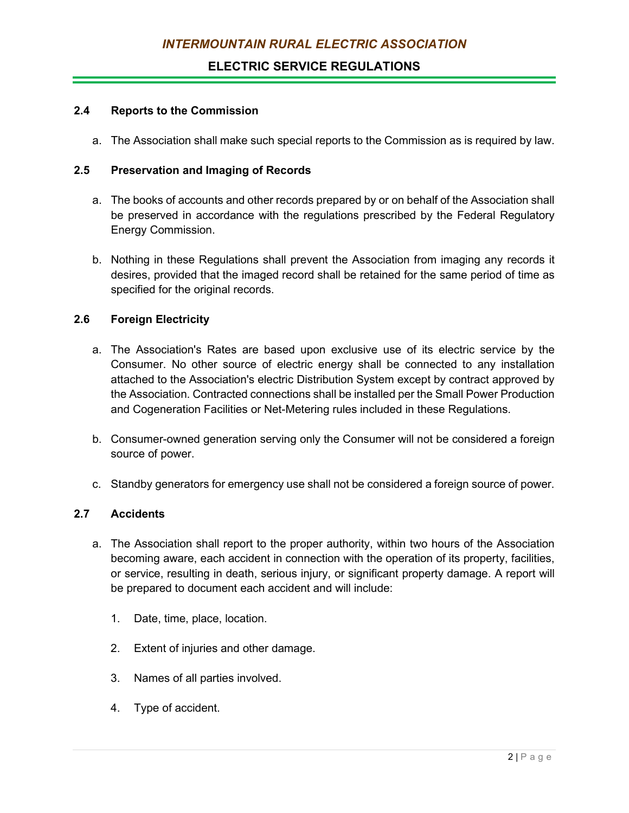## **ELECTRIC SERVICE REGULATIONS**

### <span id="page-70-0"></span>**2.4 Reports to the Commission**

a. The Association shall make such special reports to the Commission as is required by law.

### <span id="page-70-1"></span>**2.5 Preservation and Imaging of Records**

- a. The books of accounts and other records prepared by or on behalf of the Association shall be preserved in accordance with the regulations prescribed by the Federal Regulatory Energy Commission.
- b. Nothing in these Regulations shall prevent the Association from imaging any records it desires, provided that the imaged record shall be retained for the same period of time as specified for the original records.

### <span id="page-70-2"></span>**2.6 Foreign Electricity**

- a. The Association's Rates are based upon exclusive use of its electric service by the Consumer. No other source of electric energy shall be connected to any installation attached to the Association's electric Distribution System except by contract approved by the Association. Contracted connections shall be installed per the Small Power Production and Cogeneration Facilities or Net-Metering rules included in these Regulations.
- b. Consumer-owned generation serving only the Consumer will not be considered a foreign source of power.
- c. Standby generators for emergency use shall not be considered a foreign source of power.

### <span id="page-70-3"></span>**2.7 Accidents**

- a. The Association shall report to the proper authority, within two hours of the Association becoming aware, each accident in connection with the operation of its property, facilities, or service, resulting in death, serious injury, or significant property damage. A report will be prepared to document each accident and will include:
	- 1. Date, time, place, location.
	- 2. Extent of injuries and other damage.
	- 3. Names of all parties involved.
	- 4. Type of accident.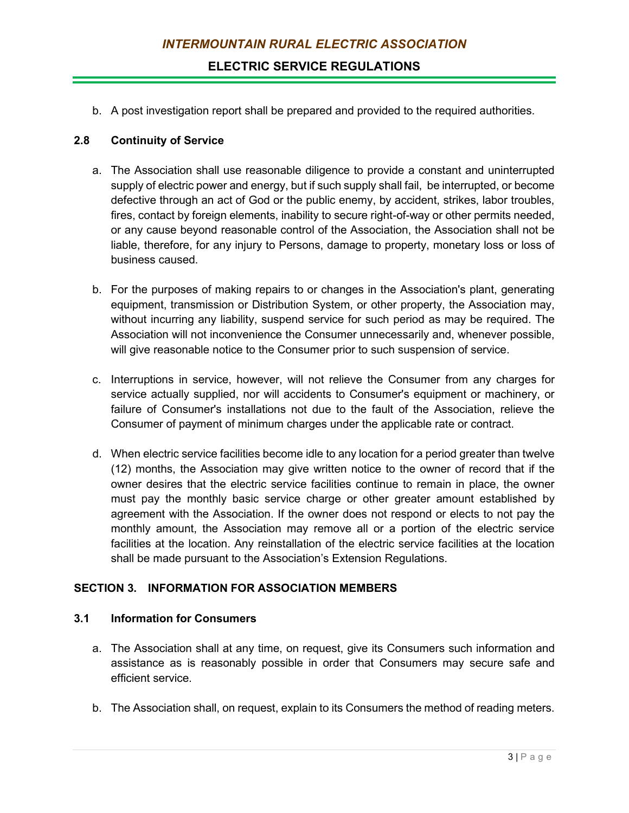**ELECTRIC SERVICE REGULATIONS**

b. A post investigation report shall be prepared and provided to the required authorities.

### <span id="page-71-0"></span>**2.8 Continuity of Service**

- a. The Association shall use reasonable diligence to provide a constant and uninterrupted supply of electric power and energy, but if such supply shall fail, be interrupted, or become defective through an act of God or the public enemy, by accident, strikes, labor troubles, fires, contact by foreign elements, inability to secure right-of-way or other permits needed, or any cause beyond reasonable control of the Association, the Association shall not be liable, therefore, for any injury to Persons, damage to property, monetary loss or loss of business caused.
- b. For the purposes of making repairs to or changes in the Association's plant, generating equipment, transmission or Distribution System, or other property, the Association may, without incurring any liability, suspend service for such period as may be required. The Association will not inconvenience the Consumer unnecessarily and, whenever possible, will give reasonable notice to the Consumer prior to such suspension of service.
- c. Interruptions in service, however, will not relieve the Consumer from any charges for service actually supplied, nor will accidents to Consumer's equipment or machinery, or failure of Consumer's installations not due to the fault of the Association, relieve the Consumer of payment of minimum charges under the applicable rate or contract.
- d. When electric service facilities become idle to any location for a period greater than twelve (12) months, the Association may give written notice to the owner of record that if the owner desires that the electric service facilities continue to remain in place, the owner must pay the monthly basic service charge or other greater amount established by agreement with the Association. If the owner does not respond or elects to not pay the monthly amount, the Association may remove all or a portion of the electric service facilities at the location. Any reinstallation of the electric service facilities at the location shall be made pursuant to the Association's Extension Regulations.

## <span id="page-71-1"></span>**SECTION 3. INFORMATION FOR ASSOCIATION MEMBERS**

### <span id="page-71-2"></span>**3.1 Information for Consumers**

- a. The Association shall at any time, on request, give its Consumers such information and assistance as is reasonably possible in order that Consumers may secure safe and efficient service.
- b. The Association shall, on request, explain to its Consumers the method of reading meters.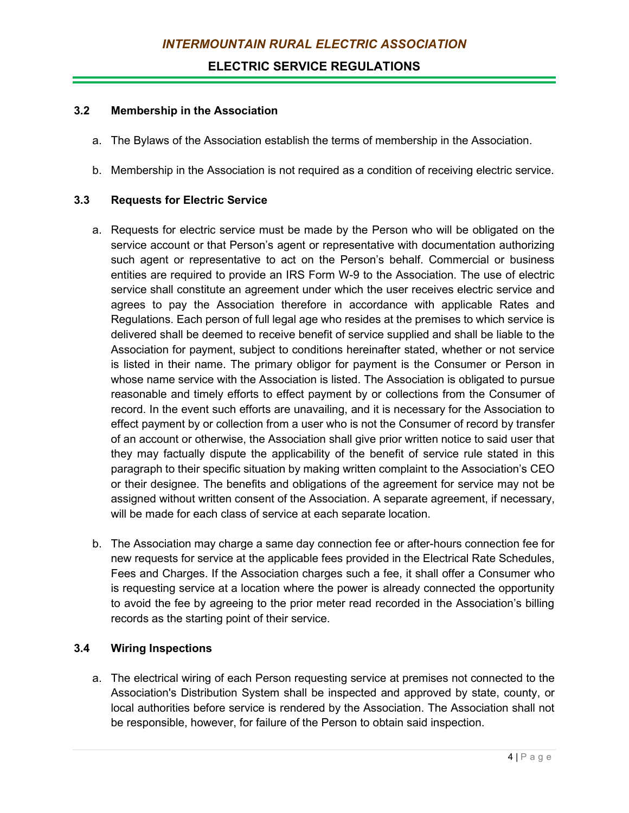#### **3.2 Membership in the Association**

- a. The Bylaws of the Association establish the terms of membership in the Association.
- b. Membership in the Association is not required as a condition of receiving electric service.

## **3.3 Requests for Electric Service**

- a. Requests for electric service must be made by the Person who will be obligated on the service account or that Person's agent or representative with documentation authorizing such agent or representative to act on the Person's behalf. Commercial or business entities are required to provide an IRS Form W-9 to the Association. The use of electric service shall constitute an agreement under which the user receives electric service and agrees to pay the Association therefore in accordance with applicable Rates and Regulations. Each person of full legal age who resides at the premises to which service is delivered shall be deemed to receive benefit of service supplied and shall be liable to the Association for payment, subject to conditions hereinafter stated, whether or not service is listed in their name. The primary obligor for payment is the Consumer or Person in whose name service with the Association is listed. The Association is obligated to pursue reasonable and timely efforts to effect payment by or collections from the Consumer of record. In the event such efforts are unavailing, and it is necessary for the Association to effect payment by or collection from a user who is not the Consumer of record by transfer of an account or otherwise, the Association shall give prior written notice to said user that they may factually dispute the applicability of the benefit of service rule stated in this paragraph to their specific situation by making written complaint to the Association's CEO or their designee. The benefits and obligations of the agreement for service may not be assigned without written consent of the Association. A separate agreement, if necessary, will be made for each class of service at each separate location.
- b. The Association may charge a same day connection fee or after-hours connection fee for new requests for service at the applicable fees provided in the Electrical Rate Schedules, Fees and Charges. If the Association charges such a fee, it shall offer a Consumer who is requesting service at a location where the power is already connected the opportunity to avoid the fee by agreeing to the prior meter read recorded in the Association's billing records as the starting point of their service.

## **3.4 Wiring Inspections**

a. The electrical wiring of each Person requesting service at premises not connected to the Association's Distribution System shall be inspected and approved by state, county, or local authorities before service is rendered by the Association. The Association shall not be responsible, however, for failure of the Person to obtain said inspection.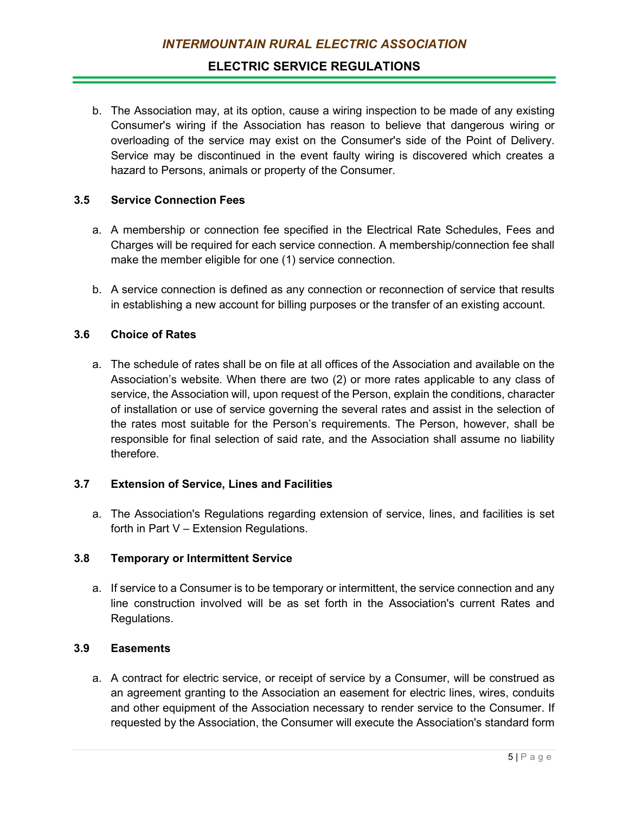## **ELECTRIC SERVICE REGULATIONS**

b. The Association may, at its option, cause a wiring inspection to be made of any existing Consumer's wiring if the Association has reason to believe that dangerous wiring or overloading of the service may exist on the Consumer's side of the Point of Delivery. Service may be discontinued in the event faulty wiring is discovered which creates a hazard to Persons, animals or property of the Consumer.

## **3.5 Service Connection Fees**

- a. A membership or connection fee specified in the Electrical Rate Schedules, Fees and Charges will be required for each service connection. A membership/connection fee shall make the member eligible for one (1) service connection.
- b. A service connection is defined as any connection or reconnection of service that results in establishing a new account for billing purposes or the transfer of an existing account.

### **3.6 Choice of Rates**

a. The schedule of rates shall be on file at all offices of the Association and available on the Association's website. When there are two (2) or more rates applicable to any class of service, the Association will, upon request of the Person, explain the conditions, character of installation or use of service governing the several rates and assist in the selection of the rates most suitable for the Person's requirements. The Person, however, shall be responsible for final selection of said rate, and the Association shall assume no liability therefore.

#### **3.7 Extension of Service, Lines and Facilities**

a. The Association's Regulations regarding extension of service, lines, and facilities is set forth in Part V – Extension Regulations.

### **3.8 Temporary or Intermittent Service**

a. If service to a Consumer is to be temporary or intermittent, the service connection and any line construction involved will be as set forth in the Association's current Rates and Regulations.

#### **3.9 Easements**

a. A contract for electric service, or receipt of service by a Consumer, will be construed as an agreement granting to the Association an easement for electric lines, wires, conduits and other equipment of the Association necessary to render service to the Consumer. If requested by the Association, the Consumer will execute the Association's standard form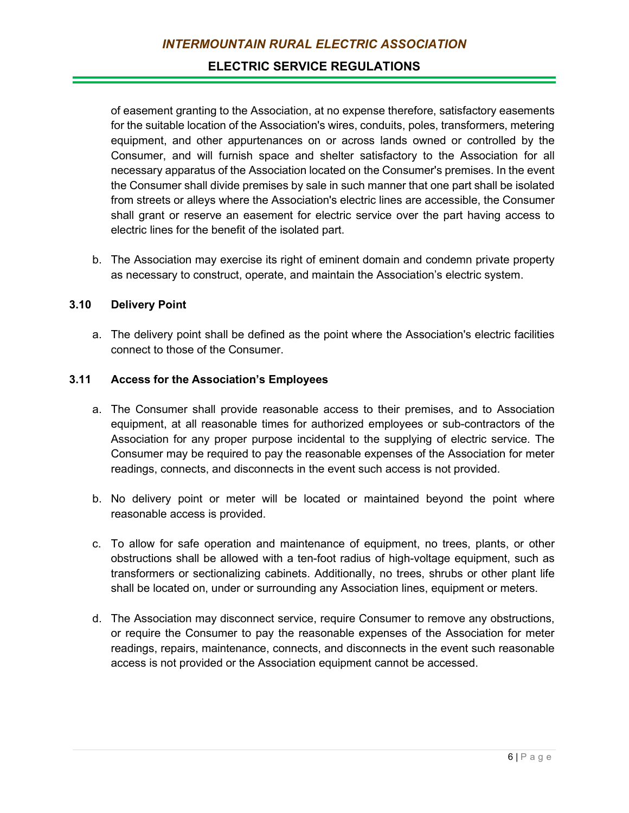of easement granting to the Association, at no expense therefore, satisfactory easements for the suitable location of the Association's wires, conduits, poles, transformers, metering equipment, and other appurtenances on or across lands owned or controlled by the Consumer, and will furnish space and shelter satisfactory to the Association for all necessary apparatus of the Association located on the Consumer's premises. In the event the Consumer shall divide premises by sale in such manner that one part shall be isolated from streets or alleys where the Association's electric lines are accessible, the Consumer shall grant or reserve an easement for electric service over the part having access to electric lines for the benefit of the isolated part.

b. The Association may exercise its right of eminent domain and condemn private property as necessary to construct, operate, and maintain the Association's electric system.

### **3.10 Delivery Point**

a. The delivery point shall be defined as the point where the Association's electric facilities connect to those of the Consumer.

### **3.11 Access for the Association's Employees**

- a. The Consumer shall provide reasonable access to their premises, and to Association equipment, at all reasonable times for authorized employees or sub-contractors of the Association for any proper purpose incidental to the supplying of electric service. The Consumer may be required to pay the reasonable expenses of the Association for meter readings, connects, and disconnects in the event such access is not provided.
- b. No delivery point or meter will be located or maintained beyond the point where reasonable access is provided.
- c. To allow for safe operation and maintenance of equipment, no trees, plants, or other obstructions shall be allowed with a ten-foot radius of high-voltage equipment, such as transformers or sectionalizing cabinets. Additionally, no trees, shrubs or other plant life shall be located on, under or surrounding any Association lines, equipment or meters.
- d. The Association may disconnect service, require Consumer to remove any obstructions, or require the Consumer to pay the reasonable expenses of the Association for meter readings, repairs, maintenance, connects, and disconnects in the event such reasonable access is not provided or the Association equipment cannot be accessed.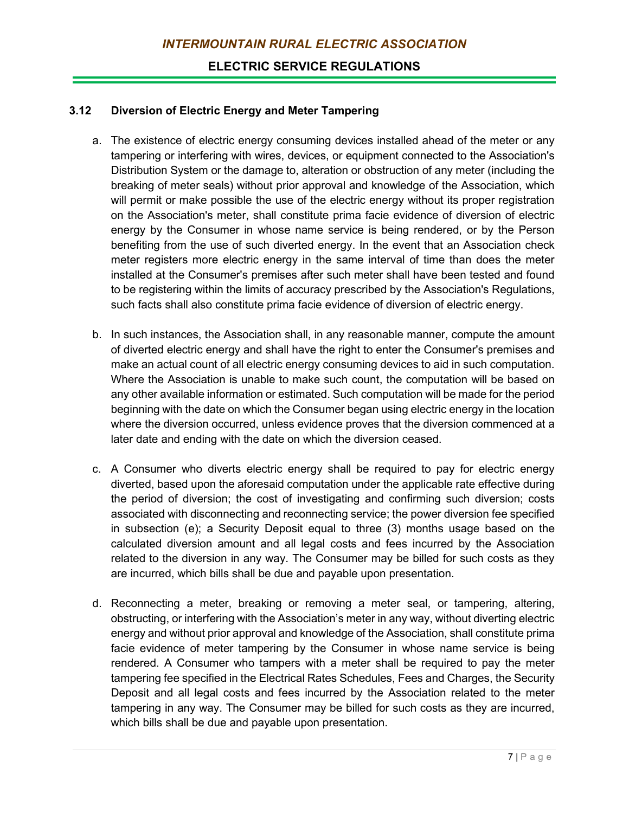### **3.12 Diversion of Electric Energy and Meter Tampering**

- a. The existence of electric energy consuming devices installed ahead of the meter or any tampering or interfering with wires, devices, or equipment connected to the Association's Distribution System or the damage to, alteration or obstruction of any meter (including the breaking of meter seals) without prior approval and knowledge of the Association, which will permit or make possible the use of the electric energy without its proper registration on the Association's meter, shall constitute prima facie evidence of diversion of electric energy by the Consumer in whose name service is being rendered, or by the Person benefiting from the use of such diverted energy. In the event that an Association check meter registers more electric energy in the same interval of time than does the meter installed at the Consumer's premises after such meter shall have been tested and found to be registering within the limits of accuracy prescribed by the Association's Regulations, such facts shall also constitute prima facie evidence of diversion of electric energy.
- b. In such instances, the Association shall, in any reasonable manner, compute the amount of diverted electric energy and shall have the right to enter the Consumer's premises and make an actual count of all electric energy consuming devices to aid in such computation. Where the Association is unable to make such count, the computation will be based on any other available information or estimated. Such computation will be made for the period beginning with the date on which the Consumer began using electric energy in the location where the diversion occurred, unless evidence proves that the diversion commenced at a later date and ending with the date on which the diversion ceased.
- c. A Consumer who diverts electric energy shall be required to pay for electric energy diverted, based upon the aforesaid computation under the applicable rate effective during the period of diversion; the cost of investigating and confirming such diversion; costs associated with disconnecting and reconnecting service; the power diversion fee specified in subsection (e); a Security Deposit equal to three (3) months usage based on the calculated diversion amount and all legal costs and fees incurred by the Association related to the diversion in any way. The Consumer may be billed for such costs as they are incurred, which bills shall be due and payable upon presentation.
- d. Reconnecting a meter, breaking or removing a meter seal, or tampering, altering, obstructing, or interfering with the Association's meter in any way, without diverting electric energy and without prior approval and knowledge of the Association, shall constitute prima facie evidence of meter tampering by the Consumer in whose name service is being rendered. A Consumer who tampers with a meter shall be required to pay the meter tampering fee specified in the Electrical Rates Schedules, Fees and Charges, the Security Deposit and all legal costs and fees incurred by the Association related to the meter tampering in any way. The Consumer may be billed for such costs as they are incurred, which bills shall be due and payable upon presentation.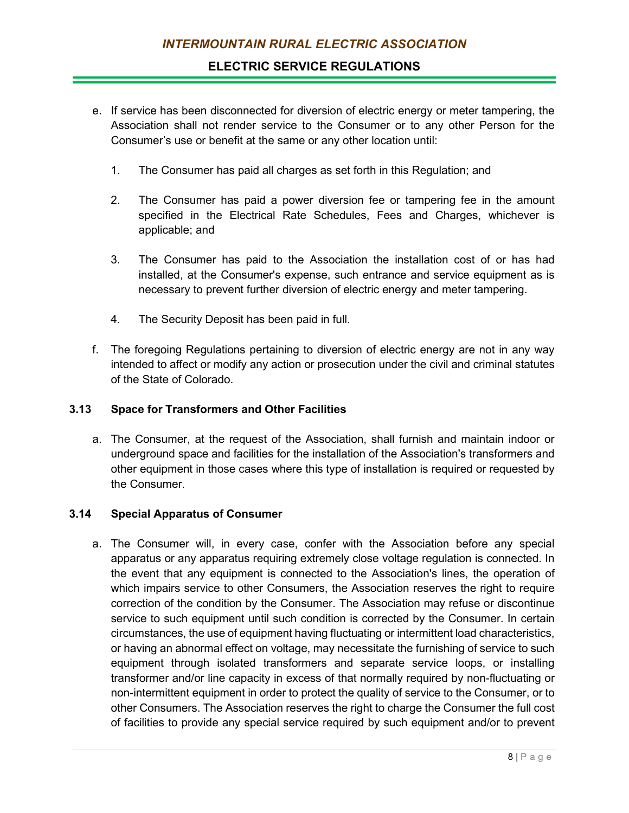- e. If service has been disconnected for diversion of electric energy or meter tampering, the Association shall not render service to the Consumer or to any other Person for the Consumer's use or benefit at the same or any other location until:
	- 1. The Consumer has paid all charges as set forth in this Regulation; and
	- 2. The Consumer has paid a power diversion fee or tampering fee in the amount specified in the Electrical Rate Schedules, Fees and Charges, whichever is applicable; and
	- 3. The Consumer has paid to the Association the installation cost of or has had installed, at the Consumer's expense, such entrance and service equipment as is necessary to prevent further diversion of electric energy and meter tampering.
	- 4. The Security Deposit has been paid in full.
- f. The foregoing Regulations pertaining to diversion of electric energy are not in any way intended to affect or modify any action or prosecution under the civil and criminal statutes of the State of Colorado.

## **3.13 Space for Transformers and Other Facilities**

a. The Consumer, at the request of the Association, shall furnish and maintain indoor or underground space and facilities for the installation of the Association's transformers and other equipment in those cases where this type of installation is required or requested by the Consumer.

## **3.14 Special Apparatus of Consumer**

a. The Consumer will, in every case, confer with the Association before any special apparatus or any apparatus requiring extremely close voltage regulation is connected. In the event that any equipment is connected to the Association's lines, the operation of which impairs service to other Consumers, the Association reserves the right to require correction of the condition by the Consumer. The Association may refuse or discontinue service to such equipment until such condition is corrected by the Consumer. In certain circumstances, the use of equipment having fluctuating or intermittent load characteristics, or having an abnormal effect on voltage, may necessitate the furnishing of service to such equipment through isolated transformers and separate service loops, or installing transformer and/or line capacity in excess of that normally required by non-fluctuating or non-intermittent equipment in order to protect the quality of service to the Consumer, or to other Consumers. The Association reserves the right to charge the Consumer the full cost of facilities to provide any special service required by such equipment and/or to prevent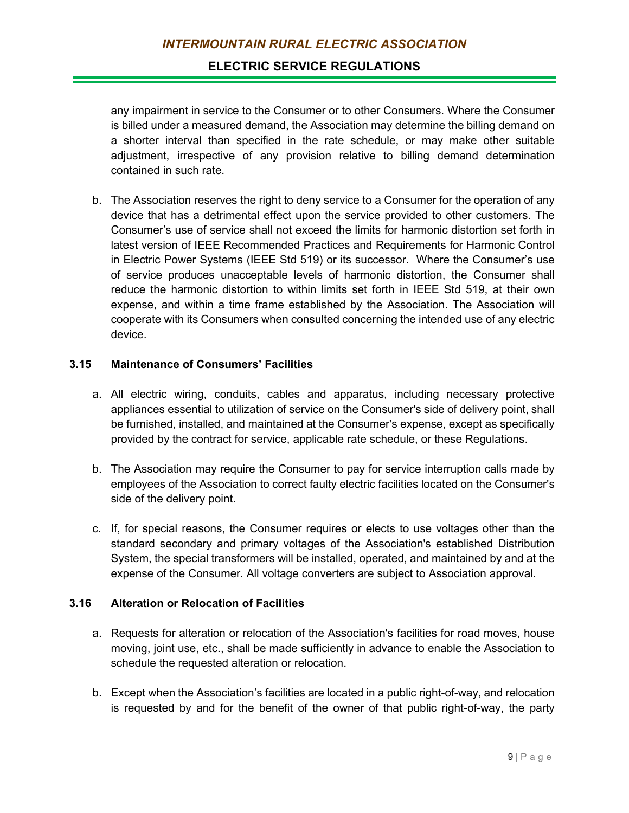any impairment in service to the Consumer or to other Consumers. Where the Consumer is billed under a measured demand, the Association may determine the billing demand on a shorter interval than specified in the rate schedule, or may make other suitable adjustment, irrespective of any provision relative to billing demand determination contained in such rate.

b. The Association reserves the right to deny service to a Consumer for the operation of any device that has a detrimental effect upon the service provided to other customers. The Consumer's use of service shall not exceed the limits for harmonic distortion set forth in latest version of IEEE Recommended Practices and Requirements for Harmonic Control in Electric Power Systems (IEEE Std 519) or its successor. Where the Consumer's use of service produces unacceptable levels of harmonic distortion, the Consumer shall reduce the harmonic distortion to within limits set forth in IEEE Std 519, at their own expense, and within a time frame established by the Association. The Association will cooperate with its Consumers when consulted concerning the intended use of any electric device.

# **3.15 Maintenance of Consumers' Facilities**

- a. All electric wiring, conduits, cables and apparatus, including necessary protective appliances essential to utilization of service on the Consumer's side of delivery point, shall be furnished, installed, and maintained at the Consumer's expense, except as specifically provided by the contract for service, applicable rate schedule, or these Regulations.
- b. The Association may require the Consumer to pay for service interruption calls made by employees of the Association to correct faulty electric facilities located on the Consumer's side of the delivery point.
- c. If, for special reasons, the Consumer requires or elects to use voltages other than the standard secondary and primary voltages of the Association's established Distribution System, the special transformers will be installed, operated, and maintained by and at the expense of the Consumer. All voltage converters are subject to Association approval.

# **3.16 Alteration or Relocation of Facilities**

- a. Requests for alteration or relocation of the Association's facilities for road moves, house moving, joint use, etc., shall be made sufficiently in advance to enable the Association to schedule the requested alteration or relocation.
- b. Except when the Association's facilities are located in a public right-of-way, and relocation is requested by and for the benefit of the owner of that public right-of-way, the party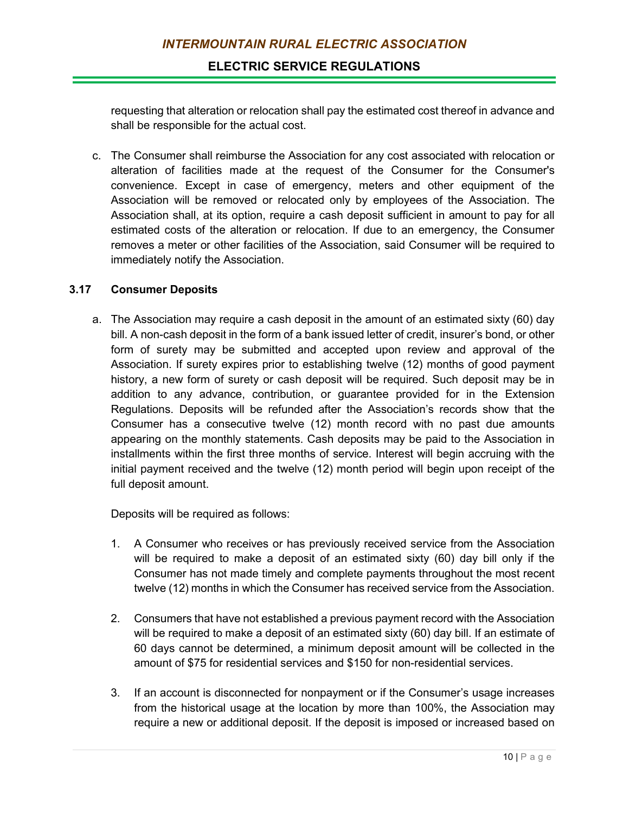requesting that alteration or relocation shall pay the estimated cost thereof in advance and shall be responsible for the actual cost.

c. The Consumer shall reimburse the Association for any cost associated with relocation or alteration of facilities made at the request of the Consumer for the Consumer's convenience. Except in case of emergency, meters and other equipment of the Association will be removed or relocated only by employees of the Association. The Association shall, at its option, require a cash deposit sufficient in amount to pay for all estimated costs of the alteration or relocation. If due to an emergency, the Consumer removes a meter or other facilities of the Association, said Consumer will be required to immediately notify the Association.

## **3.17 Consumer Deposits**

a. The Association may require a cash deposit in the amount of an estimated sixty (60) day bill. A non-cash deposit in the form of a bank issued letter of credit, insurer's bond, or other form of surety may be submitted and accepted upon review and approval of the Association. If surety expires prior to establishing twelve (12) months of good payment history, a new form of surety or cash deposit will be required. Such deposit may be in addition to any advance, contribution, or guarantee provided for in the Extension Regulations. Deposits will be refunded after the Association's records show that the Consumer has a consecutive twelve (12) month record with no past due amounts appearing on the monthly statements. Cash deposits may be paid to the Association in installments within the first three months of service. Interest will begin accruing with the initial payment received and the twelve (12) month period will begin upon receipt of the full deposit amount.

Deposits will be required as follows:

- 1. A Consumer who receives or has previously received service from the Association will be required to make a deposit of an estimated sixty (60) day bill only if the Consumer has not made timely and complete payments throughout the most recent twelve (12) months in which the Consumer has received service from the Association.
- 2. Consumers that have not established a previous payment record with the Association will be required to make a deposit of an estimated sixty (60) day bill. If an estimate of 60 days cannot be determined, a minimum deposit amount will be collected in the amount of \$75 for residential services and \$150 for non-residential services.
- 3. If an account is disconnected for nonpayment or if the Consumer's usage increases from the historical usage at the location by more than 100%, the Association may require a new or additional deposit. If the deposit is imposed or increased based on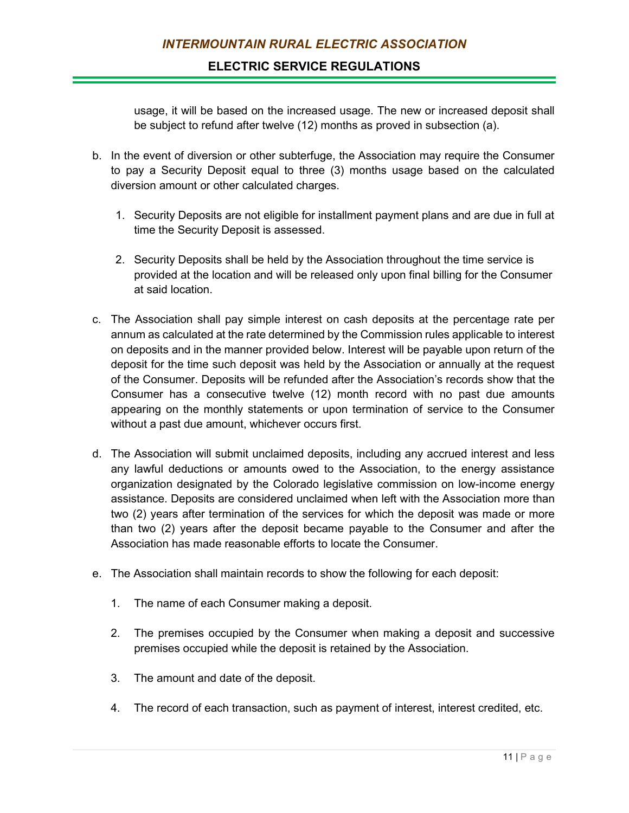usage, it will be based on the increased usage. The new or increased deposit shall be subject to refund after twelve (12) months as proved in subsection (a).

- b. In the event of diversion or other subterfuge, the Association may require the Consumer to pay a Security Deposit equal to three (3) months usage based on the calculated diversion amount or other calculated charges.
	- 1. Security Deposits are not eligible for installment payment plans and are due in full at time the Security Deposit is assessed.
	- 2. Security Deposits shall be held by the Association throughout the time service is provided at the location and will be released only upon final billing for the Consumer at said location.
- c. The Association shall pay simple interest on cash deposits at the percentage rate per annum as calculated at the rate determined by the Commission rules applicable to interest on deposits and in the manner provided below. Interest will be payable upon return of the deposit for the time such deposit was held by the Association or annually at the request of the Consumer. Deposits will be refunded after the Association's records show that the Consumer has a consecutive twelve (12) month record with no past due amounts appearing on the monthly statements or upon termination of service to the Consumer without a past due amount, whichever occurs first.
- d. The Association will submit unclaimed deposits, including any accrued interest and less any lawful deductions or amounts owed to the Association, to the energy assistance organization designated by the Colorado legislative commission on low-income energy assistance. Deposits are considered unclaimed when left with the Association more than two (2) years after termination of the services for which the deposit was made or more than two (2) years after the deposit became payable to the Consumer and after the Association has made reasonable efforts to locate the Consumer.
- e. The Association shall maintain records to show the following for each deposit:
	- 1. The name of each Consumer making a deposit.
	- 2. The premises occupied by the Consumer when making a deposit and successive premises occupied while the deposit is retained by the Association.
	- 3. The amount and date of the deposit.
	- 4. The record of each transaction, such as payment of interest, interest credited, etc.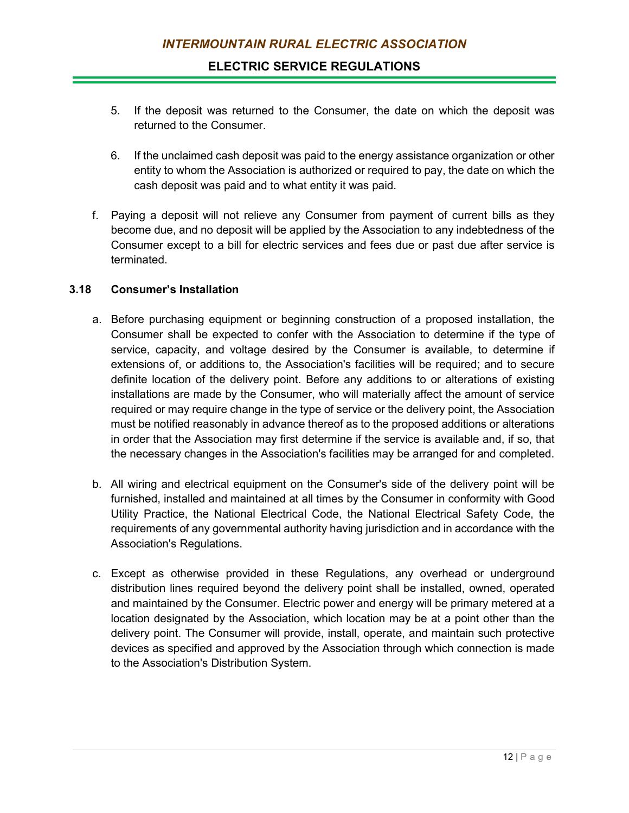- 5. If the deposit was returned to the Consumer, the date on which the deposit was returned to the Consumer.
- 6. If the unclaimed cash deposit was paid to the energy assistance organization or other entity to whom the Association is authorized or required to pay, the date on which the cash deposit was paid and to what entity it was paid.
- f. Paying a deposit will not relieve any Consumer from payment of current bills as they become due, and no deposit will be applied by the Association to any indebtedness of the Consumer except to a bill for electric services and fees due or past due after service is terminated.

## **3.18 Consumer's Installation**

- a. Before purchasing equipment or beginning construction of a proposed installation, the Consumer shall be expected to confer with the Association to determine if the type of service, capacity, and voltage desired by the Consumer is available, to determine if extensions of, or additions to, the Association's facilities will be required; and to secure definite location of the delivery point. Before any additions to or alterations of existing installations are made by the Consumer, who will materially affect the amount of service required or may require change in the type of service or the delivery point, the Association must be notified reasonably in advance thereof as to the proposed additions or alterations in order that the Association may first determine if the service is available and, if so, that the necessary changes in the Association's facilities may be arranged for and completed.
- b. All wiring and electrical equipment on the Consumer's side of the delivery point will be furnished, installed and maintained at all times by the Consumer in conformity with Good Utility Practice, the National Electrical Code, the National Electrical Safety Code, the requirements of any governmental authority having jurisdiction and in accordance with the Association's Regulations.
- c. Except as otherwise provided in these Regulations, any overhead or underground distribution lines required beyond the delivery point shall be installed, owned, operated and maintained by the Consumer. Electric power and energy will be primary metered at a location designated by the Association, which location may be at a point other than the delivery point. The Consumer will provide, install, operate, and maintain such protective devices as specified and approved by the Association through which connection is made to the Association's Distribution System.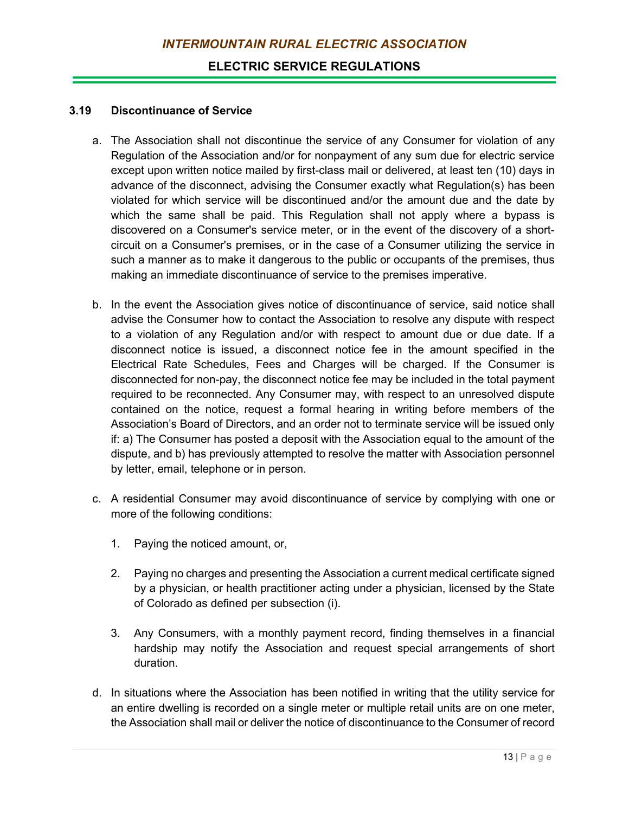#### **3.19 Discontinuance of Service**

- a. The Association shall not discontinue the service of any Consumer for violation of any Regulation of the Association and/or for nonpayment of any sum due for electric service except upon written notice mailed by first-class mail or delivered, at least ten (10) days in advance of the disconnect, advising the Consumer exactly what Regulation(s) has been violated for which service will be discontinued and/or the amount due and the date by which the same shall be paid. This Regulation shall not apply where a bypass is discovered on a Consumer's service meter, or in the event of the discovery of a shortcircuit on a Consumer's premises, or in the case of a Consumer utilizing the service in such a manner as to make it dangerous to the public or occupants of the premises, thus making an immediate discontinuance of service to the premises imperative.
- b. In the event the Association gives notice of discontinuance of service, said notice shall advise the Consumer how to contact the Association to resolve any dispute with respect to a violation of any Regulation and/or with respect to amount due or due date. If a disconnect notice is issued, a disconnect notice fee in the amount specified in the Electrical Rate Schedules, Fees and Charges will be charged. If the Consumer is disconnected for non-pay, the disconnect notice fee may be included in the total payment required to be reconnected. Any Consumer may, with respect to an unresolved dispute contained on the notice, request a formal hearing in writing before members of the Association's Board of Directors, and an order not to terminate service will be issued only if: a) The Consumer has posted a deposit with the Association equal to the amount of the dispute, and b) has previously attempted to resolve the matter with Association personnel by letter, email, telephone or in person.
- c. A residential Consumer may avoid discontinuance of service by complying with one or more of the following conditions:
	- 1. Paying the noticed amount, or,
	- 2. Paying no charges and presenting the Association a current medical certificate signed by a physician, or health practitioner acting under a physician, licensed by the State of Colorado as defined per subsection (i).
	- 3. Any Consumers, with a monthly payment record, finding themselves in a financial hardship may notify the Association and request special arrangements of short duration.
- d. In situations where the Association has been notified in writing that the utility service for an entire dwelling is recorded on a single meter or multiple retail units are on one meter, the Association shall mail or deliver the notice of discontinuance to the Consumer of record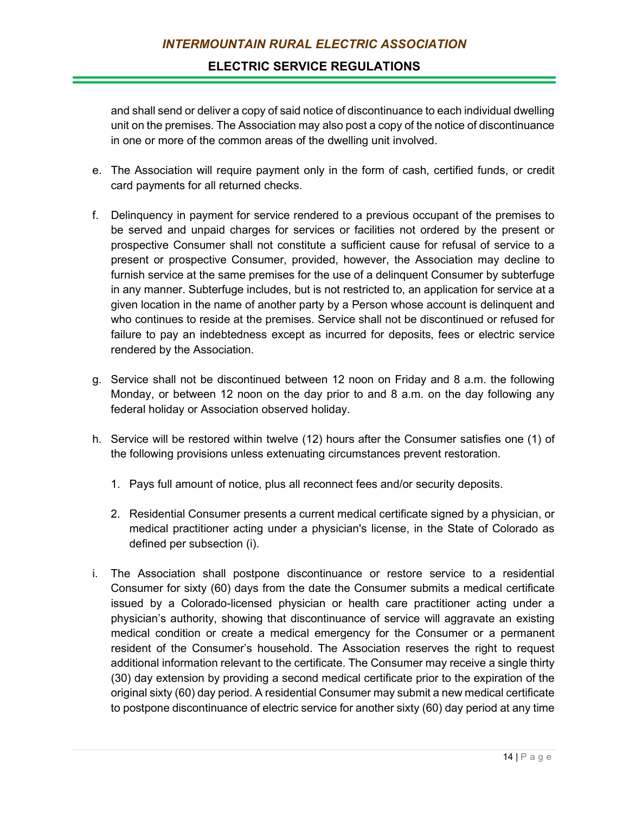and shall send or deliver a copy of said notice of discontinuance to each individual dwelling unit on the premises. The Association may also post a copy of the notice of discontinuance in one or more of the common areas of the dwelling unit involved.

- e. The Association will require payment only in the form of cash, certified funds, or credit card payments for all returned checks.
- f. Delinquency in payment for service rendered to a previous occupant of the premises to be served and unpaid charges for services or facilities not ordered by the present or prospective Consumer shall not constitute a sufficient cause for refusal of service to a present or prospective Consumer, provided, however, the Association may decline to furnish service at the same premises for the use of a delinquent Consumer by subterfuge in any manner. Subterfuge includes, but is not restricted to, an application for service at a given location in the name of another party by a Person whose account is delinquent and who continues to reside at the premises. Service shall not be discontinued or refused for failure to pay an indebtedness except as incurred for deposits, fees or electric service rendered by the Association.
- g. Service shall not be discontinued between 12 noon on Friday and 8 a.m. the following Monday, or between 12 noon on the day prior to and 8 a.m. on the day following any federal holiday or Association observed holiday.
- h. Service will be restored within twelve (12) hours after the Consumer satisfies one (1) of the following provisions unless extenuating circumstances prevent restoration.
	- 1. Pays full amount of notice, plus all reconnect fees and/or security deposits.
	- 2. Residential Consumer presents a current medical certificate signed by a physician, or medical practitioner acting under a physician's license, in the State of Colorado as defined per subsection (i).
- i. The Association shall postpone discontinuance or restore service to a residential Consumer for sixty (60) days from the date the Consumer submits a medical certificate issued by a Colorado-licensed physician or health care practitioner acting under a physician's authority, showing that discontinuance of service will aggravate an existing medical condition or create a medical emergency for the Consumer or a permanent resident of the Consumer's household. The Association reserves the right to request additional information relevant to the certificate. The Consumer may receive a single thirty (30) day extension by providing a second medical certificate prior to the expiration of the original sixty (60) day period. A residential Consumer may submit a new medical certificate to postpone discontinuance of electric service for another sixty (60) day period at any time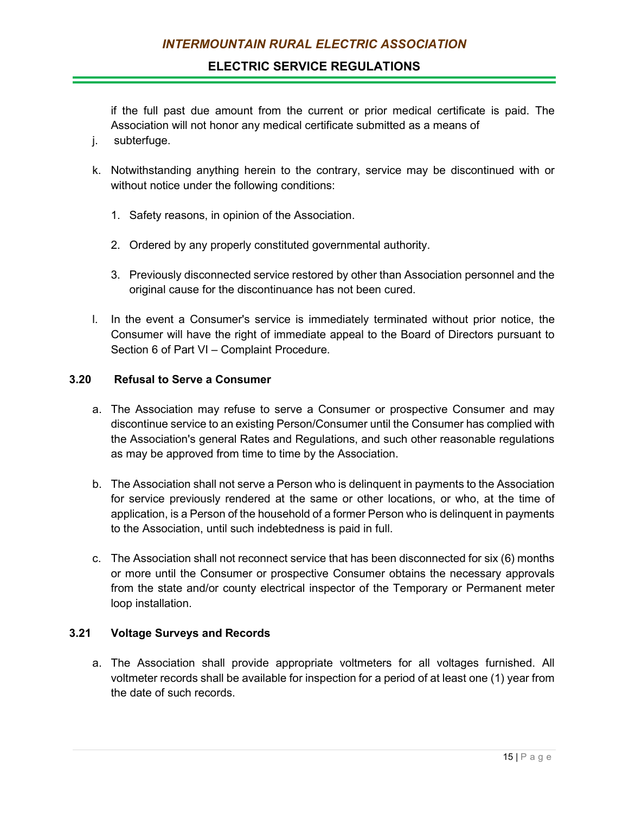if the full past due amount from the current or prior medical certificate is paid. The Association will not honor any medical certificate submitted as a means of

- j. subterfuge.
- k. Notwithstanding anything herein to the contrary, service may be discontinued with or without notice under the following conditions:
	- 1. Safety reasons, in opinion of the Association.
	- 2. Ordered by any properly constituted governmental authority.
	- 3. Previously disconnected service restored by other than Association personnel and the original cause for the discontinuance has not been cured.
- l. In the event a Consumer's service is immediately terminated without prior notice, the Consumer will have the right of immediate appeal to the Board of Directors pursuant to Section 6 of Part VI – Complaint Procedure.

# **3.20 Refusal to Serve a Consumer**

- a. The Association may refuse to serve a Consumer or prospective Consumer and may discontinue service to an existing Person/Consumer until the Consumer has complied with the Association's general Rates and Regulations, and such other reasonable regulations as may be approved from time to time by the Association.
- b. The Association shall not serve a Person who is delinquent in payments to the Association for service previously rendered at the same or other locations, or who, at the time of application, is a Person of the household of a former Person who is delinquent in payments to the Association, until such indebtedness is paid in full.
- c. The Association shall not reconnect service that has been disconnected for six (6) months or more until the Consumer or prospective Consumer obtains the necessary approvals from the state and/or county electrical inspector of the Temporary or Permanent meter loop installation.

## **3.21 Voltage Surveys and Records**

a. The Association shall provide appropriate voltmeters for all voltages furnished. All voltmeter records shall be available for inspection for a period of at least one (1) year from the date of such records.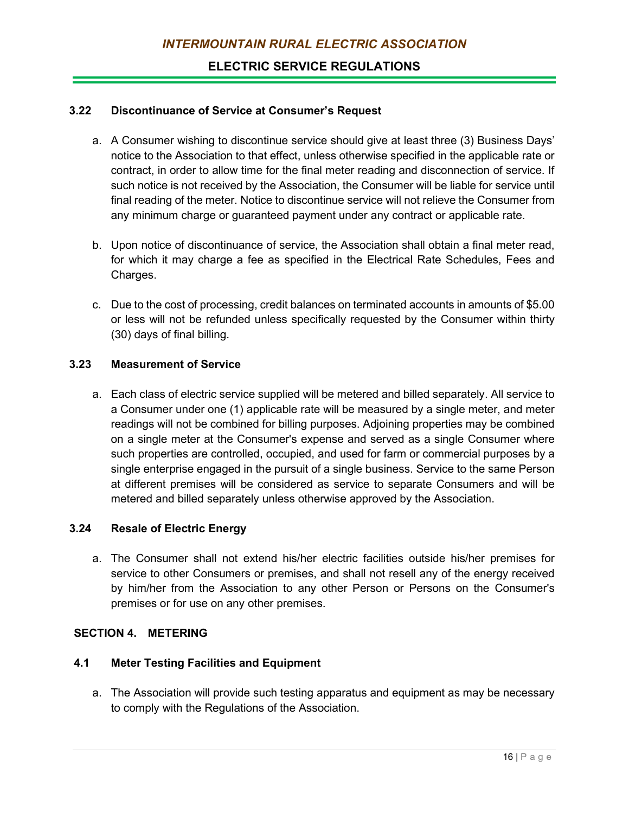### **3.22 Discontinuance of Service at Consumer's Request**

- a. A Consumer wishing to discontinue service should give at least three (3) Business Days' notice to the Association to that effect, unless otherwise specified in the applicable rate or contract, in order to allow time for the final meter reading and disconnection of service. If such notice is not received by the Association, the Consumer will be liable for service until final reading of the meter. Notice to discontinue service will not relieve the Consumer from any minimum charge or guaranteed payment under any contract or applicable rate.
- b. Upon notice of discontinuance of service, the Association shall obtain a final meter read, for which it may charge a fee as specified in the Electrical Rate Schedules, Fees and Charges.
- c. Due to the cost of processing, credit balances on terminated accounts in amounts of \$5.00 or less will not be refunded unless specifically requested by the Consumer within thirty (30) days of final billing.

#### **3.23 Measurement of Service**

a. Each class of electric service supplied will be metered and billed separately. All service to a Consumer under one (1) applicable rate will be measured by a single meter, and meter readings will not be combined for billing purposes. Adjoining properties may be combined on a single meter at the Consumer's expense and served as a single Consumer where such properties are controlled, occupied, and used for farm or commercial purposes by a single enterprise engaged in the pursuit of a single business. Service to the same Person at different premises will be considered as service to separate Consumers and will be metered and billed separately unless otherwise approved by the Association.

#### **3.24 Resale of Electric Energy**

a. The Consumer shall not extend his/her electric facilities outside his/her premises for service to other Consumers or premises, and shall not resell any of the energy received by him/her from the Association to any other Person or Persons on the Consumer's premises or for use on any other premises.

# **SECTION 4. METERING**

### **4.1 Meter Testing Facilities and Equipment**

a. The Association will provide such testing apparatus and equipment as may be necessary to comply with the Regulations of the Association.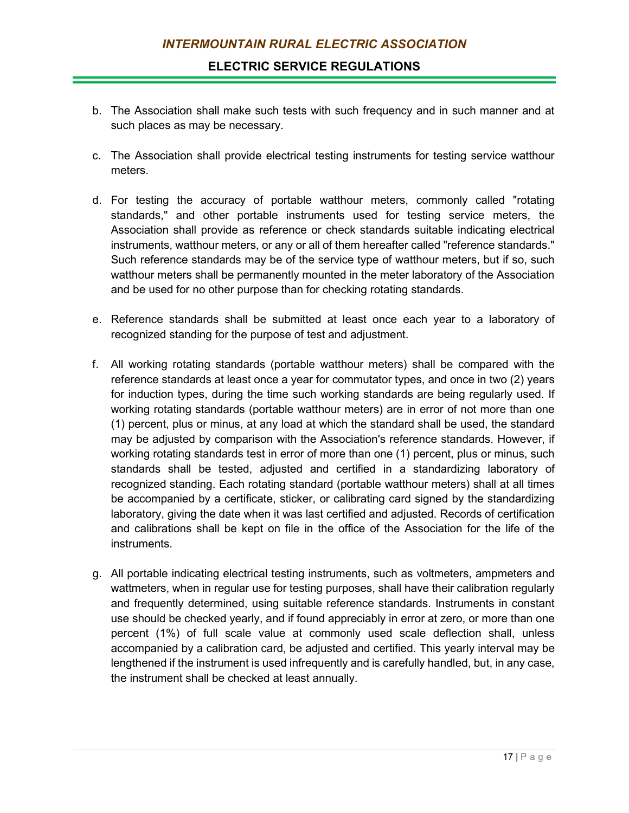- b. The Association shall make such tests with such frequency and in such manner and at such places as may be necessary.
- c. The Association shall provide electrical testing instruments for testing service watthour meters.
- d. For testing the accuracy of portable watthour meters, commonly called "rotating standards," and other portable instruments used for testing service meters, the Association shall provide as reference or check standards suitable indicating electrical instruments, watthour meters, or any or all of them hereafter called "reference standards." Such reference standards may be of the service type of watthour meters, but if so, such watthour meters shall be permanently mounted in the meter laboratory of the Association and be used for no other purpose than for checking rotating standards.
- e. Reference standards shall be submitted at least once each year to a laboratory of recognized standing for the purpose of test and adjustment.
- f. All working rotating standards (portable watthour meters) shall be compared with the reference standards at least once a year for commutator types, and once in two (2) years for induction types, during the time such working standards are being regularly used. If working rotating standards (portable watthour meters) are in error of not more than one (1) percent, plus or minus, at any load at which the standard shall be used, the standard may be adjusted by comparison with the Association's reference standards. However, if working rotating standards test in error of more than one (1) percent, plus or minus, such standards shall be tested, adjusted and certified in a standardizing laboratory of recognized standing. Each rotating standard (portable watthour meters) shall at all times be accompanied by a certificate, sticker, or calibrating card signed by the standardizing laboratory, giving the date when it was last certified and adjusted. Records of certification and calibrations shall be kept on file in the office of the Association for the life of the instruments.
- g. All portable indicating electrical testing instruments, such as voltmeters, ampmeters and wattmeters, when in regular use for testing purposes, shall have their calibration regularly and frequently determined, using suitable reference standards. Instruments in constant use should be checked yearly, and if found appreciably in error at zero, or more than one percent (1%) of full scale value at commonly used scale deflection shall, unless accompanied by a calibration card, be adjusted and certified. This yearly interval may be lengthened if the instrument is used infrequently and is carefully handled, but, in any case, the instrument shall be checked at least annually.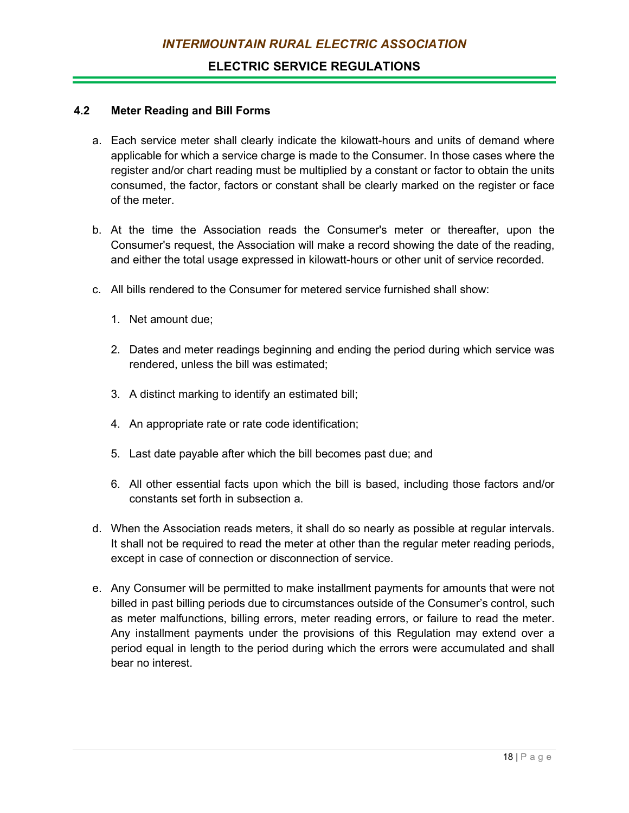#### **4.2 Meter Reading and Bill Forms**

- a. Each service meter shall clearly indicate the kilowatt-hours and units of demand where applicable for which a service charge is made to the Consumer. In those cases where the register and/or chart reading must be multiplied by a constant or factor to obtain the units consumed, the factor, factors or constant shall be clearly marked on the register or face of the meter.
- b. At the time the Association reads the Consumer's meter or thereafter, upon the Consumer's request, the Association will make a record showing the date of the reading, and either the total usage expressed in kilowatt-hours or other unit of service recorded.
- c. All bills rendered to the Consumer for metered service furnished shall show:
	- 1. Net amount due;
	- 2. Dates and meter readings beginning and ending the period during which service was rendered, unless the bill was estimated;
	- 3. A distinct marking to identify an estimated bill;
	- 4. An appropriate rate or rate code identification;
	- 5. Last date payable after which the bill becomes past due; and
	- 6. All other essential facts upon which the bill is based, including those factors and/or constants set forth in subsection a.
- d. When the Association reads meters, it shall do so nearly as possible at regular intervals. It shall not be required to read the meter at other than the regular meter reading periods, except in case of connection or disconnection of service.
- e. Any Consumer will be permitted to make installment payments for amounts that were not billed in past billing periods due to circumstances outside of the Consumer's control, such as meter malfunctions, billing errors, meter reading errors, or failure to read the meter. Any installment payments under the provisions of this Regulation may extend over a period equal in length to the period during which the errors were accumulated and shall bear no interest.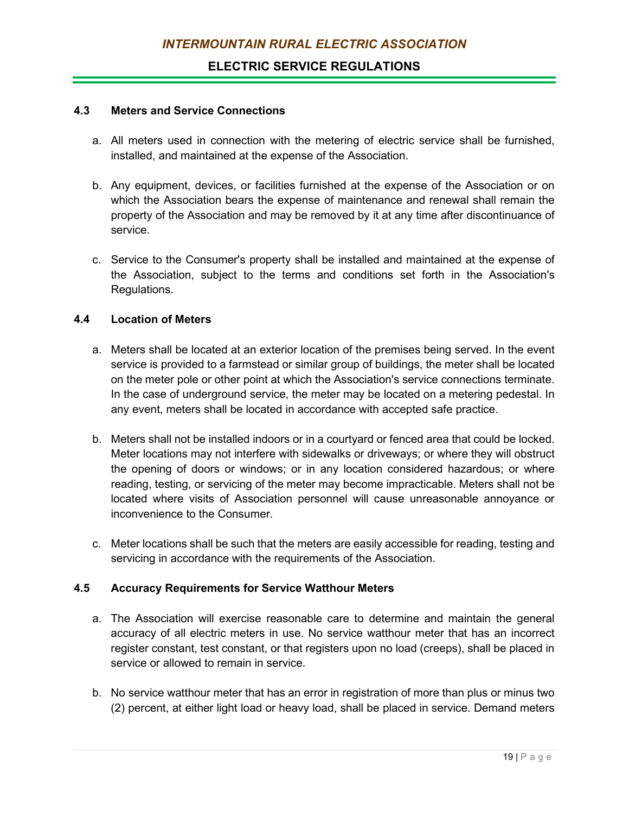#### **4.3 Meters and Service Connections**

- a. All meters used in connection with the metering of electric service shall be furnished, installed, and maintained at the expense of the Association.
- b. Any equipment, devices, or facilities furnished at the expense of the Association or on which the Association bears the expense of maintenance and renewal shall remain the property of the Association and may be removed by it at any time after discontinuance of service.
- c. Service to the Consumer's property shall be installed and maintained at the expense of the Association, subject to the terms and conditions set forth in the Association's Regulations.

## **4.4 Location of Meters**

- a. Meters shall be located at an exterior location of the premises being served. In the event service is provided to a farmstead or similar group of buildings, the meter shall be located on the meter pole or other point at which the Association's service connections terminate. In the case of underground service, the meter may be located on a metering pedestal. In any event, meters shall be located in accordance with accepted safe practice.
- b. Meters shall not be installed indoors or in a courtyard or fenced area that could be locked. Meter locations may not interfere with sidewalks or driveways; or where they will obstruct the opening of doors or windows; or in any location considered hazardous; or where reading, testing, or servicing of the meter may become impracticable. Meters shall not be located where visits of Association personnel will cause unreasonable annoyance or inconvenience to the Consumer.
- c. Meter locations shall be such that the meters are easily accessible for reading, testing and servicing in accordance with the requirements of the Association.

## **4.5 Accuracy Requirements for Service Watthour Meters**

- a. The Association will exercise reasonable care to determine and maintain the general accuracy of all electric meters in use. No service watthour meter that has an incorrect register constant, test constant, or that registers upon no load (creeps), shall be placed in service or allowed to remain in service.
- b. No service watthour meter that has an error in registration of more than plus or minus two (2) percent, at either light load or heavy load, shall be placed in service. Demand meters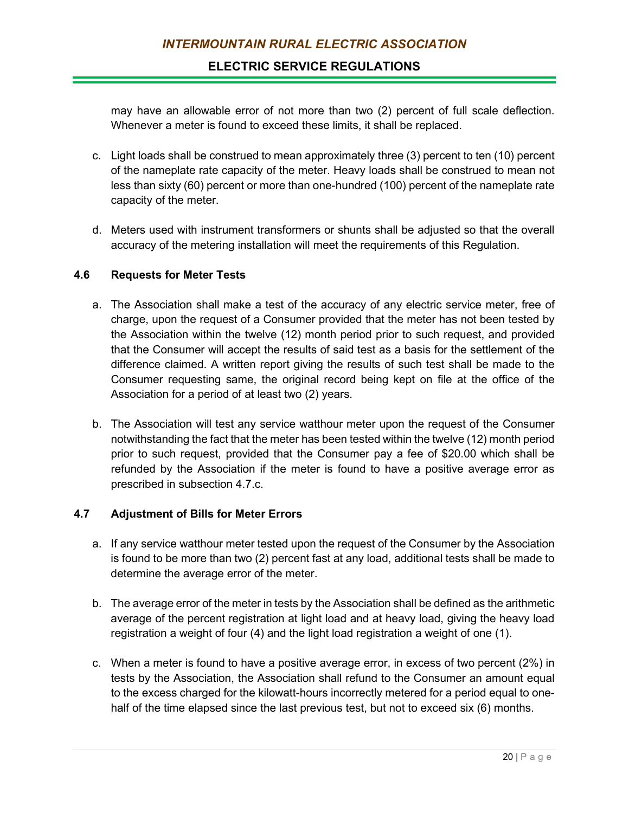may have an allowable error of not more than two (2) percent of full scale deflection. Whenever a meter is found to exceed these limits, it shall be replaced.

- c. Light loads shall be construed to mean approximately three (3) percent to ten (10) percent of the nameplate rate capacity of the meter. Heavy loads shall be construed to mean not less than sixty (60) percent or more than one-hundred (100) percent of the nameplate rate capacity of the meter.
- d. Meters used with instrument transformers or shunts shall be adjusted so that the overall accuracy of the metering installation will meet the requirements of this Regulation.

#### **4.6 Requests for Meter Tests**

- a. The Association shall make a test of the accuracy of any electric service meter, free of charge, upon the request of a Consumer provided that the meter has not been tested by the Association within the twelve (12) month period prior to such request, and provided that the Consumer will accept the results of said test as a basis for the settlement of the difference claimed. A written report giving the results of such test shall be made to the Consumer requesting same, the original record being kept on file at the office of the Association for a period of at least two (2) years.
- b. The Association will test any service watthour meter upon the request of the Consumer notwithstanding the fact that the meter has been tested within the twelve (12) month period prior to such request, provided that the Consumer pay a fee of \$20.00 which shall be refunded by the Association if the meter is found to have a positive average error as prescribed in subsection 4.7.c.

## **4.7 Adjustment of Bills for Meter Errors**

- a. If any service watthour meter tested upon the request of the Consumer by the Association is found to be more than two (2) percent fast at any load, additional tests shall be made to determine the average error of the meter.
- b. The average error of the meter in tests by the Association shall be defined as the arithmetic average of the percent registration at light load and at heavy load, giving the heavy load registration a weight of four (4) and the light load registration a weight of one (1).
- c. When a meter is found to have a positive average error, in excess of two percent (2%) in tests by the Association, the Association shall refund to the Consumer an amount equal to the excess charged for the kilowatt-hours incorrectly metered for a period equal to onehalf of the time elapsed since the last previous test, but not to exceed six (6) months.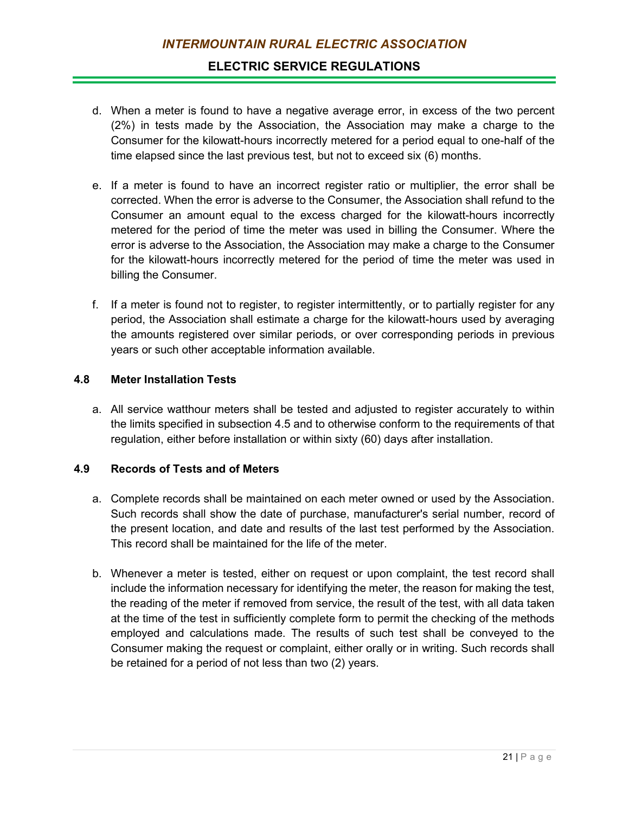## **ELECTRIC SERVICE REGULATIONS**

- d. When a meter is found to have a negative average error, in excess of the two percent (2%) in tests made by the Association, the Association may make a charge to the Consumer for the kilowatt-hours incorrectly metered for a period equal to one-half of the time elapsed since the last previous test, but not to exceed six (6) months.
- e. If a meter is found to have an incorrect register ratio or multiplier, the error shall be corrected. When the error is adverse to the Consumer, the Association shall refund to the Consumer an amount equal to the excess charged for the kilowatt-hours incorrectly metered for the period of time the meter was used in billing the Consumer. Where the error is adverse to the Association, the Association may make a charge to the Consumer for the kilowatt-hours incorrectly metered for the period of time the meter was used in billing the Consumer.
- f. If a meter is found not to register, to register intermittently, or to partially register for any period, the Association shall estimate a charge for the kilowatt-hours used by averaging the amounts registered over similar periods, or over corresponding periods in previous years or such other acceptable information available.

#### **4.8 Meter Installation Tests**

a. All service watthour meters shall be tested and adjusted to register accurately to within the limits specified in subsection 4.5 and to otherwise conform to the requirements of that regulation, either before installation or within sixty (60) days after installation.

## **4.9 Records of Tests and of Meters**

- a. Complete records shall be maintained on each meter owned or used by the Association. Such records shall show the date of purchase, manufacturer's serial number, record of the present location, and date and results of the last test performed by the Association. This record shall be maintained for the life of the meter.
- b. Whenever a meter is tested, either on request or upon complaint, the test record shall include the information necessary for identifying the meter, the reason for making the test, the reading of the meter if removed from service, the result of the test, with all data taken at the time of the test in sufficiently complete form to permit the checking of the methods employed and calculations made. The results of such test shall be conveyed to the Consumer making the request or complaint, either orally or in writing. Such records shall be retained for a period of not less than two (2) years.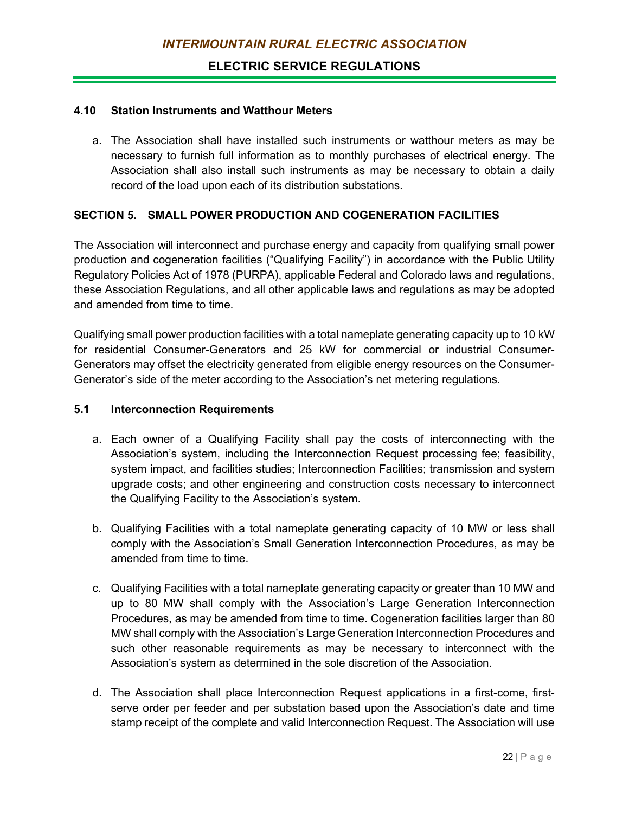#### **4.10 Station Instruments and Watthour Meters**

a. The Association shall have installed such instruments or watthour meters as may be necessary to furnish full information as to monthly purchases of electrical energy. The Association shall also install such instruments as may be necessary to obtain a daily record of the load upon each of its distribution substations.

#### **SECTION 5. SMALL POWER PRODUCTION AND COGENERATION FACILITIES**

The Association will interconnect and purchase energy and capacity from qualifying small power production and cogeneration facilities ("Qualifying Facility") in accordance with the Public Utility Regulatory Policies Act of 1978 (PURPA), applicable Federal and Colorado laws and regulations, these Association Regulations, and all other applicable laws and regulations as may be adopted and amended from time to time.

Qualifying small power production facilities with a total nameplate generating capacity up to 10 kW for residential Consumer-Generators and 25 kW for commercial or industrial Consumer-Generators may offset the electricity generated from eligible energy resources on the Consumer-Generator's side of the meter according to the Association's net metering regulations.

#### **5.1 Interconnection Requirements**

- a. Each owner of a Qualifying Facility shall pay the costs of interconnecting with the Association's system, including the Interconnection Request processing fee; feasibility, system impact, and facilities studies; Interconnection Facilities; transmission and system upgrade costs; and other engineering and construction costs necessary to interconnect the Qualifying Facility to the Association's system.
- b. Qualifying Facilities with a total nameplate generating capacity of 10 MW or less shall comply with the Association's Small Generation Interconnection Procedures, as may be amended from time to time.
- c. Qualifying Facilities with a total nameplate generating capacity or greater than 10 MW and up to 80 MW shall comply with the Association's Large Generation Interconnection Procedures, as may be amended from time to time. Cogeneration facilities larger than 80 MW shall comply with the Association's Large Generation Interconnection Procedures and such other reasonable requirements as may be necessary to interconnect with the Association's system as determined in the sole discretion of the Association.
- d. The Association shall place Interconnection Request applications in a first-come, firstserve order per feeder and per substation based upon the Association's date and time stamp receipt of the complete and valid Interconnection Request. The Association will use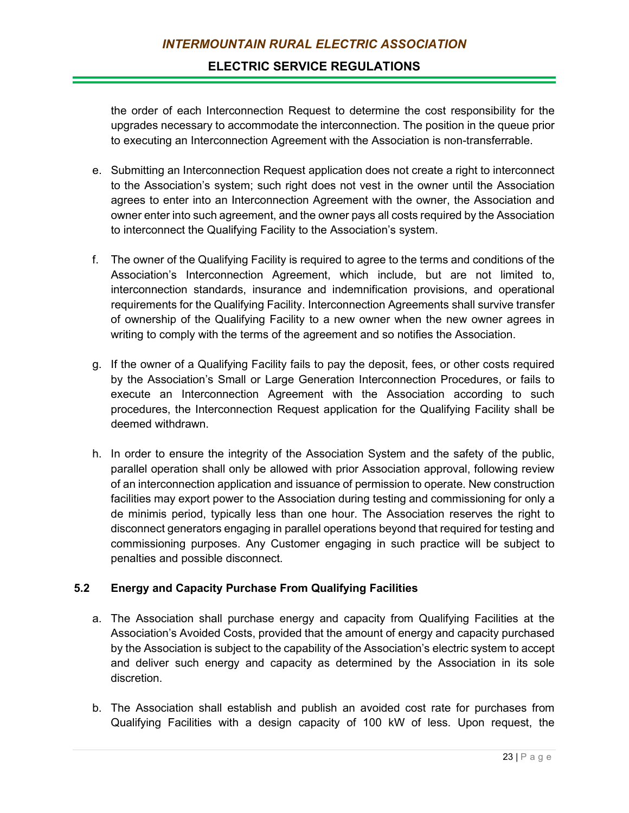the order of each Interconnection Request to determine the cost responsibility for the upgrades necessary to accommodate the interconnection. The position in the queue prior to executing an Interconnection Agreement with the Association is non-transferrable.

- e. Submitting an Interconnection Request application does not create a right to interconnect to the Association's system; such right does not vest in the owner until the Association agrees to enter into an Interconnection Agreement with the owner, the Association and owner enter into such agreement, and the owner pays all costs required by the Association to interconnect the Qualifying Facility to the Association's system.
- f. The owner of the Qualifying Facility is required to agree to the terms and conditions of the Association's Interconnection Agreement, which include, but are not limited to, interconnection standards, insurance and indemnification provisions, and operational requirements for the Qualifying Facility. Interconnection Agreements shall survive transfer of ownership of the Qualifying Facility to a new owner when the new owner agrees in writing to comply with the terms of the agreement and so notifies the Association.
- g. If the owner of a Qualifying Facility fails to pay the deposit, fees, or other costs required by the Association's Small or Large Generation Interconnection Procedures, or fails to execute an Interconnection Agreement with the Association according to such procedures, the Interconnection Request application for the Qualifying Facility shall be deemed withdrawn.
- h. In order to ensure the integrity of the Association System and the safety of the public, parallel operation shall only be allowed with prior Association approval, following review of an interconnection application and issuance of permission to operate. New construction facilities may export power to the Association during testing and commissioning for only a de minimis period, typically less than one hour. The Association reserves the right to disconnect generators engaging in parallel operations beyond that required for testing and commissioning purposes. Any Customer engaging in such practice will be subject to penalties and possible disconnect.

## **5.2 Energy and Capacity Purchase From Qualifying Facilities**

- a. The Association shall purchase energy and capacity from Qualifying Facilities at the Association's Avoided Costs, provided that the amount of energy and capacity purchased by the Association is subject to the capability of the Association's electric system to accept and deliver such energy and capacity as determined by the Association in its sole discretion.
- b. The Association shall establish and publish an avoided cost rate for purchases from Qualifying Facilities with a design capacity of 100 kW of less. Upon request, the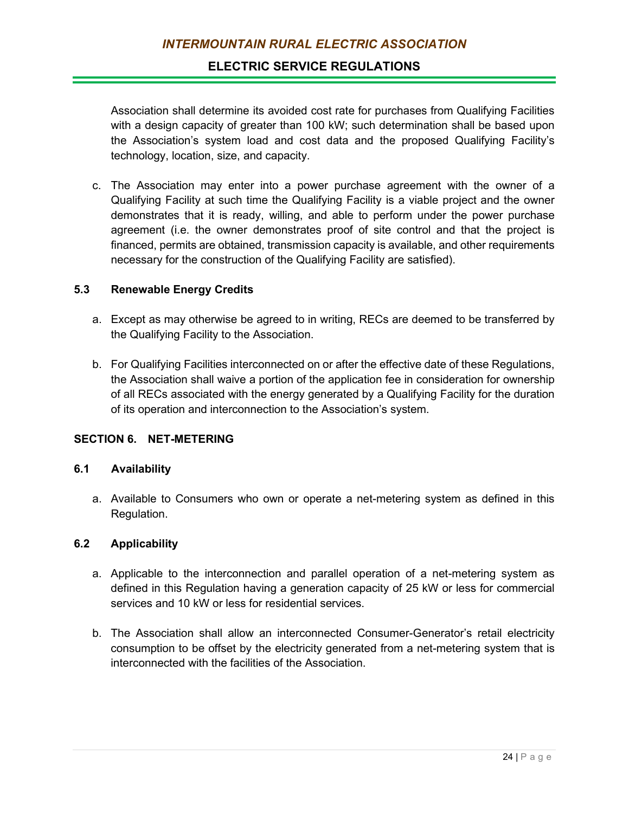Association shall determine its avoided cost rate for purchases from Qualifying Facilities with a design capacity of greater than 100 kW; such determination shall be based upon the Association's system load and cost data and the proposed Qualifying Facility's technology, location, size, and capacity.

c. The Association may enter into a power purchase agreement with the owner of a Qualifying Facility at such time the Qualifying Facility is a viable project and the owner demonstrates that it is ready, willing, and able to perform under the power purchase agreement (i.e. the owner demonstrates proof of site control and that the project is financed, permits are obtained, transmission capacity is available, and other requirements necessary for the construction of the Qualifying Facility are satisfied).

## **5.3 Renewable Energy Credits**

- a. Except as may otherwise be agreed to in writing, RECs are deemed to be transferred by the Qualifying Facility to the Association.
- b. For Qualifying Facilities interconnected on or after the effective date of these Regulations, the Association shall waive a portion of the application fee in consideration for ownership of all RECs associated with the energy generated by a Qualifying Facility for the duration of its operation and interconnection to the Association's system.

## **SECTION 6. NET-METERING**

### **6.1 Availability**

a. Available to Consumers who own or operate a net-metering system as defined in this Regulation.

#### **6.2 Applicability**

- a. Applicable to the interconnection and parallel operation of a net-metering system as defined in this Regulation having a generation capacity of 25 kW or less for commercial services and 10 kW or less for residential services.
- b. The Association shall allow an interconnected Consumer-Generator's retail electricity consumption to be offset by the electricity generated from a net-metering system that is interconnected with the facilities of the Association.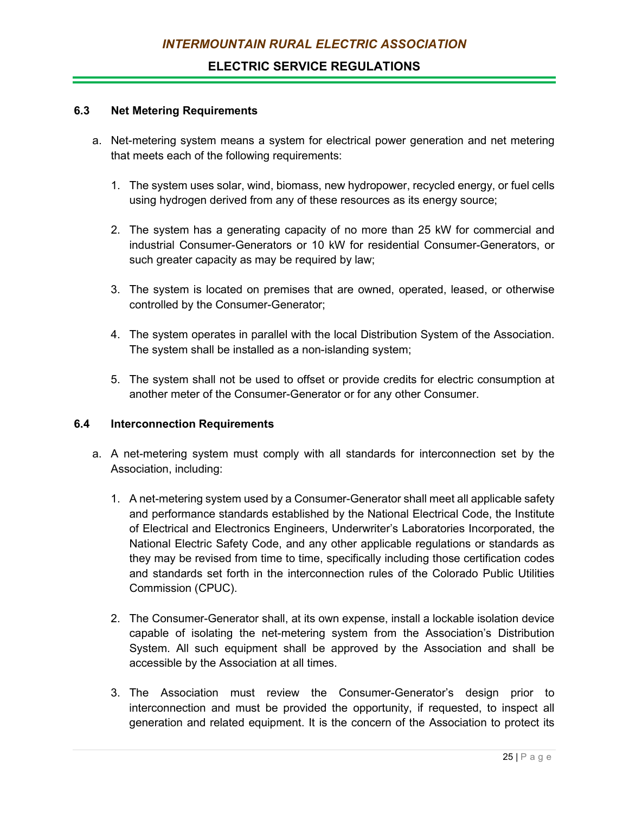#### **6.3 Net Metering Requirements**

- a. Net-metering system means a system for electrical power generation and net metering that meets each of the following requirements:
	- 1. The system uses solar, wind, biomass, new hydropower, recycled energy, or fuel cells using hydrogen derived from any of these resources as its energy source;
	- 2. The system has a generating capacity of no more than 25 kW for commercial and industrial Consumer-Generators or 10 kW for residential Consumer-Generators, or such greater capacity as may be required by law;
	- 3. The system is located on premises that are owned, operated, leased, or otherwise controlled by the Consumer-Generator;
	- 4. The system operates in parallel with the local Distribution System of the Association. The system shall be installed as a non-islanding system;
	- 5. The system shall not be used to offset or provide credits for electric consumption at another meter of the Consumer-Generator or for any other Consumer.

## **6.4 Interconnection Requirements**

- a. A net-metering system must comply with all standards for interconnection set by the Association, including:
	- 1. A net-metering system used by a Consumer-Generator shall meet all applicable safety and performance standards established by the National Electrical Code, the Institute of Electrical and Electronics Engineers, Underwriter's Laboratories Incorporated, the National Electric Safety Code, and any other applicable regulations or standards as they may be revised from time to time, specifically including those certification codes and standards set forth in the interconnection rules of the Colorado Public Utilities Commission (CPUC).
	- 2. The Consumer-Generator shall, at its own expense, install a lockable isolation device capable of isolating the net-metering system from the Association's Distribution System. All such equipment shall be approved by the Association and shall be accessible by the Association at all times.
	- 3. The Association must review the Consumer-Generator's design prior to interconnection and must be provided the opportunity, if requested, to inspect all generation and related equipment. It is the concern of the Association to protect its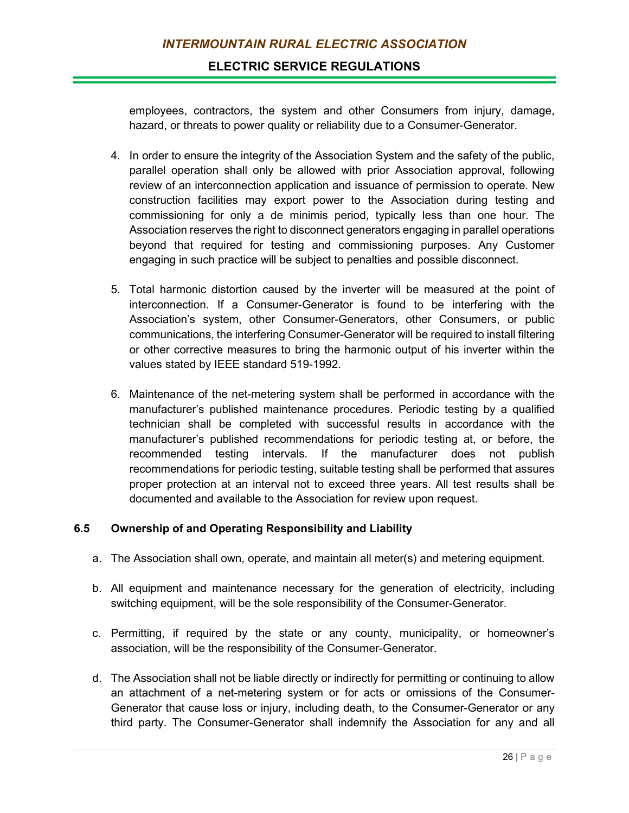## **ELECTRIC SERVICE REGULATIONS**

employees, contractors, the system and other Consumers from injury, damage, hazard, or threats to power quality or reliability due to a Consumer-Generator.

- 4. In order to ensure the integrity of the Association System and the safety of the public, parallel operation shall only be allowed with prior Association approval, following review of an interconnection application and issuance of permission to operate. New construction facilities may export power to the Association during testing and commissioning for only a de minimis period, typically less than one hour. The Association reserves the right to disconnect generators engaging in parallel operations beyond that required for testing and commissioning purposes. Any Customer engaging in such practice will be subject to penalties and possible disconnect.
- 5. Total harmonic distortion caused by the inverter will be measured at the point of interconnection. If a Consumer-Generator is found to be interfering with the Association's system, other Consumer-Generators, other Consumers, or public communications, the interfering Consumer-Generator will be required to install filtering or other corrective measures to bring the harmonic output of his inverter within the values stated by IEEE standard 519-1992.
- 6. Maintenance of the net-metering system shall be performed in accordance with the manufacturer's published maintenance procedures. Periodic testing by a qualified technician shall be completed with successful results in accordance with the manufacturer's published recommendations for periodic testing at, or before, the recommended testing intervals. If the manufacturer does not publish recommendations for periodic testing, suitable testing shall be performed that assures proper protection at an interval not to exceed three years. All test results shall be documented and available to the Association for review upon request.

## **6.5 Ownership of and Operating Responsibility and Liability**

- a. The Association shall own, operate, and maintain all meter(s) and metering equipment.
- b. All equipment and maintenance necessary for the generation of electricity, including switching equipment, will be the sole responsibility of the Consumer-Generator.
- c. Permitting, if required by the state or any county, municipality, or homeowner's association, will be the responsibility of the Consumer-Generator.
- d. The Association shall not be liable directly or indirectly for permitting or continuing to allow an attachment of a net-metering system or for acts or omissions of the Consumer-Generator that cause loss or injury, including death, to the Consumer-Generator or any third party. The Consumer-Generator shall indemnify the Association for any and all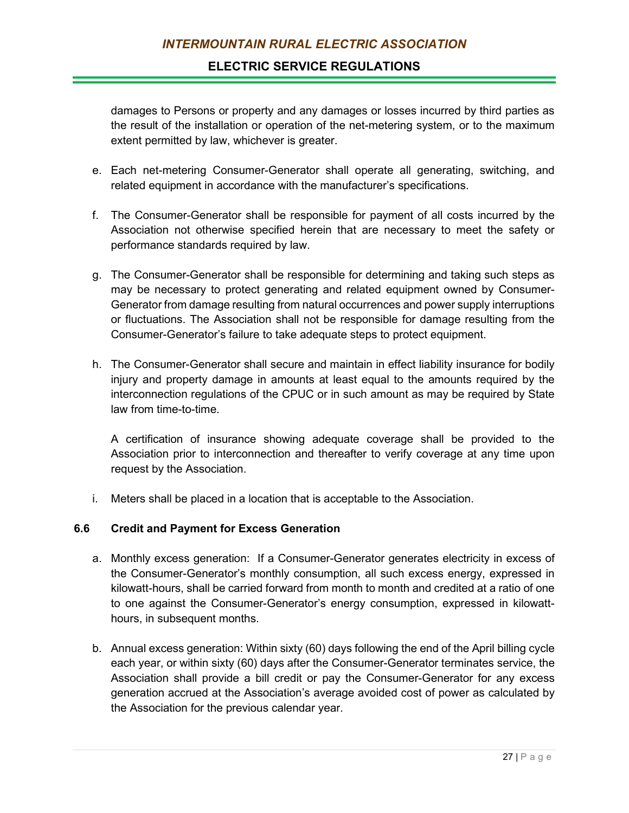damages to Persons or property and any damages or losses incurred by third parties as the result of the installation or operation of the net-metering system, or to the maximum extent permitted by law, whichever is greater.

- e. Each net-metering Consumer-Generator shall operate all generating, switching, and related equipment in accordance with the manufacturer's specifications.
- f. The Consumer-Generator shall be responsible for payment of all costs incurred by the Association not otherwise specified herein that are necessary to meet the safety or performance standards required by law.
- g. The Consumer-Generator shall be responsible for determining and taking such steps as may be necessary to protect generating and related equipment owned by Consumer-Generator from damage resulting from natural occurrences and power supply interruptions or fluctuations. The Association shall not be responsible for damage resulting from the Consumer-Generator's failure to take adequate steps to protect equipment.
- h. The Consumer-Generator shall secure and maintain in effect liability insurance for bodily injury and property damage in amounts at least equal to the amounts required by the interconnection regulations of the CPUC or in such amount as may be required by State law from time-to-time.

A certification of insurance showing adequate coverage shall be provided to the Association prior to interconnection and thereafter to verify coverage at any time upon request by the Association.

i. Meters shall be placed in a location that is acceptable to the Association.

## **6.6 Credit and Payment for Excess Generation**

- a. Monthly excess generation: If a Consumer-Generator generates electricity in excess of the Consumer-Generator's monthly consumption, all such excess energy, expressed in kilowatt-hours, shall be carried forward from month to month and credited at a ratio of one to one against the Consumer-Generator's energy consumption, expressed in kilowatthours, in subsequent months.
- b. Annual excess generation: Within sixty (60) days following the end of the April billing cycle each year, or within sixty (60) days after the Consumer-Generator terminates service, the Association shall provide a bill credit or pay the Consumer-Generator for any excess generation accrued at the Association's average avoided cost of power as calculated by the Association for the previous calendar year.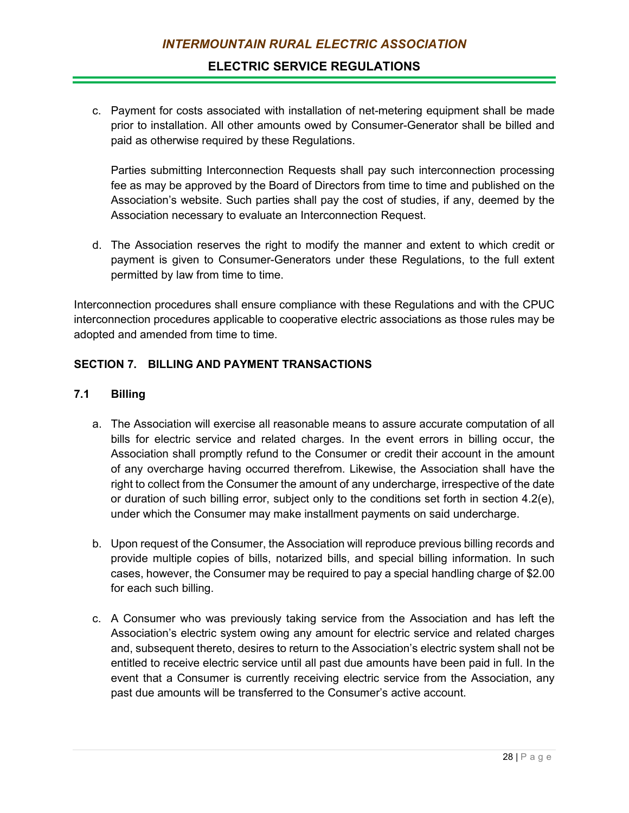## **ELECTRIC SERVICE REGULATIONS**

c. Payment for costs associated with installation of net-metering equipment shall be made prior to installation. All other amounts owed by Consumer-Generator shall be billed and paid as otherwise required by these Regulations.

Parties submitting Interconnection Requests shall pay such interconnection processing fee as may be approved by the Board of Directors from time to time and published on the Association's website. Such parties shall pay the cost of studies, if any, deemed by the Association necessary to evaluate an Interconnection Request.

d. The Association reserves the right to modify the manner and extent to which credit or payment is given to Consumer-Generators under these Regulations, to the full extent permitted by law from time to time.

Interconnection procedures shall ensure compliance with these Regulations and with the CPUC interconnection procedures applicable to cooperative electric associations as those rules may be adopted and amended from time to time.

## **SECTION 7. BILLING AND PAYMENT TRANSACTIONS**

#### **7.1 Billing**

- a. The Association will exercise all reasonable means to assure accurate computation of all bills for electric service and related charges. In the event errors in billing occur, the Association shall promptly refund to the Consumer or credit their account in the amount of any overcharge having occurred therefrom. Likewise, the Association shall have the right to collect from the Consumer the amount of any undercharge, irrespective of the date or duration of such billing error, subject only to the conditions set forth in section 4.2(e), under which the Consumer may make installment payments on said undercharge.
- b. Upon request of the Consumer, the Association will reproduce previous billing records and provide multiple copies of bills, notarized bills, and special billing information. In such cases, however, the Consumer may be required to pay a special handling charge of \$2.00 for each such billing.
- c. A Consumer who was previously taking service from the Association and has left the Association's electric system owing any amount for electric service and related charges and, subsequent thereto, desires to return to the Association's electric system shall not be entitled to receive electric service until all past due amounts have been paid in full. In the event that a Consumer is currently receiving electric service from the Association, any past due amounts will be transferred to the Consumer's active account.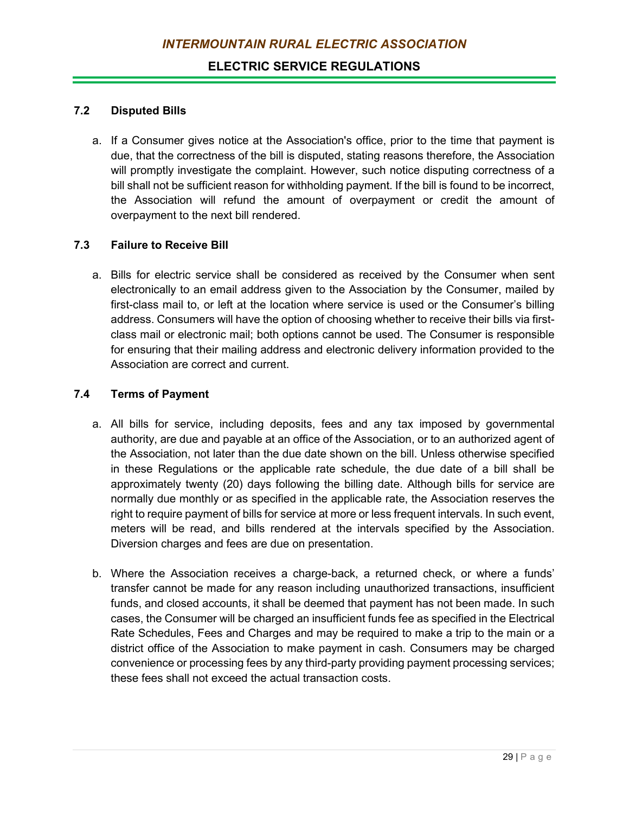### **7.2 Disputed Bills**

a. If a Consumer gives notice at the Association's office, prior to the time that payment is due, that the correctness of the bill is disputed, stating reasons therefore, the Association will promptly investigate the complaint. However, such notice disputing correctness of a bill shall not be sufficient reason for withholding payment. If the bill is found to be incorrect, the Association will refund the amount of overpayment or credit the amount of overpayment to the next bill rendered.

#### **7.3 Failure to Receive Bill**

a. Bills for electric service shall be considered as received by the Consumer when sent electronically to an email address given to the Association by the Consumer, mailed by first-class mail to, or left at the location where service is used or the Consumer's billing address. Consumers will have the option of choosing whether to receive their bills via firstclass mail or electronic mail; both options cannot be used. The Consumer is responsible for ensuring that their mailing address and electronic delivery information provided to the Association are correct and current.

#### **7.4 Terms of Payment**

- a. All bills for service, including deposits, fees and any tax imposed by governmental authority, are due and payable at an office of the Association, or to an authorized agent of the Association, not later than the due date shown on the bill. Unless otherwise specified in these Regulations or the applicable rate schedule, the due date of a bill shall be approximately twenty (20) days following the billing date. Although bills for service are normally due monthly or as specified in the applicable rate, the Association reserves the right to require payment of bills for service at more or less frequent intervals. In such event, meters will be read, and bills rendered at the intervals specified by the Association. Diversion charges and fees are due on presentation.
- b. Where the Association receives a charge-back, a returned check, or where a funds' transfer cannot be made for any reason including unauthorized transactions, insufficient funds, and closed accounts, it shall be deemed that payment has not been made. In such cases, the Consumer will be charged an insufficient funds fee as specified in the Electrical Rate Schedules, Fees and Charges and may be required to make a trip to the main or a district office of the Association to make payment in cash. Consumers may be charged convenience or processing fees by any third-party providing payment processing services; these fees shall not exceed the actual transaction costs.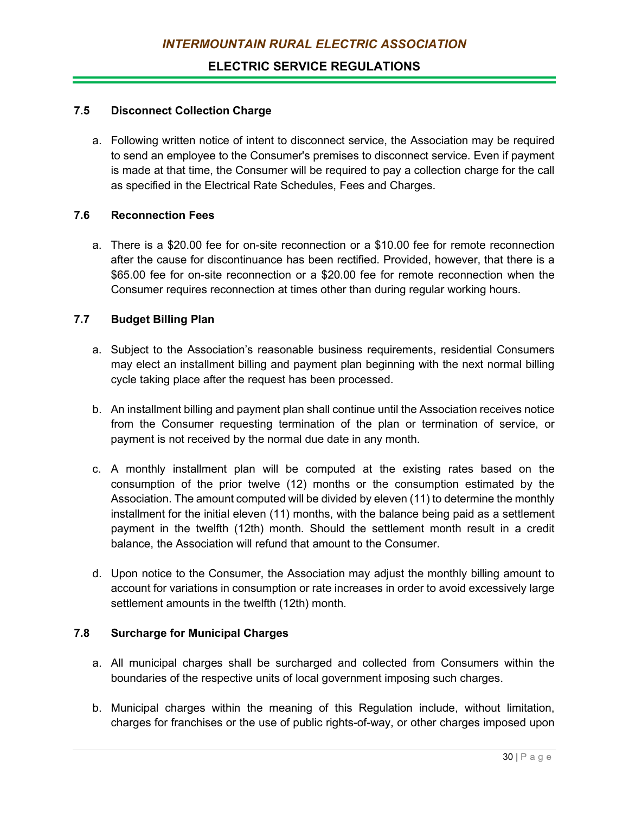## **7.5 Disconnect Collection Charge**

a. Following written notice of intent to disconnect service, the Association may be required to send an employee to the Consumer's premises to disconnect service. Even if payment is made at that time, the Consumer will be required to pay a collection charge for the call as specified in the Electrical Rate Schedules, Fees and Charges.

## **7.6 Reconnection Fees**

a. There is a \$20.00 fee for on-site reconnection or a \$10.00 fee for remote reconnection after the cause for discontinuance has been rectified. Provided, however, that there is a \$65.00 fee for on-site reconnection or a \$20.00 fee for remote reconnection when the Consumer requires reconnection at times other than during regular working hours.

## **7.7 Budget Billing Plan**

- a. Subject to the Association's reasonable business requirements, residential Consumers may elect an installment billing and payment plan beginning with the next normal billing cycle taking place after the request has been processed.
- b. An installment billing and payment plan shall continue until the Association receives notice from the Consumer requesting termination of the plan or termination of service, or payment is not received by the normal due date in any month.
- c. A monthly installment plan will be computed at the existing rates based on the consumption of the prior twelve (12) months or the consumption estimated by the Association. The amount computed will be divided by eleven (11) to determine the monthly installment for the initial eleven (11) months, with the balance being paid as a settlement payment in the twelfth (12th) month. Should the settlement month result in a credit balance, the Association will refund that amount to the Consumer.
- d. Upon notice to the Consumer, the Association may adjust the monthly billing amount to account for variations in consumption or rate increases in order to avoid excessively large settlement amounts in the twelfth (12th) month.

## **7.8 Surcharge for Municipal Charges**

- a. All municipal charges shall be surcharged and collected from Consumers within the boundaries of the respective units of local government imposing such charges.
- b. Municipal charges within the meaning of this Regulation include, without limitation, charges for franchises or the use of public rights-of-way, or other charges imposed upon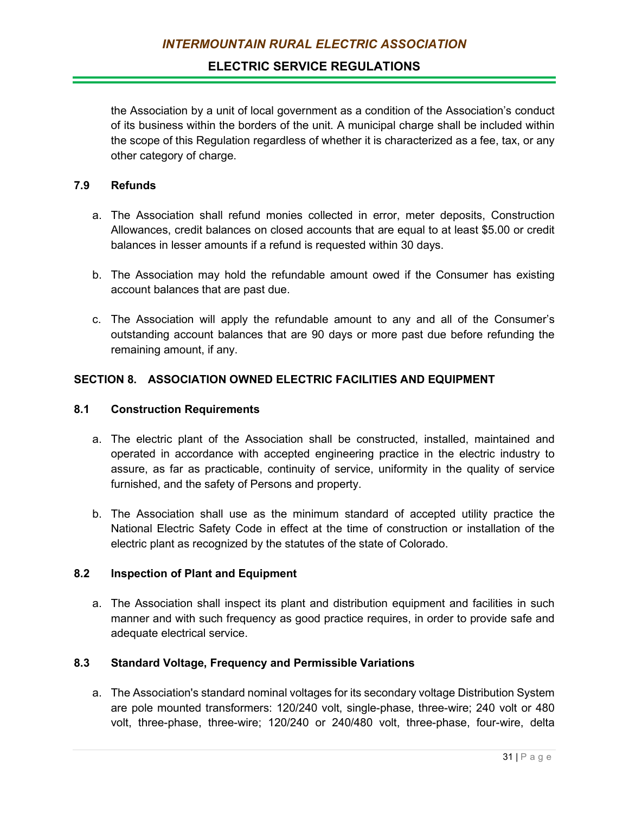the Association by a unit of local government as a condition of the Association's conduct of its business within the borders of the unit. A municipal charge shall be included within the scope of this Regulation regardless of whether it is characterized as a fee, tax, or any other category of charge.

## **7.9 Refunds**

- a. The Association shall refund monies collected in error, meter deposits, Construction Allowances, credit balances on closed accounts that are equal to at least \$5.00 or credit balances in lesser amounts if a refund is requested within 30 days.
- b. The Association may hold the refundable amount owed if the Consumer has existing account balances that are past due.
- c. The Association will apply the refundable amount to any and all of the Consumer's outstanding account balances that are 90 days or more past due before refunding the remaining amount, if any.

# **SECTION 8. ASSOCIATION OWNED ELECTRIC FACILITIES AND EQUIPMENT**

### **8.1 Construction Requirements**

- a. The electric plant of the Association shall be constructed, installed, maintained and operated in accordance with accepted engineering practice in the electric industry to assure, as far as practicable, continuity of service, uniformity in the quality of service furnished, and the safety of Persons and property.
- b. The Association shall use as the minimum standard of accepted utility practice the National Electric Safety Code in effect at the time of construction or installation of the electric plant as recognized by the statutes of the state of Colorado.

## **8.2 Inspection of Plant and Equipment**

a. The Association shall inspect its plant and distribution equipment and facilities in such manner and with such frequency as good practice requires, in order to provide safe and adequate electrical service.

## **8.3 Standard Voltage, Frequency and Permissible Variations**

a. The Association's standard nominal voltages for its secondary voltage Distribution System are pole mounted transformers: 120/240 volt, single-phase, three-wire; 240 volt or 480 volt, three-phase, three-wire; 120/240 or 240/480 volt, three-phase, four-wire, delta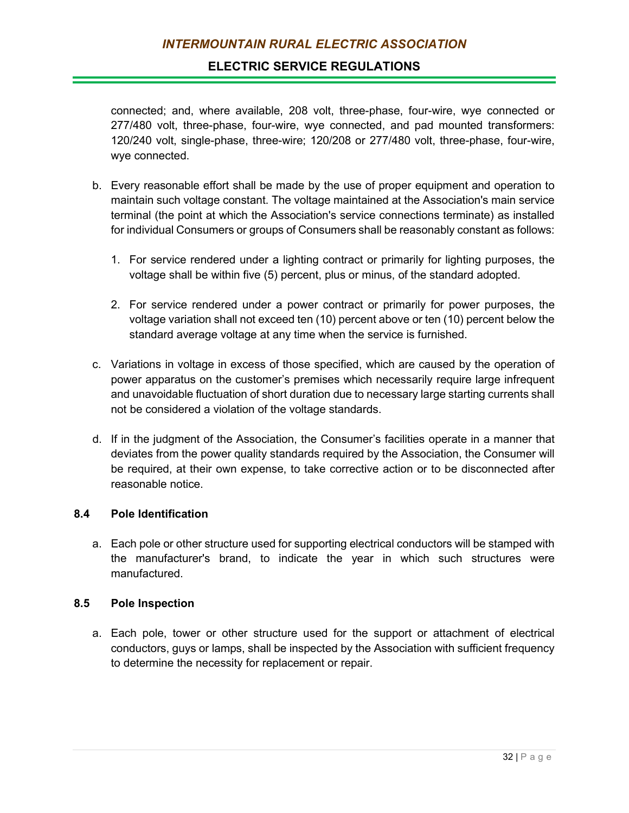## **ELECTRIC SERVICE REGULATIONS**

connected; and, where available, 208 volt, three-phase, four-wire, wye connected or 277/480 volt, three-phase, four-wire, wye connected, and pad mounted transformers: 120/240 volt, single-phase, three-wire; 120/208 or 277/480 volt, three-phase, four-wire, wye connected.

- b. Every reasonable effort shall be made by the use of proper equipment and operation to maintain such voltage constant. The voltage maintained at the Association's main service terminal (the point at which the Association's service connections terminate) as installed for individual Consumers or groups of Consumers shall be reasonably constant as follows:
	- 1. For service rendered under a lighting contract or primarily for lighting purposes, the voltage shall be within five (5) percent, plus or minus, of the standard adopted.
	- 2. For service rendered under a power contract or primarily for power purposes, the voltage variation shall not exceed ten (10) percent above or ten (10) percent below the standard average voltage at any time when the service is furnished.
- c. Variations in voltage in excess of those specified, which are caused by the operation of power apparatus on the customer's premises which necessarily require large infrequent and unavoidable fluctuation of short duration due to necessary large starting currents shall not be considered a violation of the voltage standards.
- d. If in the judgment of the Association, the Consumer's facilities operate in a manner that deviates from the power quality standards required by the Association, the Consumer will be required, at their own expense, to take corrective action or to be disconnected after reasonable notice.

#### **8.4 Pole Identification**

a. Each pole or other structure used for supporting electrical conductors will be stamped with the manufacturer's brand, to indicate the year in which such structures were manufactured.

#### **8.5 Pole Inspection**

a. Each pole, tower or other structure used for the support or attachment of electrical conductors, guys or lamps, shall be inspected by the Association with sufficient frequency to determine the necessity for replacement or repair.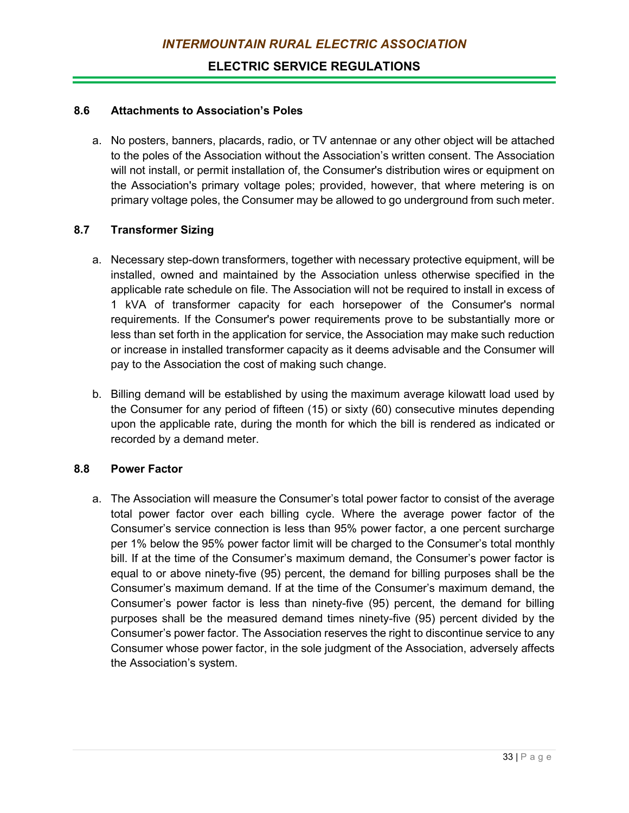### **8.6 Attachments to Association's Poles**

a. No posters, banners, placards, radio, or TV antennae or any other object will be attached to the poles of the Association without the Association's written consent. The Association will not install, or permit installation of, the Consumer's distribution wires or equipment on the Association's primary voltage poles; provided, however, that where metering is on primary voltage poles, the Consumer may be allowed to go underground from such meter.

#### **8.7 Transformer Sizing**

- a. Necessary step-down transformers, together with necessary protective equipment, will be installed, owned and maintained by the Association unless otherwise specified in the applicable rate schedule on file. The Association will not be required to install in excess of 1 kVA of transformer capacity for each horsepower of the Consumer's normal requirements. If the Consumer's power requirements prove to be substantially more or less than set forth in the application for service, the Association may make such reduction or increase in installed transformer capacity as it deems advisable and the Consumer will pay to the Association the cost of making such change.
- b. Billing demand will be established by using the maximum average kilowatt load used by the Consumer for any period of fifteen (15) or sixty (60) consecutive minutes depending upon the applicable rate, during the month for which the bill is rendered as indicated or recorded by a demand meter.

### **8.8 Power Factor**

a. The Association will measure the Consumer's total power factor to consist of the average total power factor over each billing cycle. Where the average power factor of the Consumer's service connection is less than 95% power factor, a one percent surcharge per 1% below the 95% power factor limit will be charged to the Consumer's total monthly bill. If at the time of the Consumer's maximum demand, the Consumer's power factor is equal to or above ninety-five (95) percent, the demand for billing purposes shall be the Consumer's maximum demand. If at the time of the Consumer's maximum demand, the Consumer's power factor is less than ninety-five (95) percent, the demand for billing purposes shall be the measured demand times ninety-five (95) percent divided by the Consumer's power factor. The Association reserves the right to discontinue service to any Consumer whose power factor, in the sole judgment of the Association, adversely affects the Association's system.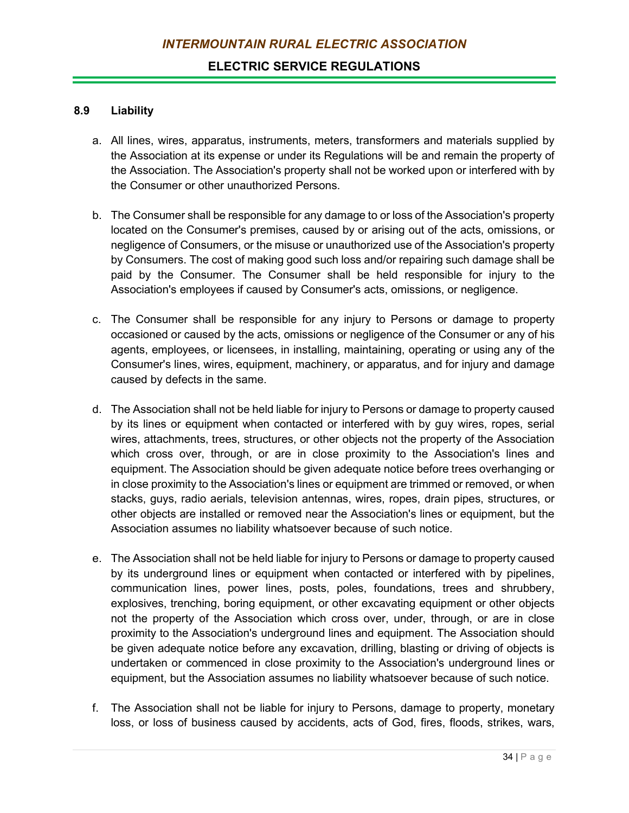#### **8.9 Liability**

- a. All lines, wires, apparatus, instruments, meters, transformers and materials supplied by the Association at its expense or under its Regulations will be and remain the property of the Association. The Association's property shall not be worked upon or interfered with by the Consumer or other unauthorized Persons.
- b. The Consumer shall be responsible for any damage to or loss of the Association's property located on the Consumer's premises, caused by or arising out of the acts, omissions, or negligence of Consumers, or the misuse or unauthorized use of the Association's property by Consumers. The cost of making good such loss and/or repairing such damage shall be paid by the Consumer. The Consumer shall be held responsible for injury to the Association's employees if caused by Consumer's acts, omissions, or negligence.
- c. The Consumer shall be responsible for any injury to Persons or damage to property occasioned or caused by the acts, omissions or negligence of the Consumer or any of his agents, employees, or licensees, in installing, maintaining, operating or using any of the Consumer's lines, wires, equipment, machinery, or apparatus, and for injury and damage caused by defects in the same.
- d. The Association shall not be held liable for injury to Persons or damage to property caused by its lines or equipment when contacted or interfered with by guy wires, ropes, serial wires, attachments, trees, structures, or other objects not the property of the Association which cross over, through, or are in close proximity to the Association's lines and equipment. The Association should be given adequate notice before trees overhanging or in close proximity to the Association's lines or equipment are trimmed or removed, or when stacks, guys, radio aerials, television antennas, wires, ropes, drain pipes, structures, or other objects are installed or removed near the Association's lines or equipment, but the Association assumes no liability whatsoever because of such notice.
- e. The Association shall not be held liable for injury to Persons or damage to property caused by its underground lines or equipment when contacted or interfered with by pipelines, communication lines, power lines, posts, poles, foundations, trees and shrubbery, explosives, trenching, boring equipment, or other excavating equipment or other objects not the property of the Association which cross over, under, through, or are in close proximity to the Association's underground lines and equipment. The Association should be given adequate notice before any excavation, drilling, blasting or driving of objects is undertaken or commenced in close proximity to the Association's underground lines or equipment, but the Association assumes no liability whatsoever because of such notice.
- f. The Association shall not be liable for injury to Persons, damage to property, monetary loss, or loss of business caused by accidents, acts of God, fires, floods, strikes, wars,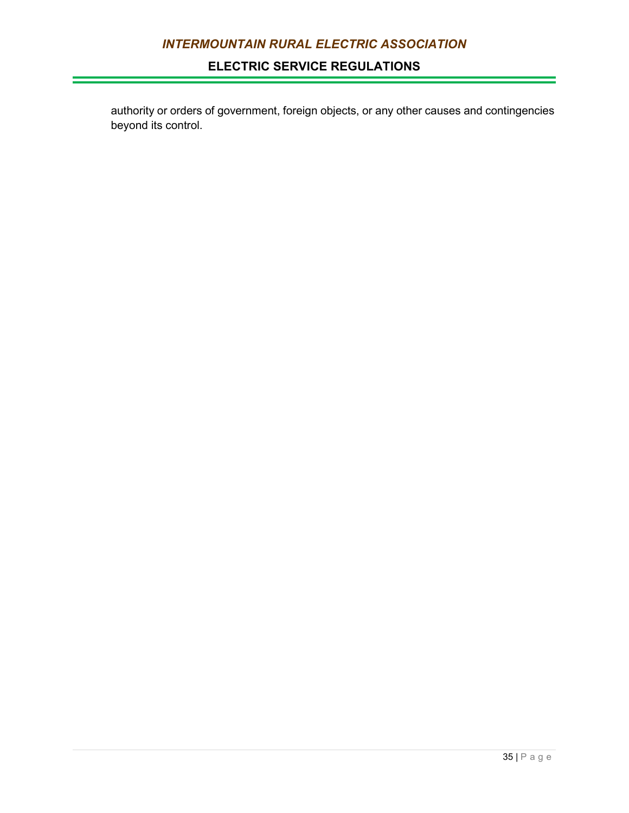# **ELECTRIC SERVICE REGULATIONS**

authority or orders of government, foreign objects, or any other causes and contingencies beyond its control.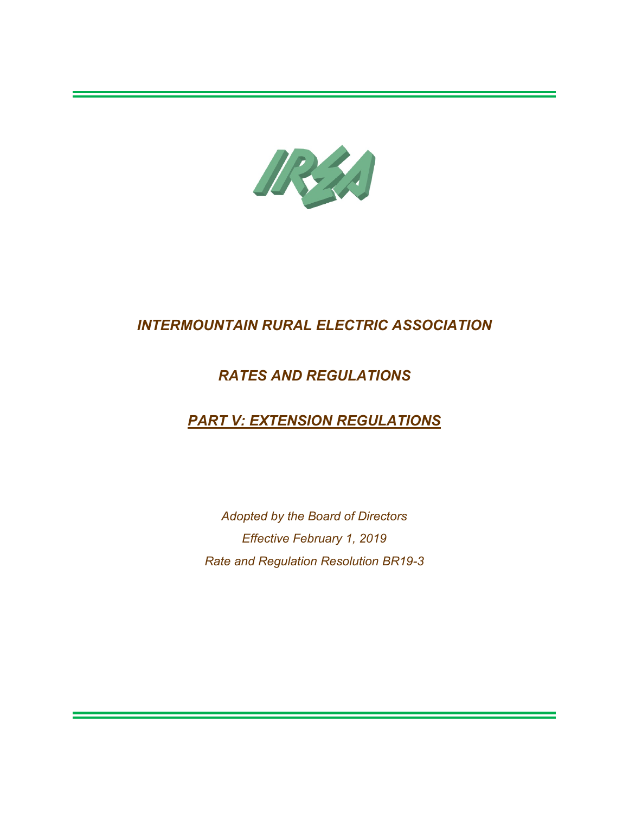

# *RATES AND REGULATIONS*

# *PART V: EXTENSION REGULATIONS*

*Adopted by the Board of Directors Effective February 1, 2019 Rate and Regulation Resolution BR19-3*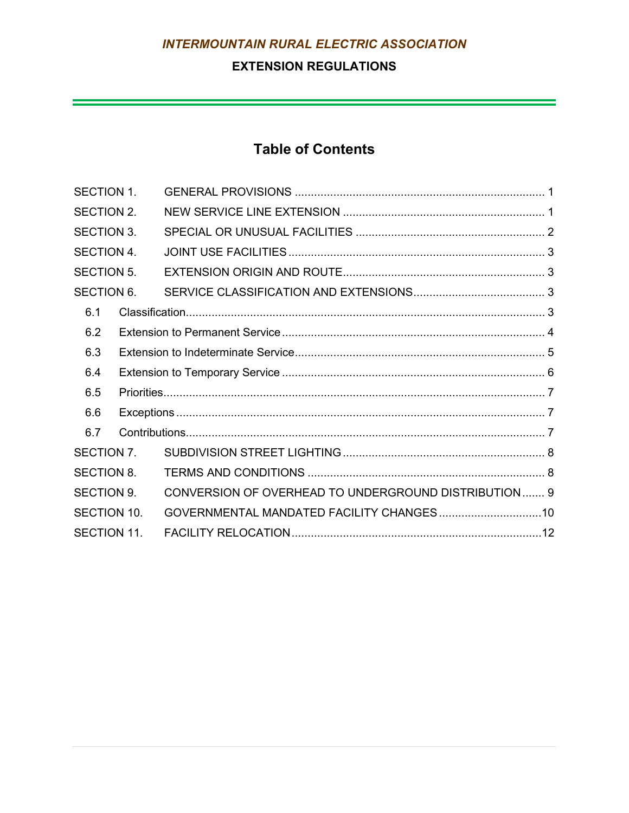# **EXTENSION REGULATIONS**

a sa kacamatan ing Kabupatèn Kabupatèn Kabupatèn Kabupatèn Kabupatèn Kabupatèn Kabupatèn Kabupatèn Kabupatèn K

# **Table of Contents**

| <b>SECTION 1.</b>  |  |                                                      |  |
|--------------------|--|------------------------------------------------------|--|
| <b>SECTION 2.</b>  |  |                                                      |  |
| SECTION 3.         |  |                                                      |  |
| <b>SECTION 4.</b>  |  |                                                      |  |
| <b>SECTION 5.</b>  |  |                                                      |  |
| <b>SECTION 6.</b>  |  |                                                      |  |
| 6.1                |  |                                                      |  |
| 6.2                |  |                                                      |  |
| 6.3                |  |                                                      |  |
| 6.4                |  |                                                      |  |
| 6.5                |  |                                                      |  |
| 6.6                |  |                                                      |  |
| 6.7                |  |                                                      |  |
| SECTION 7.         |  |                                                      |  |
| <b>SECTION 8.</b>  |  |                                                      |  |
| <b>SECTION 9.</b>  |  | CONVERSION OF OVERHEAD TO UNDERGROUND DISTRIBUTION 9 |  |
| SECTION 10.        |  | GOVERNMENTAL MANDATED FACILITY CHANGES10             |  |
| <b>SECTION 11.</b> |  |                                                      |  |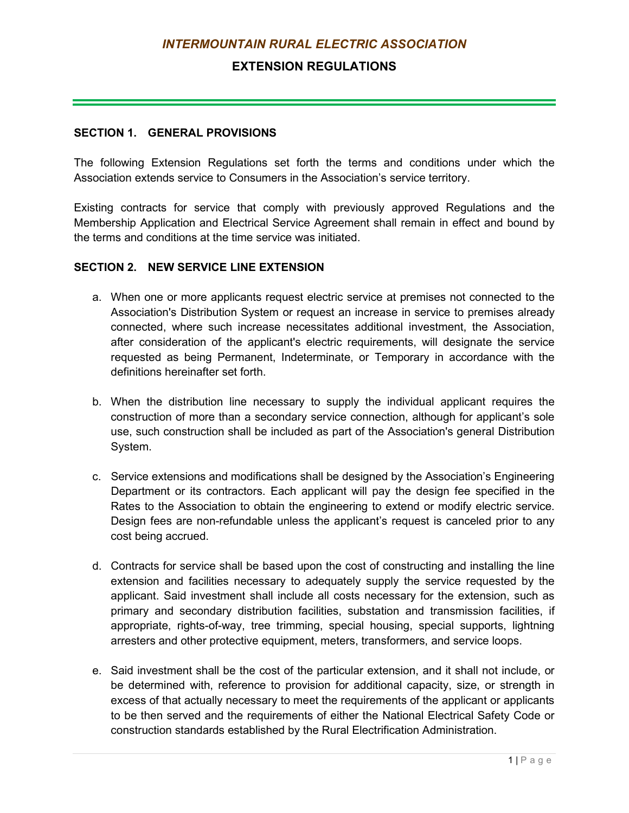# **EXTENSION REGULATIONS**

#### <span id="page-106-0"></span>**SECTION 1. GENERAL PROVISIONS**

The following Extension Regulations set forth the terms and conditions under which the Association extends service to Consumers in the Association's service territory.

Existing contracts for service that comply with previously approved Regulations and the Membership Application and Electrical Service Agreement shall remain in effect and bound by the terms and conditions at the time service was initiated.

## <span id="page-106-1"></span>**SECTION 2. NEW SERVICE LINE EXTENSION**

- a. When one or more applicants request electric service at premises not connected to the Association's Distribution System or request an increase in service to premises already connected, where such increase necessitates additional investment, the Association, after consideration of the applicant's electric requirements, will designate the service requested as being Permanent, Indeterminate, or Temporary in accordance with the definitions hereinafter set forth.
- b. When the distribution line necessary to supply the individual applicant requires the construction of more than a secondary service connection, although for applicant's sole use, such construction shall be included as part of the Association's general Distribution System.
- c. Service extensions and modifications shall be designed by the Association's Engineering Department or its contractors. Each applicant will pay the design fee specified in the Rates to the Association to obtain the engineering to extend or modify electric service. Design fees are non-refundable unless the applicant's request is canceled prior to any cost being accrued.
- d. Contracts for service shall be based upon the cost of constructing and installing the line extension and facilities necessary to adequately supply the service requested by the applicant. Said investment shall include all costs necessary for the extension, such as primary and secondary distribution facilities, substation and transmission facilities, if appropriate, rights-of-way, tree trimming, special housing, special supports, lightning arresters and other protective equipment, meters, transformers, and service loops.
- e. Said investment shall be the cost of the particular extension, and it shall not include, or be determined with, reference to provision for additional capacity, size, or strength in excess of that actually necessary to meet the requirements of the applicant or applicants to be then served and the requirements of either the National Electrical Safety Code or construction standards established by the Rural Electrification Administration.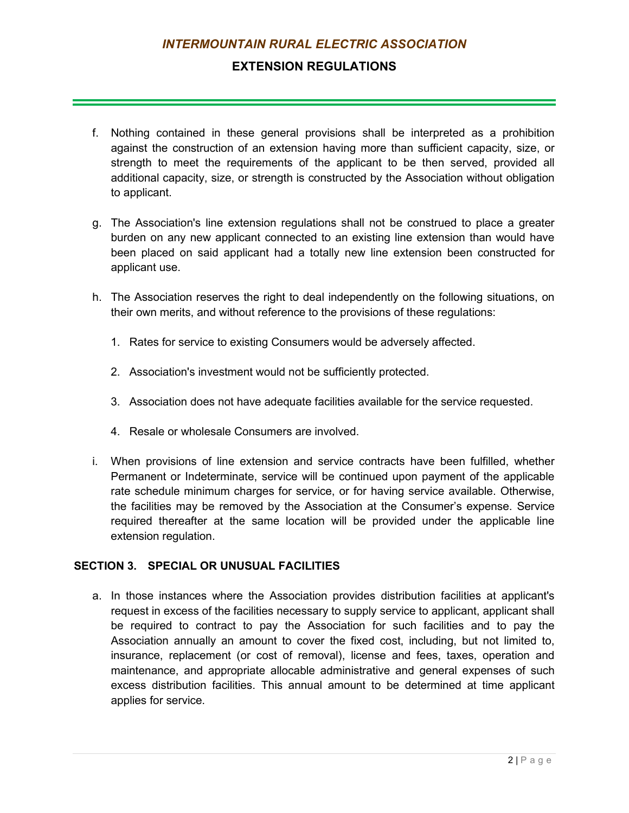# **EXTENSION REGULATIONS**

- f. Nothing contained in these general provisions shall be interpreted as a prohibition against the construction of an extension having more than sufficient capacity, size, or strength to meet the requirements of the applicant to be then served, provided all additional capacity, size, or strength is constructed by the Association without obligation to applicant.
- g. The Association's line extension regulations shall not be construed to place a greater burden on any new applicant connected to an existing line extension than would have been placed on said applicant had a totally new line extension been constructed for applicant use.
- h. The Association reserves the right to deal independently on the following situations, on their own merits, and without reference to the provisions of these regulations:
	- 1. Rates for service to existing Consumers would be adversely affected.
	- 2. Association's investment would not be sufficiently protected.
	- 3. Association does not have adequate facilities available for the service requested.
	- 4. Resale or wholesale Consumers are involved.
- i. When provisions of line extension and service contracts have been fulfilled, whether Permanent or Indeterminate, service will be continued upon payment of the applicable rate schedule minimum charges for service, or for having service available. Otherwise, the facilities may be removed by the Association at the Consumer's expense. Service required thereafter at the same location will be provided under the applicable line extension regulation.

## <span id="page-107-0"></span>**SECTION 3. SPECIAL OR UNUSUAL FACILITIES**

a. In those instances where the Association provides distribution facilities at applicant's request in excess of the facilities necessary to supply service to applicant, applicant shall be required to contract to pay the Association for such facilities and to pay the Association annually an amount to cover the fixed cost, including, but not limited to, insurance, replacement (or cost of removal), license and fees, taxes, operation and maintenance, and appropriate allocable administrative and general expenses of such excess distribution facilities. This annual amount to be determined at time applicant applies for service.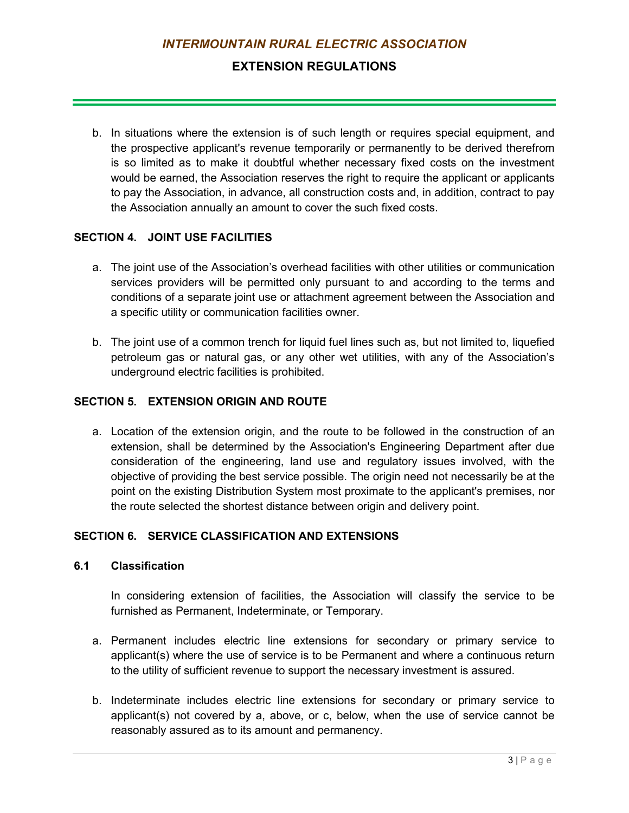## **EXTENSION REGULATIONS**

b. In situations where the extension is of such length or requires special equipment, and the prospective applicant's revenue temporarily or permanently to be derived therefrom is so limited as to make it doubtful whether necessary fixed costs on the investment would be earned, the Association reserves the right to require the applicant or applicants to pay the Association, in advance, all construction costs and, in addition, contract to pay the Association annually an amount to cover the such fixed costs.

#### **SECTION 4. JOINT USE FACILITIES**

- a. The joint use of the Association's overhead facilities with other utilities or communication services providers will be permitted only pursuant to and according to the terms and conditions of a separate joint use or attachment agreement between the Association and a specific utility or communication facilities owner.
- b. The joint use of a common trench for liquid fuel lines such as, but not limited to, liquefied petroleum gas or natural gas, or any other wet utilities, with any of the Association's underground electric facilities is prohibited.

## **SECTION 5. EXTENSION ORIGIN AND ROUTE**

a. Location of the extension origin, and the route to be followed in the construction of an extension, shall be determined by the Association's Engineering Department after due consideration of the engineering, land use and regulatory issues involved, with the objective of providing the best service possible. The origin need not necessarily be at the point on the existing Distribution System most proximate to the applicant's premises, nor the route selected the shortest distance between origin and delivery point.

#### **SECTION 6. SERVICE CLASSIFICATION AND EXTENSIONS**

#### **6.1 Classification**

In considering extension of facilities, the Association will classify the service to be furnished as Permanent, Indeterminate, or Temporary.

- a. Permanent includes electric line extensions for secondary or primary service to applicant(s) where the use of service is to be Permanent and where a continuous return to the utility of sufficient revenue to support the necessary investment is assured.
- b. Indeterminate includes electric line extensions for secondary or primary service to applicant(s) not covered by a, above, or c, below, when the use of service cannot be reasonably assured as to its amount and permanency.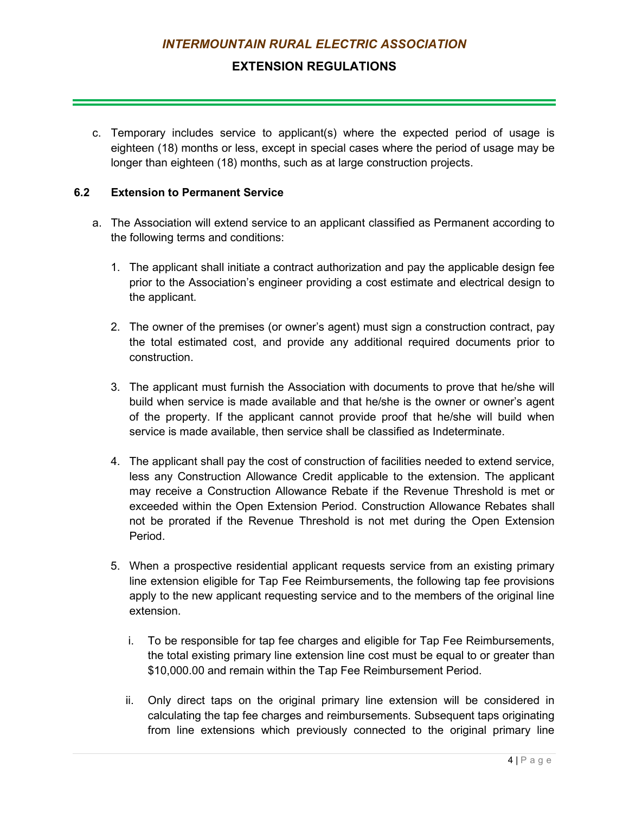## **EXTENSION REGULATIONS**

c. Temporary includes service to applicant(s) where the expected period of usage is eighteen (18) months or less, except in special cases where the period of usage may be longer than eighteen (18) months, such as at large construction projects.

#### **6.2 Extension to Permanent Service**

- a. The Association will extend service to an applicant classified as Permanent according to the following terms and conditions:
	- 1. The applicant shall initiate a contract authorization and pay the applicable design fee prior to the Association's engineer providing a cost estimate and electrical design to the applicant.
	- 2. The owner of the premises (or owner's agent) must sign a construction contract, pay the total estimated cost, and provide any additional required documents prior to construction.
	- 3. The applicant must furnish the Association with documents to prove that he/she will build when service is made available and that he/she is the owner or owner's agent of the property. If the applicant cannot provide proof that he/she will build when service is made available, then service shall be classified as Indeterminate.
	- 4. The applicant shall pay the cost of construction of facilities needed to extend service, less any Construction Allowance Credit applicable to the extension. The applicant may receive a Construction Allowance Rebate if the Revenue Threshold is met or exceeded within the Open Extension Period. Construction Allowance Rebates shall not be prorated if the Revenue Threshold is not met during the Open Extension Period.
	- 5. When a prospective residential applicant requests service from an existing primary line extension eligible for Tap Fee Reimbursements, the following tap fee provisions apply to the new applicant requesting service and to the members of the original line extension.
		- i. To be responsible for tap fee charges and eligible for Tap Fee Reimbursements, the total existing primary line extension line cost must be equal to or greater than \$10,000.00 and remain within the Tap Fee Reimbursement Period.
		- ii. Only direct taps on the original primary line extension will be considered in calculating the tap fee charges and reimbursements. Subsequent taps originating from line extensions which previously connected to the original primary line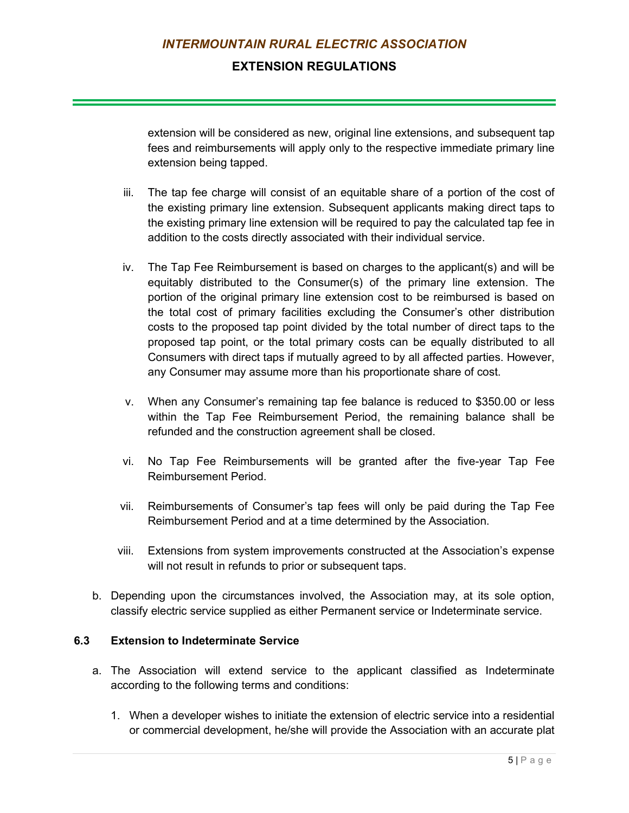## **EXTENSION REGULATIONS**

extension will be considered as new, original line extensions, and subsequent tap fees and reimbursements will apply only to the respective immediate primary line extension being tapped.

- iii. The tap fee charge will consist of an equitable share of a portion of the cost of the existing primary line extension. Subsequent applicants making direct taps to the existing primary line extension will be required to pay the calculated tap fee in addition to the costs directly associated with their individual service.
- iv. The Tap Fee Reimbursement is based on charges to the applicant(s) and will be equitably distributed to the Consumer(s) of the primary line extension. The portion of the original primary line extension cost to be reimbursed is based on the total cost of primary facilities excluding the Consumer's other distribution costs to the proposed tap point divided by the total number of direct taps to the proposed tap point, or the total primary costs can be equally distributed to all Consumers with direct taps if mutually agreed to by all affected parties. However, any Consumer may assume more than his proportionate share of cost.
- v. When any Consumer's remaining tap fee balance is reduced to \$350.00 or less within the Tap Fee Reimbursement Period, the remaining balance shall be refunded and the construction agreement shall be closed.
- vi. No Tap Fee Reimbursements will be granted after the five-year Tap Fee Reimbursement Period.
- vii. Reimbursements of Consumer's tap fees will only be paid during the Tap Fee Reimbursement Period and at a time determined by the Association.
- viii. Extensions from system improvements constructed at the Association's expense will not result in refunds to prior or subsequent taps.
- b. Depending upon the circumstances involved, the Association may, at its sole option, classify electric service supplied as either Permanent service or Indeterminate service.

#### **6.3 Extension to Indeterminate Service**

- a. The Association will extend service to the applicant classified as Indeterminate according to the following terms and conditions:
	- 1. When a developer wishes to initiate the extension of electric service into a residential or commercial development, he/she will provide the Association with an accurate plat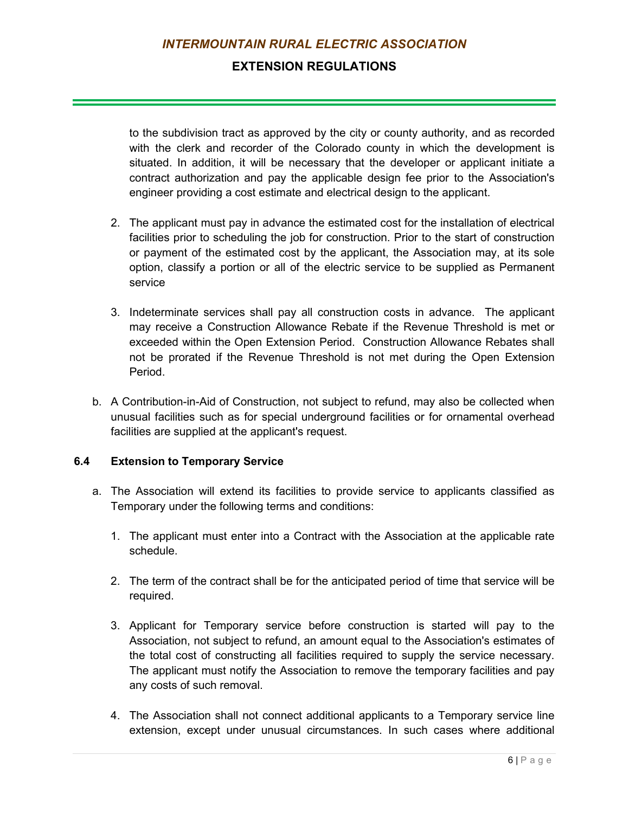## **EXTENSION REGULATIONS**

to the subdivision tract as approved by the city or county authority, and as recorded with the clerk and recorder of the Colorado county in which the development is situated. In addition, it will be necessary that the developer or applicant initiate a contract authorization and pay the applicable design fee prior to the Association's engineer providing a cost estimate and electrical design to the applicant.

- 2. The applicant must pay in advance the estimated cost for the installation of electrical facilities prior to scheduling the job for construction. Prior to the start of construction or payment of the estimated cost by the applicant, the Association may, at its sole option, classify a portion or all of the electric service to be supplied as Permanent service
- 3. Indeterminate services shall pay all construction costs in advance. The applicant may receive a Construction Allowance Rebate if the Revenue Threshold is met or exceeded within the Open Extension Period. Construction Allowance Rebates shall not be prorated if the Revenue Threshold is not met during the Open Extension Period.
- b. A Contribution-in-Aid of Construction, not subject to refund, may also be collected when unusual facilities such as for special underground facilities or for ornamental overhead facilities are supplied at the applicant's request.

#### **6.4 Extension to Temporary Service**

- a. The Association will extend its facilities to provide service to applicants classified as Temporary under the following terms and conditions:
	- 1. The applicant must enter into a Contract with the Association at the applicable rate schedule.
	- 2. The term of the contract shall be for the anticipated period of time that service will be required.
	- 3. Applicant for Temporary service before construction is started will pay to the Association, not subject to refund, an amount equal to the Association's estimates of the total cost of constructing all facilities required to supply the service necessary. The applicant must notify the Association to remove the temporary facilities and pay any costs of such removal.
	- 4. The Association shall not connect additional applicants to a Temporary service line extension, except under unusual circumstances. In such cases where additional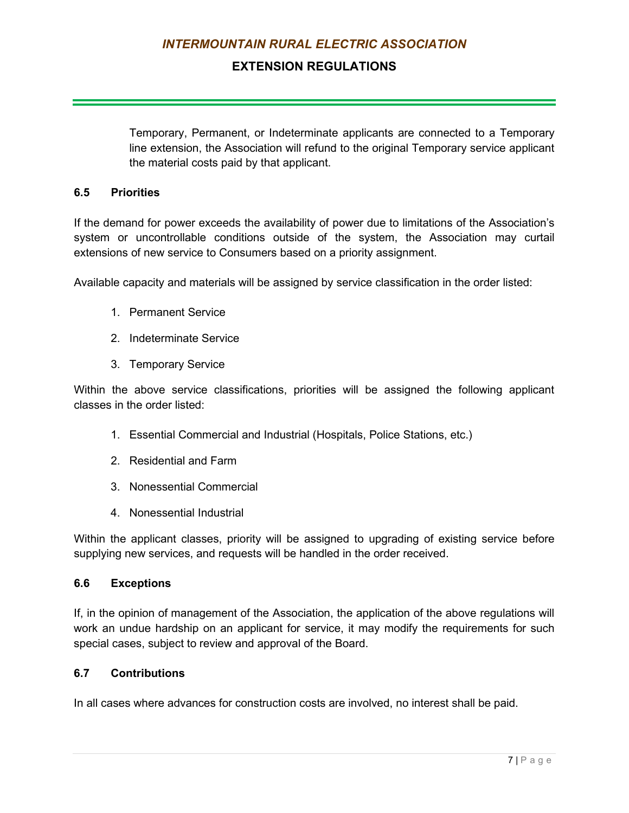## **EXTENSION REGULATIONS**

Temporary, Permanent, or Indeterminate applicants are connected to a Temporary line extension, the Association will refund to the original Temporary service applicant the material costs paid by that applicant.

#### **6.5 Priorities**

If the demand for power exceeds the availability of power due to limitations of the Association's system or uncontrollable conditions outside of the system, the Association may curtail extensions of new service to Consumers based on a priority assignment.

Available capacity and materials will be assigned by service classification in the order listed:

- 1. Permanent Service
- 2. Indeterminate Service
- 3. Temporary Service

Within the above service classifications, priorities will be assigned the following applicant classes in the order listed:

- 1. Essential Commercial and Industrial (Hospitals, Police Stations, etc.)
- 2. Residential and Farm
- 3. Nonessential Commercial
- 4. Nonessential Industrial

Within the applicant classes, priority will be assigned to upgrading of existing service before supplying new services, and requests will be handled in the order received.

#### **6.6 Exceptions**

If, in the opinion of management of the Association, the application of the above regulations will work an undue hardship on an applicant for service, it may modify the requirements for such special cases, subject to review and approval of the Board.

#### **6.7 Contributions**

In all cases where advances for construction costs are involved, no interest shall be paid.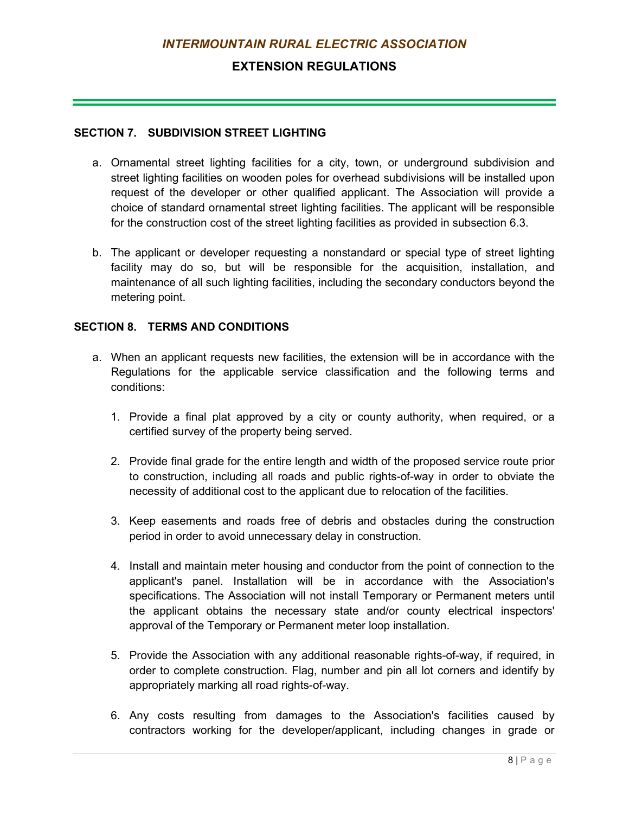## **EXTENSION REGULATIONS**

#### **SECTION 7. SUBDIVISION STREET LIGHTING**

- a. Ornamental street lighting facilities for a city, town, or underground subdivision and street lighting facilities on wooden poles for overhead subdivisions will be installed upon request of the developer or other qualified applicant. The Association will provide a choice of standard ornamental street lighting facilities. The applicant will be responsible for the construction cost of the street lighting facilities as provided in subsection 6.3.
- b. The applicant or developer requesting a nonstandard or special type of street lighting facility may do so, but will be responsible for the acquisition, installation, and maintenance of all such lighting facilities, including the secondary conductors beyond the metering point.

#### **SECTION 8. TERMS AND CONDITIONS**

- a. When an applicant requests new facilities, the extension will be in accordance with the Regulations for the applicable service classification and the following terms and conditions:
	- 1. Provide a final plat approved by a city or county authority, when required, or a certified survey of the property being served.
	- 2. Provide final grade for the entire length and width of the proposed service route prior to construction, including all roads and public rights-of-way in order to obviate the necessity of additional cost to the applicant due to relocation of the facilities.
	- 3. Keep easements and roads free of debris and obstacles during the construction period in order to avoid unnecessary delay in construction.
	- 4. Install and maintain meter housing and conductor from the point of connection to the applicant's panel. Installation will be in accordance with the Association's specifications. The Association will not install Temporary or Permanent meters until the applicant obtains the necessary state and/or county electrical inspectors' approval of the Temporary or Permanent meter loop installation.
	- 5. Provide the Association with any additional reasonable rights-of-way, if required, in order to complete construction. Flag, number and pin all lot corners and identify by appropriately marking all road rights-of-way.
	- 6. Any costs resulting from damages to the Association's facilities caused by contractors working for the developer/applicant, including changes in grade or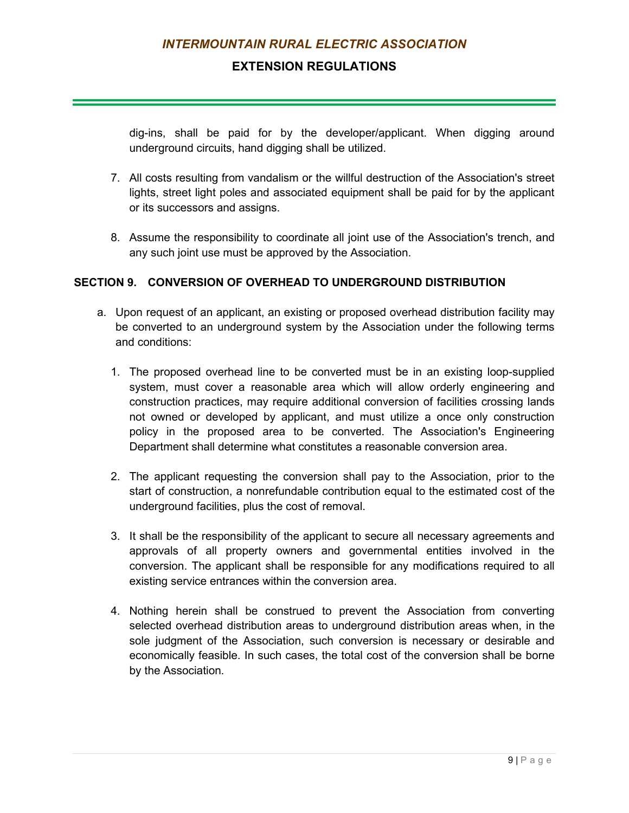## **EXTENSION REGULATIONS**

dig-ins, shall be paid for by the developer/applicant. When digging around underground circuits, hand digging shall be utilized.

- 7. All costs resulting from vandalism or the willful destruction of the Association's street lights, street light poles and associated equipment shall be paid for by the applicant or its successors and assigns.
- 8. Assume the responsibility to coordinate all joint use of the Association's trench, and any such joint use must be approved by the Association.

#### **SECTION 9. CONVERSION OF OVERHEAD TO UNDERGROUND DISTRIBUTION**

- a. Upon request of an applicant, an existing or proposed overhead distribution facility may be converted to an underground system by the Association under the following terms and conditions:
	- 1. The proposed overhead line to be converted must be in an existing loop-supplied system, must cover a reasonable area which will allow orderly engineering and construction practices, may require additional conversion of facilities crossing lands not owned or developed by applicant, and must utilize a once only construction policy in the proposed area to be converted. The Association's Engineering Department shall determine what constitutes a reasonable conversion area.
	- 2. The applicant requesting the conversion shall pay to the Association, prior to the start of construction, a nonrefundable contribution equal to the estimated cost of the underground facilities, plus the cost of removal.
	- 3. It shall be the responsibility of the applicant to secure all necessary agreements and approvals of all property owners and governmental entities involved in the conversion. The applicant shall be responsible for any modifications required to all existing service entrances within the conversion area.
	- 4. Nothing herein shall be construed to prevent the Association from converting selected overhead distribution areas to underground distribution areas when, in the sole judgment of the Association, such conversion is necessary or desirable and economically feasible. In such cases, the total cost of the conversion shall be borne by the Association.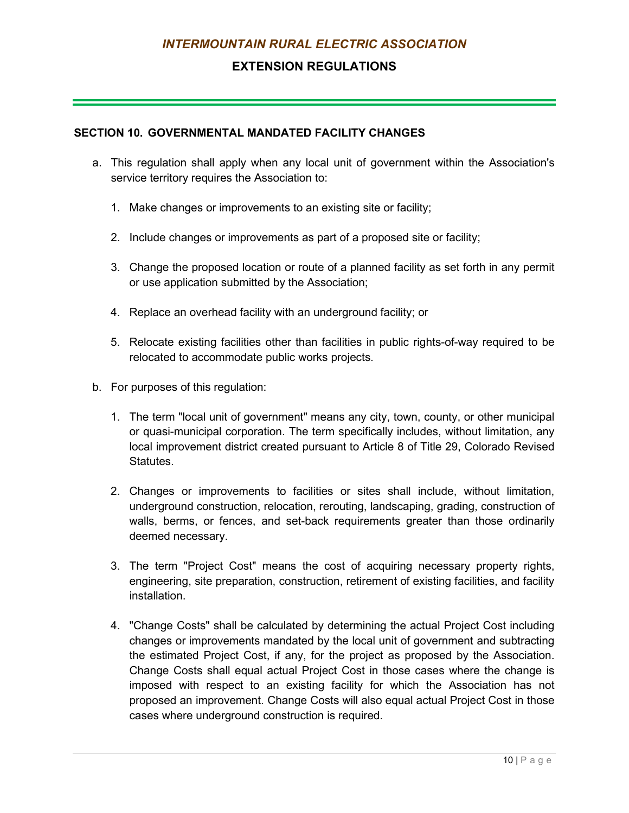## **EXTENSION REGULATIONS**

#### **SECTION 10. GOVERNMENTAL MANDATED FACILITY CHANGES**

- a. This regulation shall apply when any local unit of government within the Association's service territory requires the Association to:
	- 1. Make changes or improvements to an existing site or facility;
	- 2. Include changes or improvements as part of a proposed site or facility;
	- 3. Change the proposed location or route of a planned facility as set forth in any permit or use application submitted by the Association;
	- 4. Replace an overhead facility with an underground facility; or
	- 5. Relocate existing facilities other than facilities in public rights-of-way required to be relocated to accommodate public works projects.
- b. For purposes of this regulation:
	- 1. The term "local unit of government" means any city, town, county, or other municipal or quasi-municipal corporation. The term specifically includes, without limitation, any local improvement district created pursuant to Article 8 of Title 29, Colorado Revised Statutes.
	- 2. Changes or improvements to facilities or sites shall include, without limitation, underground construction, relocation, rerouting, landscaping, grading, construction of walls, berms, or fences, and set-back requirements greater than those ordinarily deemed necessary.
	- 3. The term "Project Cost" means the cost of acquiring necessary property rights, engineering, site preparation, construction, retirement of existing facilities, and facility installation.
	- 4. "Change Costs" shall be calculated by determining the actual Project Cost including changes or improvements mandated by the local unit of government and subtracting the estimated Project Cost, if any, for the project as proposed by the Association. Change Costs shall equal actual Project Cost in those cases where the change is imposed with respect to an existing facility for which the Association has not proposed an improvement. Change Costs will also equal actual Project Cost in those cases where underground construction is required.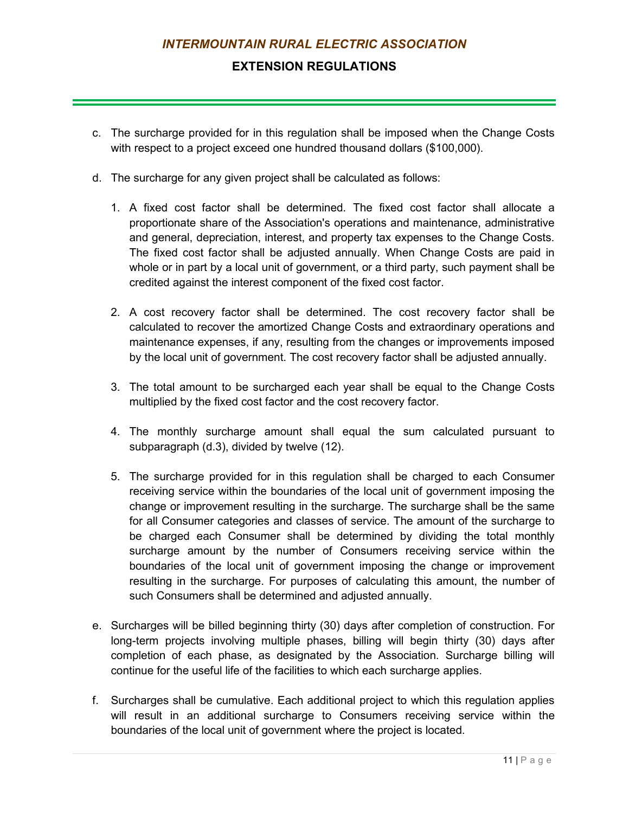## **EXTENSION REGULATIONS**

- c. The surcharge provided for in this regulation shall be imposed when the Change Costs with respect to a project exceed one hundred thousand dollars (\$100,000).
- d. The surcharge for any given project shall be calculated as follows:
	- 1. A fixed cost factor shall be determined. The fixed cost factor shall allocate a proportionate share of the Association's operations and maintenance, administrative and general, depreciation, interest, and property tax expenses to the Change Costs. The fixed cost factor shall be adjusted annually. When Change Costs are paid in whole or in part by a local unit of government, or a third party, such payment shall be credited against the interest component of the fixed cost factor.
	- 2. A cost recovery factor shall be determined. The cost recovery factor shall be calculated to recover the amortized Change Costs and extraordinary operations and maintenance expenses, if any, resulting from the changes or improvements imposed by the local unit of government. The cost recovery factor shall be adjusted annually.
	- 3. The total amount to be surcharged each year shall be equal to the Change Costs multiplied by the fixed cost factor and the cost recovery factor.
	- 4. The monthly surcharge amount shall equal the sum calculated pursuant to subparagraph (d.3), divided by twelve (12).
	- 5. The surcharge provided for in this regulation shall be charged to each Consumer receiving service within the boundaries of the local unit of government imposing the change or improvement resulting in the surcharge. The surcharge shall be the same for all Consumer categories and classes of service. The amount of the surcharge to be charged each Consumer shall be determined by dividing the total monthly surcharge amount by the number of Consumers receiving service within the boundaries of the local unit of government imposing the change or improvement resulting in the surcharge. For purposes of calculating this amount, the number of such Consumers shall be determined and adjusted annually.
- e. Surcharges will be billed beginning thirty (30) days after completion of construction. For long-term projects involving multiple phases, billing will begin thirty (30) days after completion of each phase, as designated by the Association. Surcharge billing will continue for the useful life of the facilities to which each surcharge applies.
- f. Surcharges shall be cumulative. Each additional project to which this regulation applies will result in an additional surcharge to Consumers receiving service within the boundaries of the local unit of government where the project is located.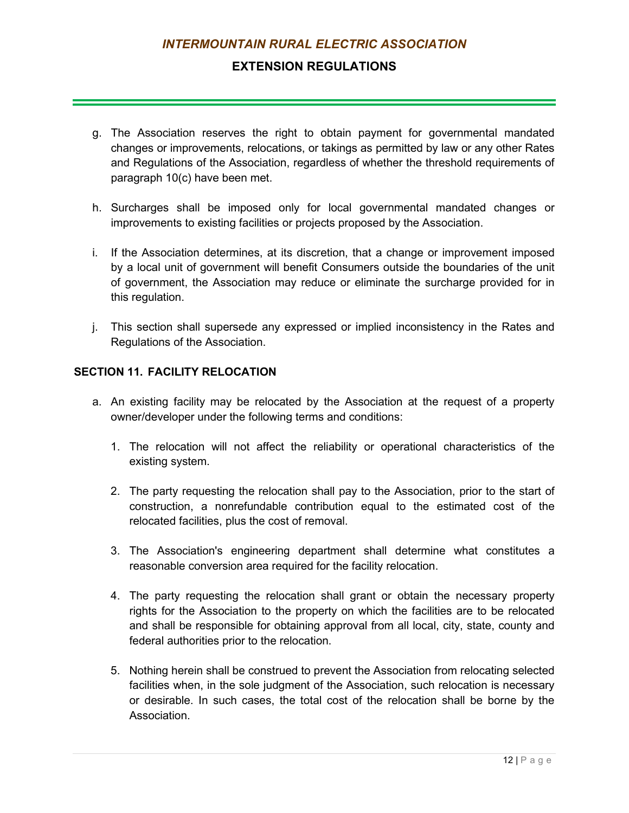## **EXTENSION REGULATIONS**

- g. The Association reserves the right to obtain payment for governmental mandated changes or improvements, relocations, or takings as permitted by law or any other Rates and Regulations of the Association, regardless of whether the threshold requirements of paragraph 10(c) have been met.
- h. Surcharges shall be imposed only for local governmental mandated changes or improvements to existing facilities or projects proposed by the Association.
- i. If the Association determines, at its discretion, that a change or improvement imposed by a local unit of government will benefit Consumers outside the boundaries of the unit of government, the Association may reduce or eliminate the surcharge provided for in this regulation.
- j. This section shall supersede any expressed or implied inconsistency in the Rates and Regulations of the Association.

#### **SECTION 11. FACILITY RELOCATION**

- a. An existing facility may be relocated by the Association at the request of a property owner/developer under the following terms and conditions:
	- 1. The relocation will not affect the reliability or operational characteristics of the existing system.
	- 2. The party requesting the relocation shall pay to the Association, prior to the start of construction, a nonrefundable contribution equal to the estimated cost of the relocated facilities, plus the cost of removal.
	- 3. The Association's engineering department shall determine what constitutes a reasonable conversion area required for the facility relocation.
	- 4. The party requesting the relocation shall grant or obtain the necessary property rights for the Association to the property on which the facilities are to be relocated and shall be responsible for obtaining approval from all local, city, state, county and federal authorities prior to the relocation.
	- 5. Nothing herein shall be construed to prevent the Association from relocating selected facilities when, in the sole judgment of the Association, such relocation is necessary or desirable. In such cases, the total cost of the relocation shall be borne by the **Association**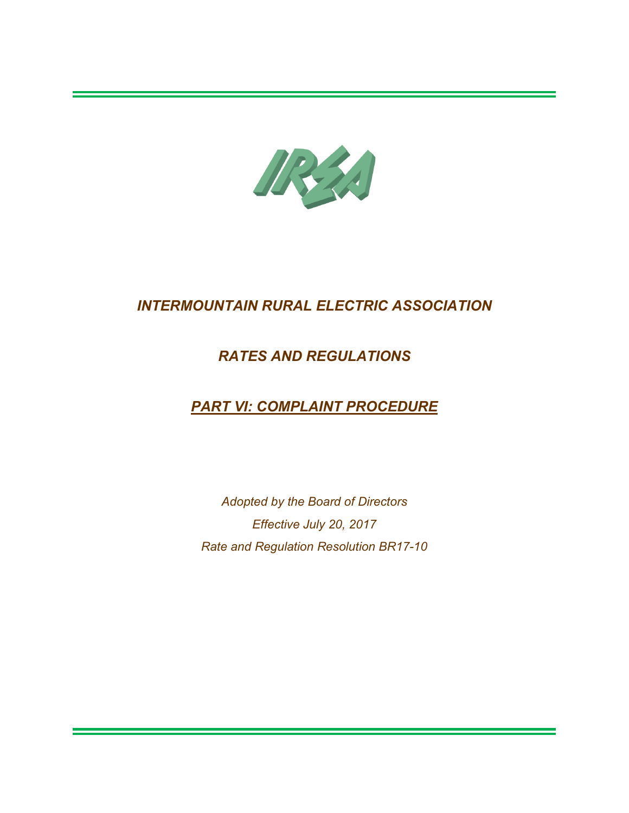

## *RATES AND REGULATIONS*

# *PART VI: COMPLAINT PROCEDURE*

*Adopted by the Board of Directors Effective July 20, 2017 Rate and Regulation Resolution BR17-10*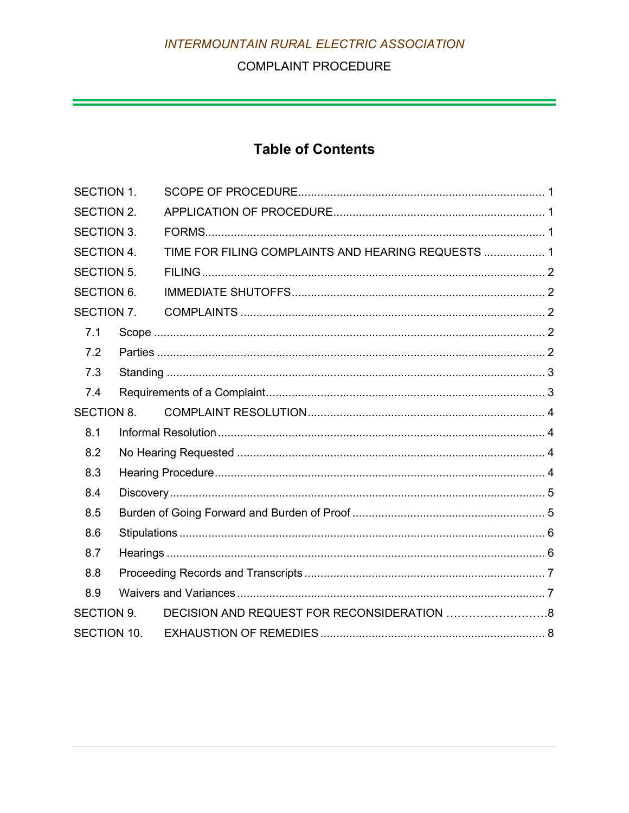## **COMPLAINT PROCEDURE**

 $\mathcal{L}(\mathcal{L}(\mathcal{L}))$  is a subset of the set of  $\mathcal{L}(\mathcal{L})$  . The set of the set of  $\mathcal{L}(\mathcal{L})$ 

# **Table of Contents**

| <b>SECTION 1.</b> |  |                                                    |  |
|-------------------|--|----------------------------------------------------|--|
| <b>SECTION 2.</b> |  |                                                    |  |
| <b>SECTION 3.</b> |  |                                                    |  |
| <b>SECTION 4.</b> |  | TIME FOR FILING COMPLAINTS AND HEARING REQUESTS  1 |  |
| <b>SECTION 5.</b> |  |                                                    |  |
| <b>SECTION 6.</b> |  |                                                    |  |
| SECTION 7.        |  |                                                    |  |
| 7.1               |  |                                                    |  |
| 7.2               |  |                                                    |  |
| 7.3               |  |                                                    |  |
| 7.4               |  |                                                    |  |
| <b>SECTION 8.</b> |  |                                                    |  |
| 8.1               |  |                                                    |  |
| 8.2               |  |                                                    |  |
| 8.3               |  |                                                    |  |
| 8.4               |  |                                                    |  |
| 8.5               |  |                                                    |  |
| 8.6               |  |                                                    |  |
| 8.7               |  |                                                    |  |
| 8.8               |  |                                                    |  |
| 8.9               |  |                                                    |  |
| <b>SECTION 9.</b> |  | DECISION AND REQUEST FOR RECONSIDERATION 8         |  |
| SECTION 10.       |  |                                                    |  |
|                   |  |                                                    |  |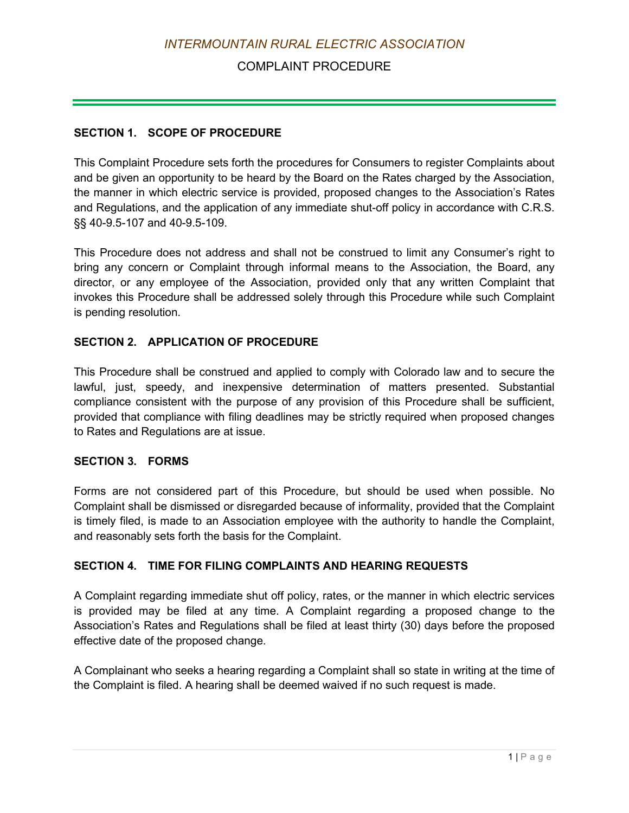## COMPLAINT PROCEDURE

#### <span id="page-120-0"></span>**SECTION 1. SCOPE OF PROCEDURE**

This Complaint Procedure sets forth the procedures for Consumers to register Complaints about and be given an opportunity to be heard by the Board on the Rates charged by the Association, the manner in which electric service is provided, proposed changes to the Association's Rates and Regulations, and the application of any immediate shut-off policy in accordance with C.R.S. §§ 40-9.5-107 and 40-9.5-109.

This Procedure does not address and shall not be construed to limit any Consumer's right to bring any concern or Complaint through informal means to the Association, the Board, any director, or any employee of the Association, provided only that any written Complaint that invokes this Procedure shall be addressed solely through this Procedure while such Complaint is pending resolution.

#### <span id="page-120-1"></span>**SECTION 2. APPLICATION OF PROCEDURE**

This Procedure shall be construed and applied to comply with Colorado law and to secure the lawful, just, speedy, and inexpensive determination of matters presented. Substantial compliance consistent with the purpose of any provision of this Procedure shall be sufficient, provided that compliance with filing deadlines may be strictly required when proposed changes to Rates and Regulations are at issue.

#### <span id="page-120-2"></span>**SECTION 3. FORMS**

Forms are not considered part of this Procedure, but should be used when possible. No Complaint shall be dismissed or disregarded because of informality, provided that the Complaint is timely filed, is made to an Association employee with the authority to handle the Complaint, and reasonably sets forth the basis for the Complaint.

#### <span id="page-120-3"></span>**SECTION 4. TIME FOR FILING COMPLAINTS AND HEARING REQUESTS**

A Complaint regarding immediate shut off policy, rates, or the manner in which electric services is provided may be filed at any time. A Complaint regarding a proposed change to the Association's Rates and Regulations shall be filed at least thirty (30) days before the proposed effective date of the proposed change.

A Complainant who seeks a hearing regarding a Complaint shall so state in writing at the time of the Complaint is filed. A hearing shall be deemed waived if no such request is made.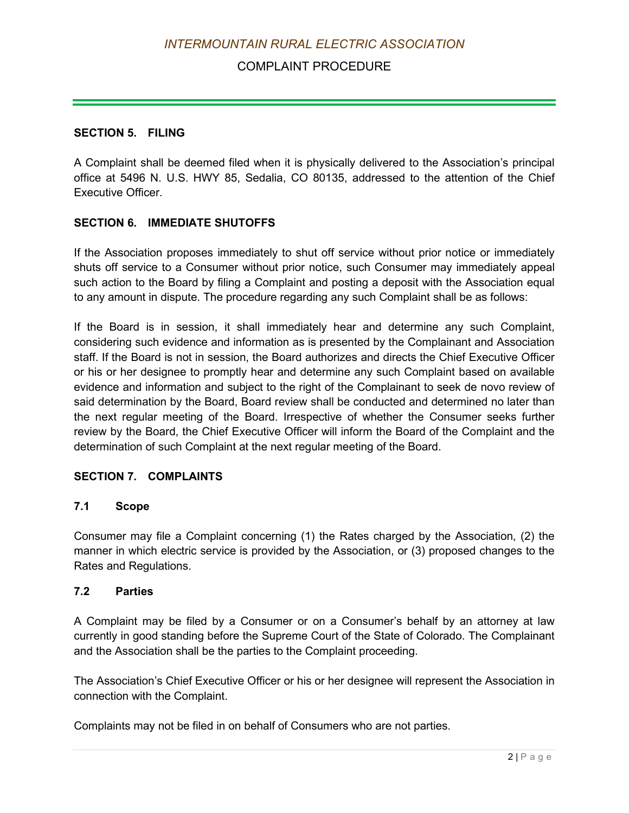## COMPLAINT PROCEDURE

#### <span id="page-121-0"></span>**SECTION 5. FILING**

A Complaint shall be deemed filed when it is physically delivered to the Association's principal office at 5496 N. U.S. HWY 85, Sedalia, CO 80135, addressed to the attention of the Chief Executive Officer.

### <span id="page-121-1"></span>**SECTION 6. IMMEDIATE SHUTOFFS**

If the Association proposes immediately to shut off service without prior notice or immediately shuts off service to a Consumer without prior notice, such Consumer may immediately appeal such action to the Board by filing a Complaint and posting a deposit with the Association equal to any amount in dispute. The procedure regarding any such Complaint shall be as follows:

If the Board is in session, it shall immediately hear and determine any such Complaint, considering such evidence and information as is presented by the Complainant and Association staff. If the Board is not in session, the Board authorizes and directs the Chief Executive Officer or his or her designee to promptly hear and determine any such Complaint based on available evidence and information and subject to the right of the Complainant to seek de novo review of said determination by the Board, Board review shall be conducted and determined no later than the next regular meeting of the Board. Irrespective of whether the Consumer seeks further review by the Board, the Chief Executive Officer will inform the Board of the Complaint and the determination of such Complaint at the next regular meeting of the Board.

#### <span id="page-121-2"></span>**SECTION 7. COMPLAINTS**

#### <span id="page-121-3"></span>**7.1 Scope**

Consumer may file a Complaint concerning (1) the Rates charged by the Association, (2) the manner in which electric service is provided by the Association, or (3) proposed changes to the Rates and Regulations.

#### <span id="page-121-4"></span>**7.2 Parties**

A Complaint may be filed by a Consumer or on a Consumer's behalf by an attorney at law currently in good standing before the Supreme Court of the State of Colorado. The Complainant and the Association shall be the parties to the Complaint proceeding.

The Association's Chief Executive Officer or his or her designee will represent the Association in connection with the Complaint.

Complaints may not be filed in on behalf of Consumers who are not parties.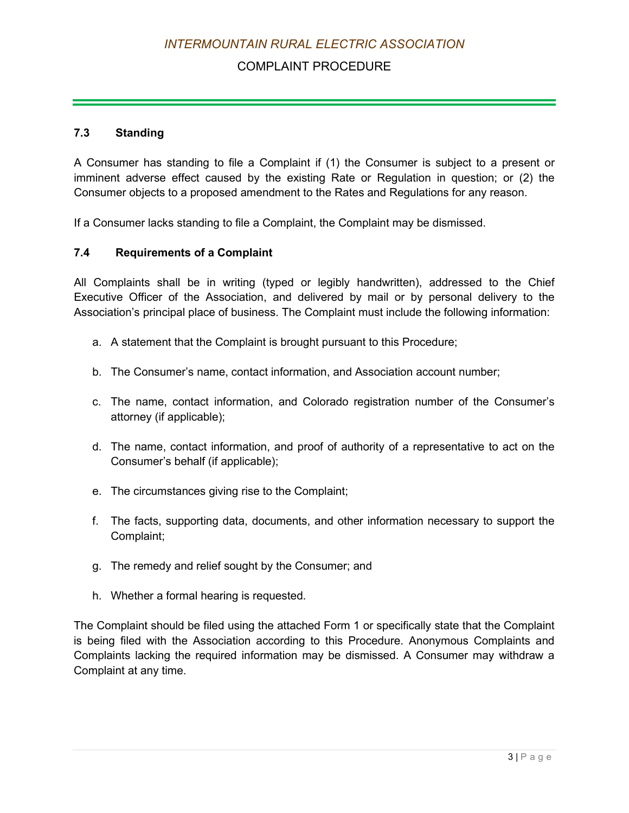## COMPLAINT PROCEDURE

#### <span id="page-122-0"></span>**7.3 Standing**

A Consumer has standing to file a Complaint if (1) the Consumer is subject to a present or imminent adverse effect caused by the existing Rate or Regulation in question; or (2) the Consumer objects to a proposed amendment to the Rates and Regulations for any reason.

If a Consumer lacks standing to file a Complaint, the Complaint may be dismissed.

#### <span id="page-122-1"></span>**7.4 Requirements of a Complaint**

All Complaints shall be in writing (typed or legibly handwritten), addressed to the Chief Executive Officer of the Association, and delivered by mail or by personal delivery to the Association's principal place of business. The Complaint must include the following information:

- a. A statement that the Complaint is brought pursuant to this Procedure;
- b. The Consumer's name, contact information, and Association account number;
- c. The name, contact information, and Colorado registration number of the Consumer's attorney (if applicable);
- d. The name, contact information, and proof of authority of a representative to act on the Consumer's behalf (if applicable);
- e. The circumstances giving rise to the Complaint;
- f. The facts, supporting data, documents, and other information necessary to support the Complaint;
- g. The remedy and relief sought by the Consumer; and
- h. Whether a formal hearing is requested.

The Complaint should be filed using the attached Form 1 or specifically state that the Complaint is being filed with the Association according to this Procedure. Anonymous Complaints and Complaints lacking the required information may be dismissed. A Consumer may withdraw a Complaint at any time.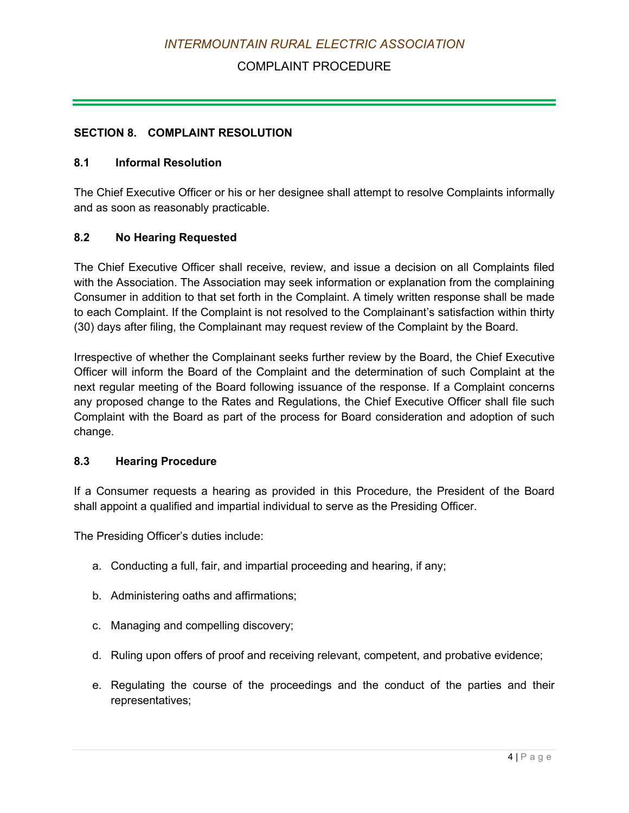## COMPLAINT PROCEDURE

#### <span id="page-123-0"></span>**SECTION 8. COMPLAINT RESOLUTION**

#### <span id="page-123-1"></span>**8.1 Informal Resolution**

The Chief Executive Officer or his or her designee shall attempt to resolve Complaints informally and as soon as reasonably practicable.

#### <span id="page-123-2"></span>**8.2 No Hearing Requested**

The Chief Executive Officer shall receive, review, and issue a decision on all Complaints filed with the Association. The Association may seek information or explanation from the complaining Consumer in addition to that set forth in the Complaint. A timely written response shall be made to each Complaint. If the Complaint is not resolved to the Complainant's satisfaction within thirty (30) days after filing, the Complainant may request review of the Complaint by the Board.

Irrespective of whether the Complainant seeks further review by the Board, the Chief Executive Officer will inform the Board of the Complaint and the determination of such Complaint at the next regular meeting of the Board following issuance of the response. If a Complaint concerns any proposed change to the Rates and Regulations, the Chief Executive Officer shall file such Complaint with the Board as part of the process for Board consideration and adoption of such change.

#### <span id="page-123-3"></span>**8.3 Hearing Procedure**

If a Consumer requests a hearing as provided in this Procedure, the President of the Board shall appoint a qualified and impartial individual to serve as the Presiding Officer.

The Presiding Officer's duties include:

- a. Conducting a full, fair, and impartial proceeding and hearing, if any;
- b. Administering oaths and affirmations;
- c. Managing and compelling discovery;
- d. Ruling upon offers of proof and receiving relevant, competent, and probative evidence;
- e. Regulating the course of the proceedings and the conduct of the parties and their representatives;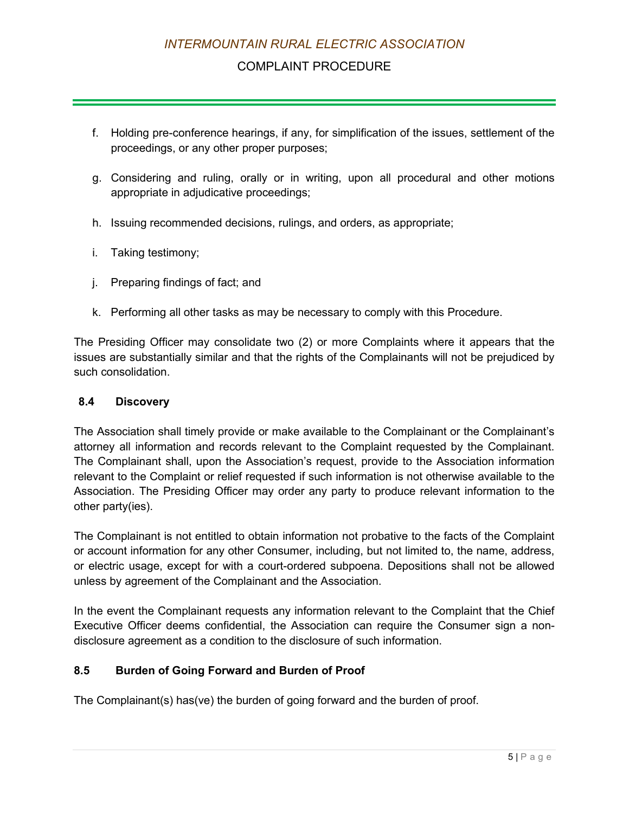### COMPLAINT PROCEDURE

- f. Holding pre-conference hearings, if any, for simplification of the issues, settlement of the proceedings, or any other proper purposes;
- g. Considering and ruling, orally or in writing, upon all procedural and other motions appropriate in adjudicative proceedings;
- h. Issuing recommended decisions, rulings, and orders, as appropriate;
- i. Taking testimony;
- j. Preparing findings of fact; and
- k. Performing all other tasks as may be necessary to comply with this Procedure.

The Presiding Officer may consolidate two (2) or more Complaints where it appears that the issues are substantially similar and that the rights of the Complainants will not be prejudiced by such consolidation.

#### <span id="page-124-0"></span>**8.4 Discovery**

The Association shall timely provide or make available to the Complainant or the Complainant's attorney all information and records relevant to the Complaint requested by the Complainant. The Complainant shall, upon the Association's request, provide to the Association information relevant to the Complaint or relief requested if such information is not otherwise available to the Association. The Presiding Officer may order any party to produce relevant information to the other party(ies).

The Complainant is not entitled to obtain information not probative to the facts of the Complaint or account information for any other Consumer, including, but not limited to, the name, address, or electric usage, except for with a court-ordered subpoena. Depositions shall not be allowed unless by agreement of the Complainant and the Association.

In the event the Complainant requests any information relevant to the Complaint that the Chief Executive Officer deems confidential, the Association can require the Consumer sign a nondisclosure agreement as a condition to the disclosure of such information.

#### <span id="page-124-1"></span>**8.5 Burden of Going Forward and Burden of Proof**

The Complainant(s) has(ve) the burden of going forward and the burden of proof.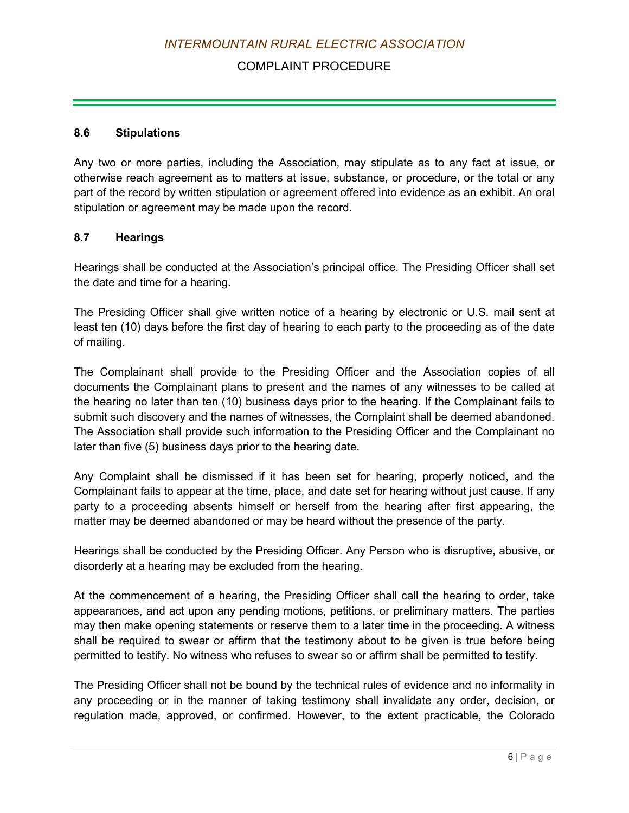## COMPLAINT PROCEDURE

#### <span id="page-125-0"></span>**8.6 Stipulations**

Any two or more parties, including the Association, may stipulate as to any fact at issue, or otherwise reach agreement as to matters at issue, substance, or procedure, or the total or any part of the record by written stipulation or agreement offered into evidence as an exhibit. An oral stipulation or agreement may be made upon the record.

#### <span id="page-125-1"></span>**8.7 Hearings**

Hearings shall be conducted at the Association's principal office. The Presiding Officer shall set the date and time for a hearing.

The Presiding Officer shall give written notice of a hearing by electronic or U.S. mail sent at least ten (10) days before the first day of hearing to each party to the proceeding as of the date of mailing.

The Complainant shall provide to the Presiding Officer and the Association copies of all documents the Complainant plans to present and the names of any witnesses to be called at the hearing no later than ten (10) business days prior to the hearing. If the Complainant fails to submit such discovery and the names of witnesses, the Complaint shall be deemed abandoned. The Association shall provide such information to the Presiding Officer and the Complainant no later than five (5) business days prior to the hearing date.

Any Complaint shall be dismissed if it has been set for hearing, properly noticed, and the Complainant fails to appear at the time, place, and date set for hearing without just cause. If any party to a proceeding absents himself or herself from the hearing after first appearing, the matter may be deemed abandoned or may be heard without the presence of the party.

Hearings shall be conducted by the Presiding Officer. Any Person who is disruptive, abusive, or disorderly at a hearing may be excluded from the hearing.

At the commencement of a hearing, the Presiding Officer shall call the hearing to order, take appearances, and act upon any pending motions, petitions, or preliminary matters. The parties may then make opening statements or reserve them to a later time in the proceeding. A witness shall be required to swear or affirm that the testimony about to be given is true before being permitted to testify. No witness who refuses to swear so or affirm shall be permitted to testify.

The Presiding Officer shall not be bound by the technical rules of evidence and no informality in any proceeding or in the manner of taking testimony shall invalidate any order, decision, or regulation made, approved, or confirmed. However, to the extent practicable, the Colorado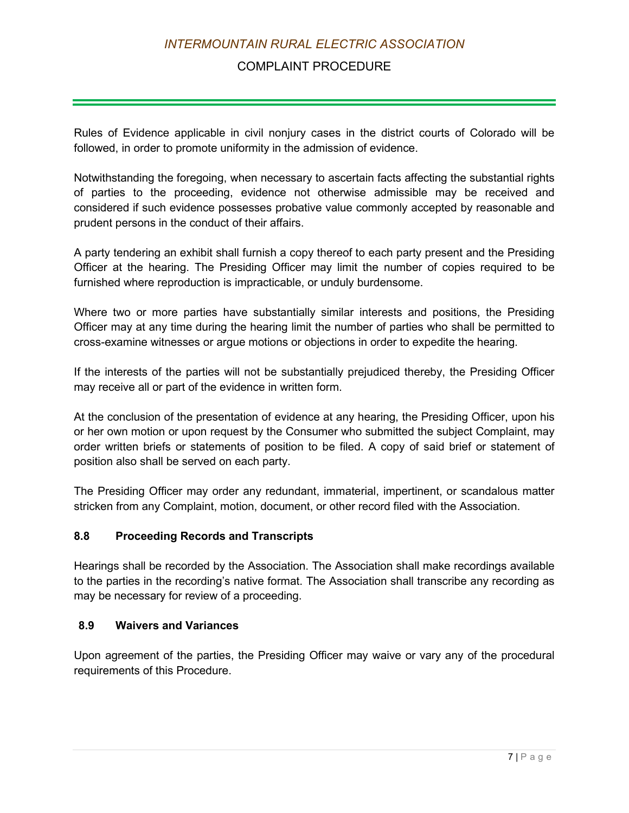## COMPLAINT PROCEDURE

Rules of Evidence applicable in civil nonjury cases in the district courts of Colorado will be followed, in order to promote uniformity in the admission of evidence.

Notwithstanding the foregoing, when necessary to ascertain facts affecting the substantial rights of parties to the proceeding, evidence not otherwise admissible may be received and considered if such evidence possesses probative value commonly accepted by reasonable and prudent persons in the conduct of their affairs.

A party tendering an exhibit shall furnish a copy thereof to each party present and the Presiding Officer at the hearing. The Presiding Officer may limit the number of copies required to be furnished where reproduction is impracticable, or unduly burdensome.

Where two or more parties have substantially similar interests and positions, the Presiding Officer may at any time during the hearing limit the number of parties who shall be permitted to cross-examine witnesses or argue motions or objections in order to expedite the hearing.

If the interests of the parties will not be substantially prejudiced thereby, the Presiding Officer may receive all or part of the evidence in written form.

At the conclusion of the presentation of evidence at any hearing, the Presiding Officer, upon his or her own motion or upon request by the Consumer who submitted the subject Complaint, may order written briefs or statements of position to be filed. A copy of said brief or statement of position also shall be served on each party.

The Presiding Officer may order any redundant, immaterial, impertinent, or scandalous matter stricken from any Complaint, motion, document, or other record filed with the Association.

#### <span id="page-126-0"></span>**8.8 Proceeding Records and Transcripts**

Hearings shall be recorded by the Association. The Association shall make recordings available to the parties in the recording's native format. The Association shall transcribe any recording as may be necessary for review of a proceeding.

#### <span id="page-126-1"></span>**8.9 Waivers and Variances**

Upon agreement of the parties, the Presiding Officer may waive or vary any of the procedural requirements of this Procedure.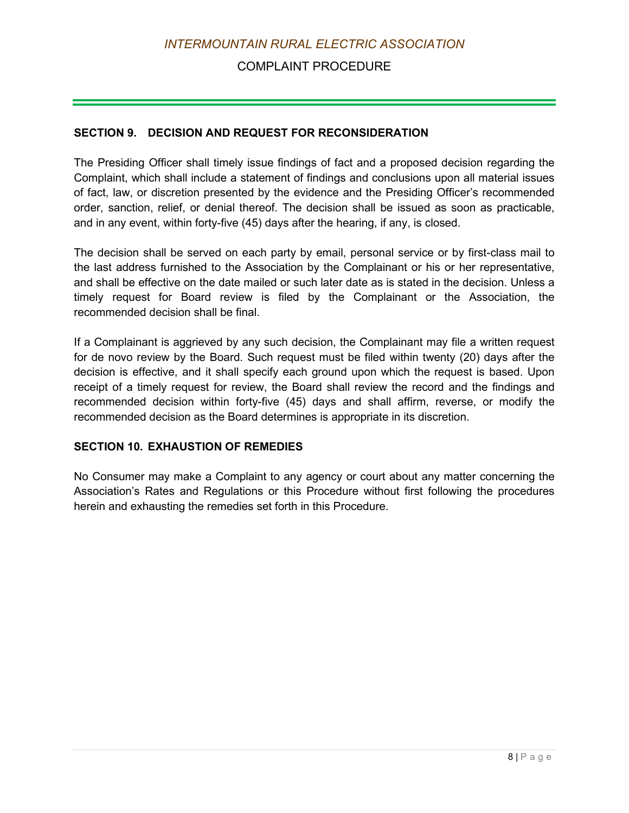### COMPLAINT PROCEDURE

#### **SECTION 9. DECISION AND REQUEST FOR RECONSIDERATION**

The Presiding Officer shall timely issue findings of fact and a proposed decision regarding the Complaint, which shall include a statement of findings and conclusions upon all material issues of fact, law, or discretion presented by the evidence and the Presiding Officer's recommended order, sanction, relief, or denial thereof. The decision shall be issued as soon as practicable, and in any event, within forty-five (45) days after the hearing, if any, is closed.

The decision shall be served on each party by email, personal service or by first-class mail to the last address furnished to the Association by the Complainant or his or her representative, and shall be effective on the date mailed or such later date as is stated in the decision. Unless a timely request for Board review is filed by the Complainant or the Association, the recommended decision shall be final.

If a Complainant is aggrieved by any such decision, the Complainant may file a written request for de novo review by the Board. Such request must be filed within twenty (20) days after the decision is effective, and it shall specify each ground upon which the request is based. Upon receipt of a timely request for review, the Board shall review the record and the findings and recommended decision within forty-five (45) days and shall affirm, reverse, or modify the recommended decision as the Board determines is appropriate in its discretion.

#### <span id="page-127-0"></span>**SECTION 10. EXHAUSTION OF REMEDIES**

No Consumer may make a Complaint to any agency or court about any matter concerning the Association's Rates and Regulations or this Procedure without first following the procedures herein and exhausting the remedies set forth in this Procedure.